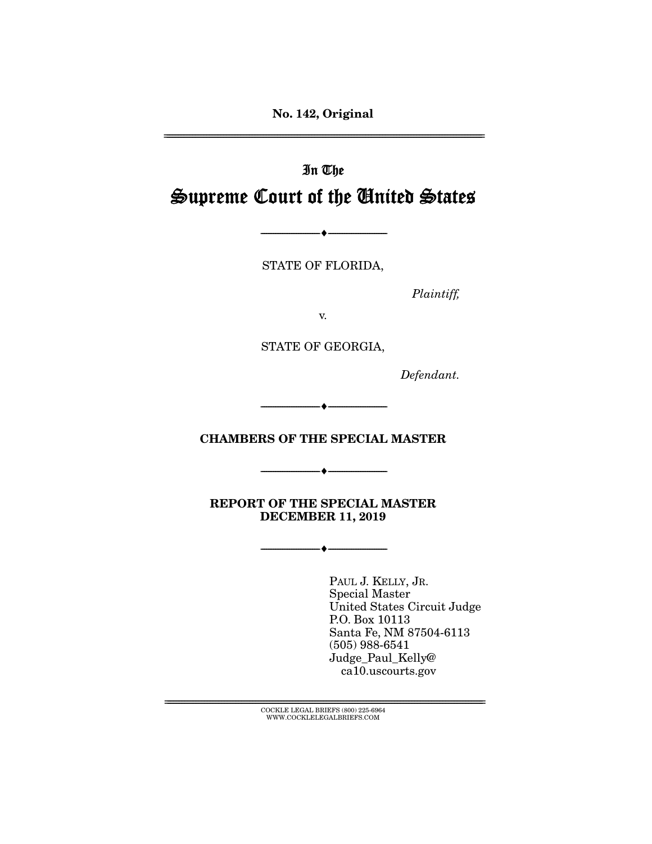No. 142, Original

================================================================================================================

# In The Supreme Court of the United States

STATE OF FLORIDA,

--------------------------------- ---------------------------------

*Plaintiff,* 

v.

STATE OF GEORGIA,

*Defendant.* 

### CHAMBERS OF THE SPECIAL MASTER

--------------------------------- ---------------------------------

--------------------------------- ---------------------------------

REPORT OF THE SPECIAL MASTER DECEMBER 11, 2019

--------------------------------- ---------------------------------

PAUL J. KELLY, JR. Special Master United States Circuit Judge P.O. Box 10113 Santa Fe, NM 87504-6113 (505) 988-6541 Judge\_Paul\_Kelly@ ca10.uscourts.gov

 ${ \bf COCKLE}$  LEGAL BRIEFS (800) 225-6964 WWW.COCKLELEGALBRIEFS.COM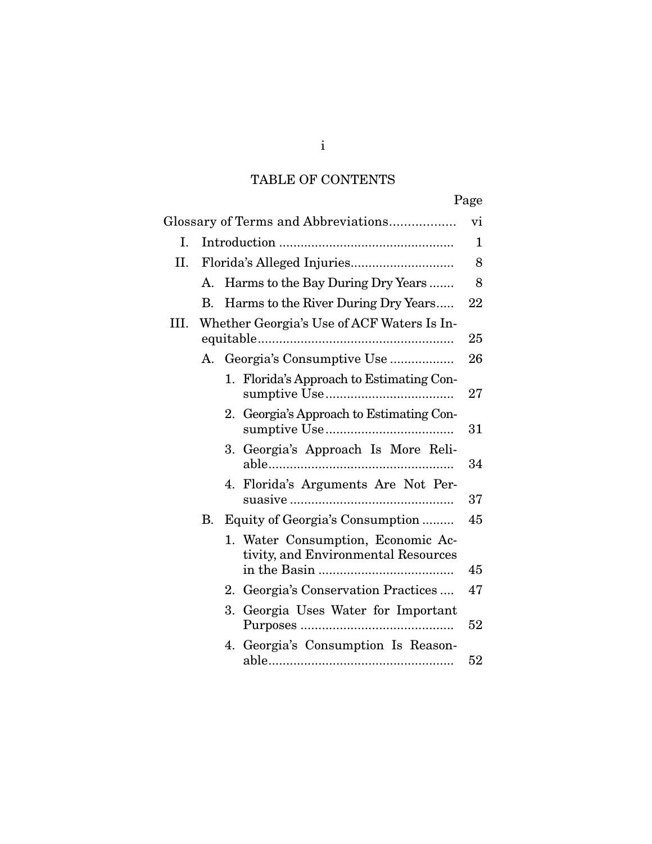# TABLE OF CONTENTS

|      |    |                                                                              | Page   |
|------|----|------------------------------------------------------------------------------|--------|
|      |    | Glossary of Terms and Abbreviations                                          | vi     |
| Ι.   |    |                                                                              | 1      |
| II.  |    |                                                                              | 8      |
|      | A. | Harms to the Bay During Dry Years                                            | 8      |
|      | В. | Harms to the River During Dry Years                                          | 22     |
| III. |    | Whether Georgia's Use of ACF Waters Is In-                                   | 25     |
|      |    | A. Georgia's Consumptive Use                                                 | 26     |
|      |    | 1. Florida's Approach to Estimating Con-                                     | 27     |
|      |    | Georgia's Approach to Estimating Con-<br>2.                                  | $31\,$ |
|      |    | 3. Georgia's Approach Is More Reli-                                          | 34     |
|      |    | 4. Florida's Arguments Are Not Per-                                          | 37     |
|      | В. | Equity of Georgia's Consumption                                              | 45     |
|      |    | Water Consumption, Economic Ac-<br>1.<br>tivity, and Environmental Resources |        |
|      |    |                                                                              | 45     |
|      |    | Georgia's Conservation Practices<br>2.                                       | 47     |
|      |    | 3.<br>Georgia Uses Water for Important                                       | 52     |
|      |    | Georgia's Consumption Is Reason-<br>4.                                       | 52     |

i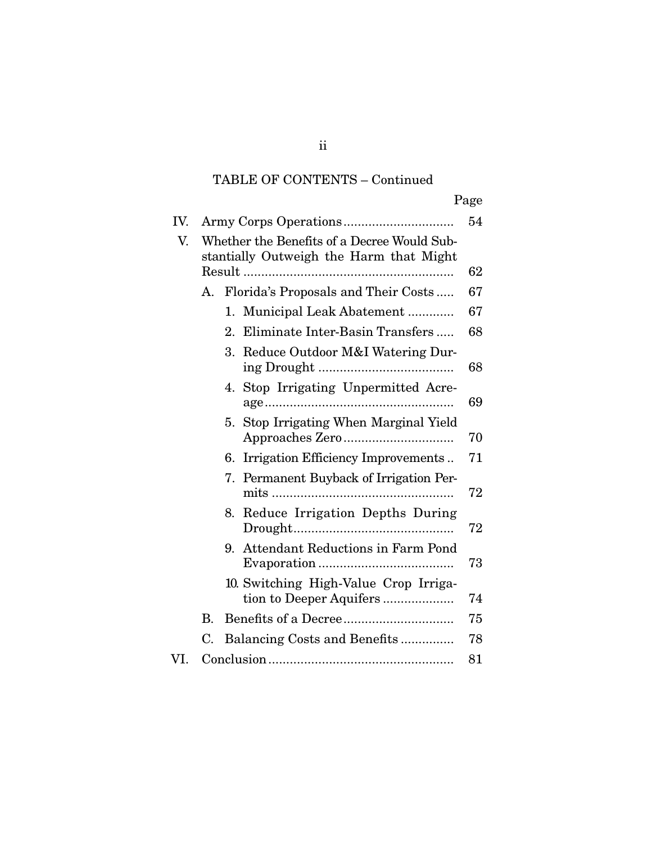# TABLE OF CONTENTS – Continued

|     |    |                                                                                        | Page |
|-----|----|----------------------------------------------------------------------------------------|------|
| IV. |    |                                                                                        | 54   |
| V.  |    | Whether the Benefits of a Decree Would Sub-<br>stantially Outweigh the Harm that Might |      |
|     |    |                                                                                        | 62   |
|     | А. | Florida's Proposals and Their Costs                                                    | 67   |
|     |    | 1. Municipal Leak Abatement                                                            | 67   |
|     |    | Eliminate Inter-Basin Transfers<br>2.                                                  | 68   |
|     |    | 3.<br>Reduce Outdoor M&I Watering Dur-                                                 | 68   |
|     |    | Stop Irrigating Unpermitted Acre-<br>4.                                                | 69   |
|     |    | Stop Irrigating When Marginal Yield<br>5.                                              | 70   |
|     |    | Irrigation Efficiency Improvements<br>6.                                               | 71   |
|     |    | Permanent Buyback of Irrigation Per-<br>7.                                             | 72   |
|     |    | 8.<br>Reduce Irrigation Depths During                                                  | 72   |
|     |    | 9. Attendant Reductions in Farm Pond                                                   | 73   |
|     |    | 10. Switching High-Value Crop Irriga-                                                  | 74   |
|     | В. |                                                                                        | 75   |
|     | C. | Balancing Costs and Benefits                                                           | 78   |
| VI. |    |                                                                                        | 81   |

ii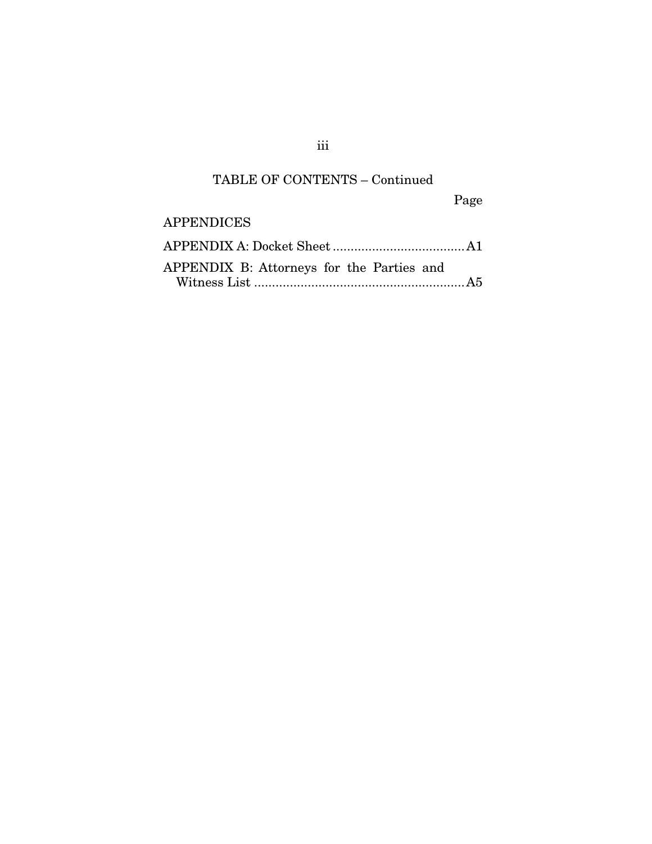# TABLE OF CONTENTS – Continued

Page

### APPENDICES

| APPENDIX B: Attorneys for the Parties and |  |
|-------------------------------------------|--|

iii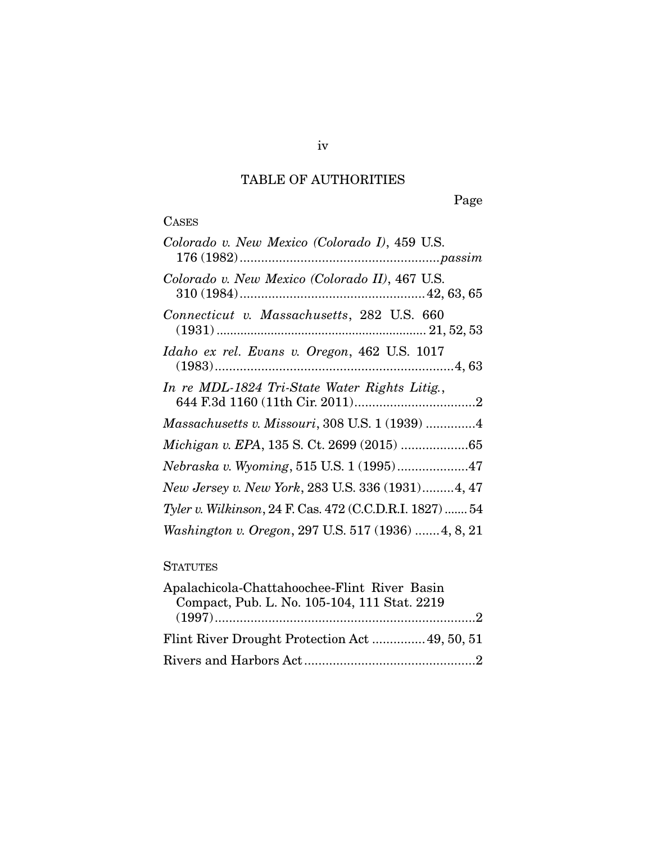# TABLE OF AUTHORITIES

Page

# CASES

# **STATUTES**

| Apalachicola-Chattahoochee-Flint River Basin |  |
|----------------------------------------------|--|
| Compact, Pub. L. No. 105-104, 111 Stat. 2219 |  |
|                                              |  |
| Flint River Drought Protection Act49, 50, 51 |  |
|                                              |  |

iv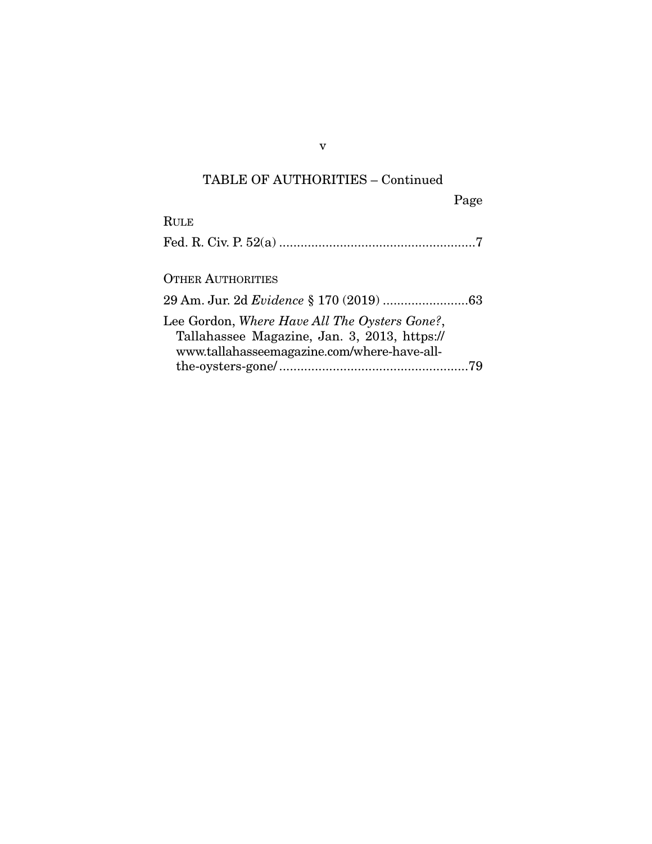### TABLE OF AUTHORITIES – Continued

| Page                                           |  |
|------------------------------------------------|--|
| Rule                                           |  |
|                                                |  |
|                                                |  |
| <b>OTHER AUTHORITIES</b>                       |  |
| 29 Am. Jur. 2d <i>Evidence</i> § 170 (2019) 63 |  |
| Lee Gordon, Where Have All The Oysters Gone?,  |  |
| Tallahassee Magazine, Jan. 3, 2013, https://   |  |
| www.tallahasseemagazine.com/where-have-all-    |  |
|                                                |  |

v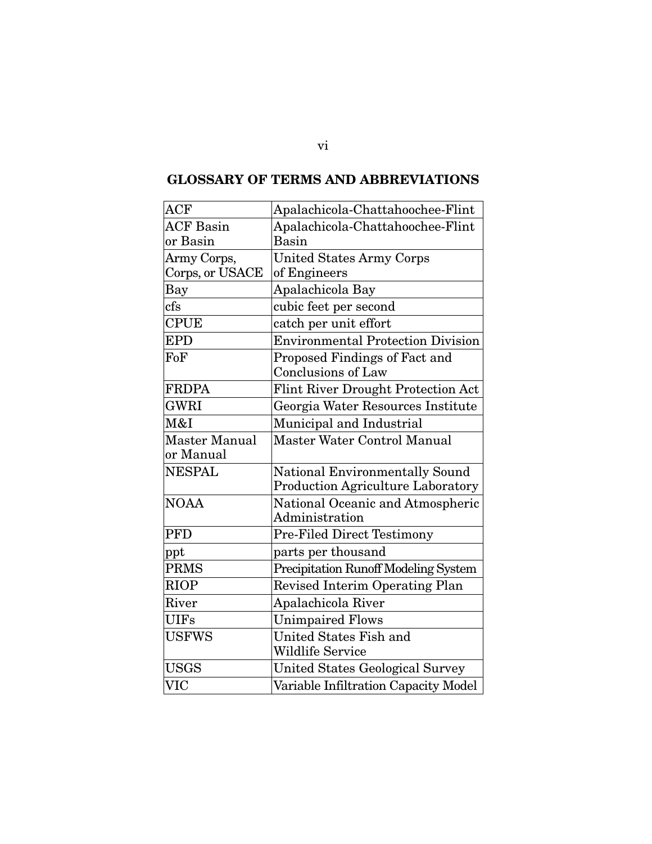| <b>ACF</b>       | Apalachicola-Chattahoochee-Flint         |  |  |
|------------------|------------------------------------------|--|--|
| <b>ACF Basin</b> | Apalachicola-Chattahoochee-Flint         |  |  |
| or Basin         | Basin                                    |  |  |
| Army Corps,      | <b>United States Army Corps</b>          |  |  |
| Corps, or USACE  | of Engineers                             |  |  |
| Bay              | Apalachicola Bay                         |  |  |
| cfs              | cubic feet per second                    |  |  |
| CPUE             | catch per unit effort                    |  |  |
| <b>EPD</b>       | <b>Environmental Protection Division</b> |  |  |
| FoF              | Proposed Findings of Fact and            |  |  |
|                  | <b>Conclusions of Law</b>                |  |  |
| <b>FRDPA</b>     | Flint River Drought Protection Act       |  |  |
| <b>GWRI</b>      | Georgia Water Resources Institute        |  |  |
| M&I              | Municipal and Industrial                 |  |  |
| Master Manual    | Master Water Control Manual              |  |  |
| or Manual        |                                          |  |  |
| <b>NESPAL</b>    | <b>National Environmentally Sound</b>    |  |  |
|                  | Production Agriculture Laboratory        |  |  |
| <b>NOAA</b>      | National Oceanic and Atmospheric         |  |  |
|                  | Administration                           |  |  |
| <b>PFD</b>       | Pre-Filed Direct Testimony               |  |  |
| ppt              | parts per thousand                       |  |  |
| <b>PRMS</b>      | Precipitation Runoff Modeling System     |  |  |
| <b>RIOP</b>      | Revised Interim Operating Plan           |  |  |
| River            | Apalachicola River                       |  |  |
| <b>UIFs</b>      | <b>Unimpaired Flows</b>                  |  |  |
| <b>USFWS</b>     | United States Fish and                   |  |  |
|                  | <b>Wildlife Service</b>                  |  |  |
| <b>USGS</b>      | <b>United States Geological Survey</b>   |  |  |
| <b>VIC</b>       | Variable Infiltration Capacity Model     |  |  |
|                  |                                          |  |  |

# GLOSSARY OF TERMS AND ABBREVIATIONS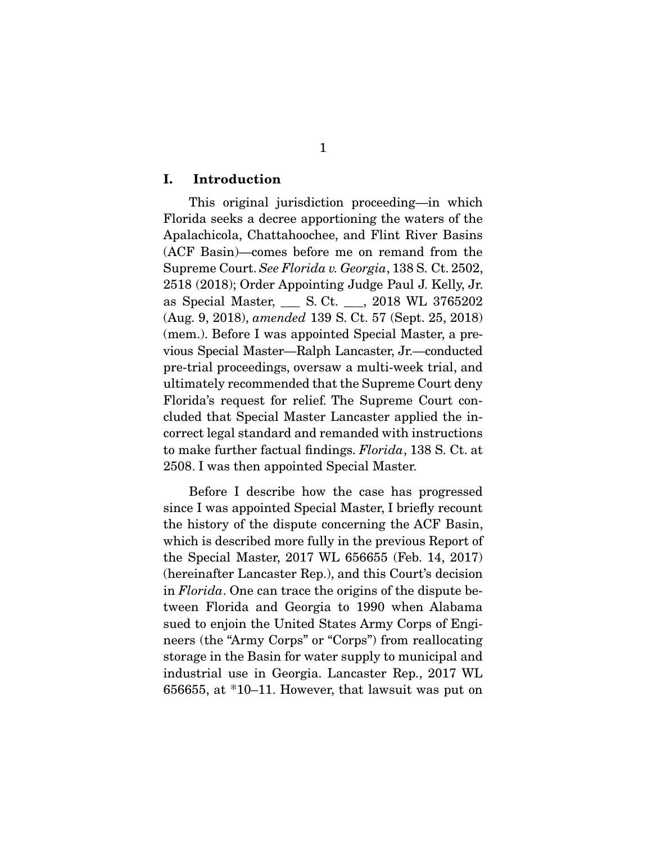#### I. Introduction

 This original jurisdiction proceeding—in which Florida seeks a decree apportioning the waters of the Apalachicola, Chattahoochee, and Flint River Basins (ACF Basin)—comes before me on remand from the Supreme Court. *See Florida v. Georgia*, 138 S. Ct. 2502, 2518 (2018); Order Appointing Judge Paul J. Kelly, Jr. as Special Master, \_\_\_ S. Ct. \_\_\_, 2018 WL 3765202 (Aug. 9, 2018), *amended* 139 S. Ct. 57 (Sept. 25, 2018) (mem.). Before I was appointed Special Master, a previous Special Master—Ralph Lancaster, Jr.—conducted pre-trial proceedings, oversaw a multi-week trial, and ultimately recommended that the Supreme Court deny Florida's request for relief. The Supreme Court concluded that Special Master Lancaster applied the incorrect legal standard and remanded with instructions to make further factual findings. *Florida*, 138 S. Ct. at 2508. I was then appointed Special Master.

 Before I describe how the case has progressed since I was appointed Special Master, I briefly recount the history of the dispute concerning the ACF Basin, which is described more fully in the previous Report of the Special Master, 2017 WL 656655 (Feb. 14, 2017) (hereinafter Lancaster Rep.), and this Court's decision in *Florida*. One can trace the origins of the dispute between Florida and Georgia to 1990 when Alabama sued to enjoin the United States Army Corps of Engineers (the "Army Corps" or "Corps") from reallocating storage in the Basin for water supply to municipal and industrial use in Georgia. Lancaster Rep., 2017 WL 656655, at \*10–11. However, that lawsuit was put on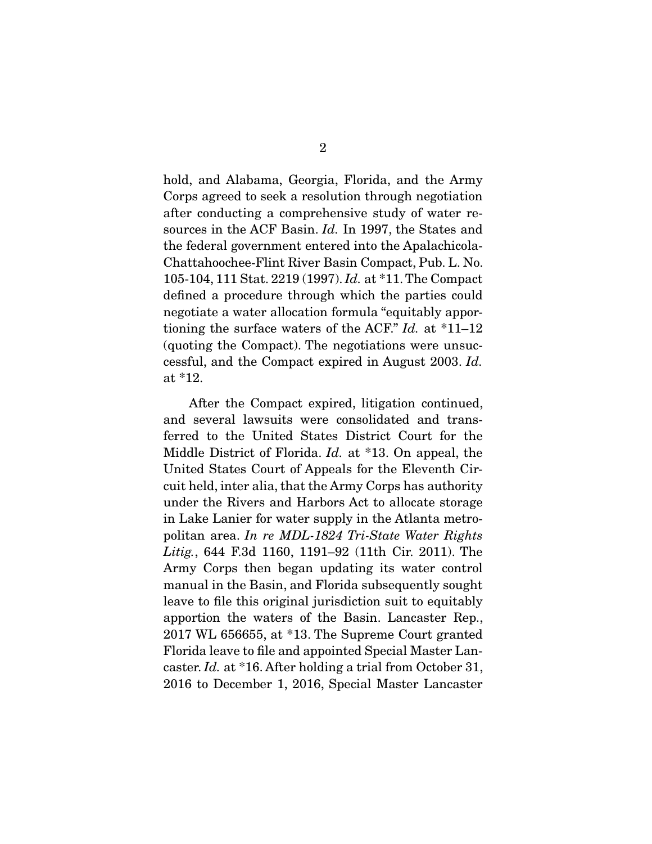hold, and Alabama, Georgia, Florida, and the Army Corps agreed to seek a resolution through negotiation after conducting a comprehensive study of water resources in the ACF Basin. *Id.* In 1997, the States and the federal government entered into the Apalachicola-Chattahoochee-Flint River Basin Compact, Pub. L. No. 105-104, 111 Stat. 2219 (1997). *Id.* at \*11. The Compact defined a procedure through which the parties could negotiate a water allocation formula "equitably apportioning the surface waters of the ACF." *Id.* at \*11–12 (quoting the Compact). The negotiations were unsuccessful, and the Compact expired in August 2003. *Id.* at \*12.

 After the Compact expired, litigation continued, and several lawsuits were consolidated and transferred to the United States District Court for the Middle District of Florida. *Id.* at \*13. On appeal, the United States Court of Appeals for the Eleventh Circuit held, inter alia, that the Army Corps has authority under the Rivers and Harbors Act to allocate storage in Lake Lanier for water supply in the Atlanta metropolitan area. *In re MDL-1824 Tri-State Water Rights Litig.*, 644 F.3d 1160, 1191–92 (11th Cir. 2011). The Army Corps then began updating its water control manual in the Basin, and Florida subsequently sought leave to file this original jurisdiction suit to equitably apportion the waters of the Basin. Lancaster Rep., 2017 WL 656655, at \*13. The Supreme Court granted Florida leave to file and appointed Special Master Lancaster. *Id.* at \*16. After holding a trial from October 31, 2016 to December 1, 2016, Special Master Lancaster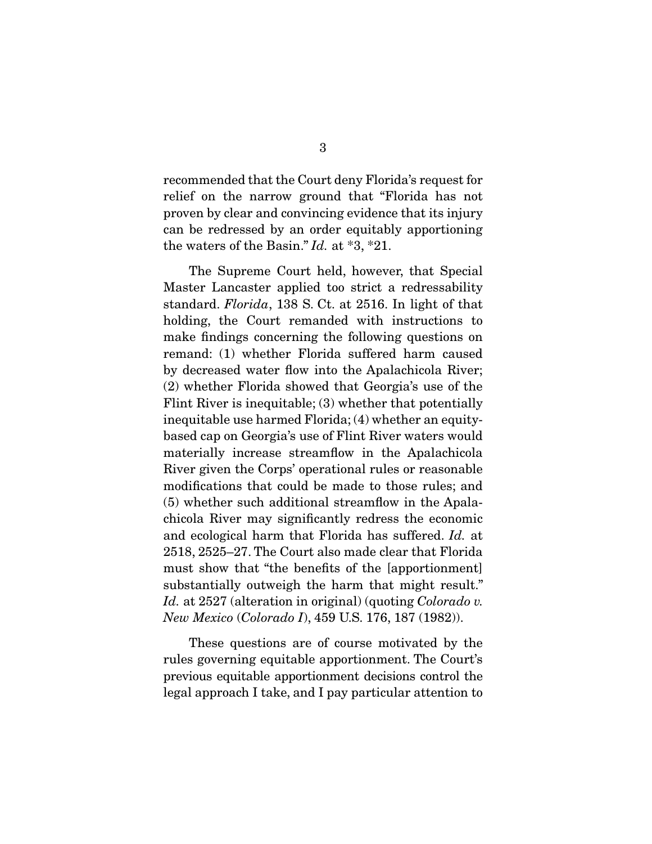recommended that the Court deny Florida's request for relief on the narrow ground that "Florida has not proven by clear and convincing evidence that its injury can be redressed by an order equitably apportioning the waters of the Basin." *Id.* at \*3, \*21.

 The Supreme Court held, however, that Special Master Lancaster applied too strict a redressability standard. *Florida*, 138 S. Ct. at 2516. In light of that holding, the Court remanded with instructions to make findings concerning the following questions on remand: (1) whether Florida suffered harm caused by decreased water flow into the Apalachicola River; (2) whether Florida showed that Georgia's use of the Flint River is inequitable; (3) whether that potentially inequitable use harmed Florida; (4) whether an equitybased cap on Georgia's use of Flint River waters would materially increase streamflow in the Apalachicola River given the Corps' operational rules or reasonable modifications that could be made to those rules; and (5) whether such additional streamflow in the Apalachicola River may significantly redress the economic and ecological harm that Florida has suffered. *Id.* at 2518, 2525–27. The Court also made clear that Florida must show that "the benefits of the [apportionment] substantially outweigh the harm that might result." *Id.* at 2527 (alteration in original) (quoting *Colorado v. New Mexico* (*Colorado I*), 459 U.S. 176, 187 (1982)).

 These questions are of course motivated by the rules governing equitable apportionment. The Court's previous equitable apportionment decisions control the legal approach I take, and I pay particular attention to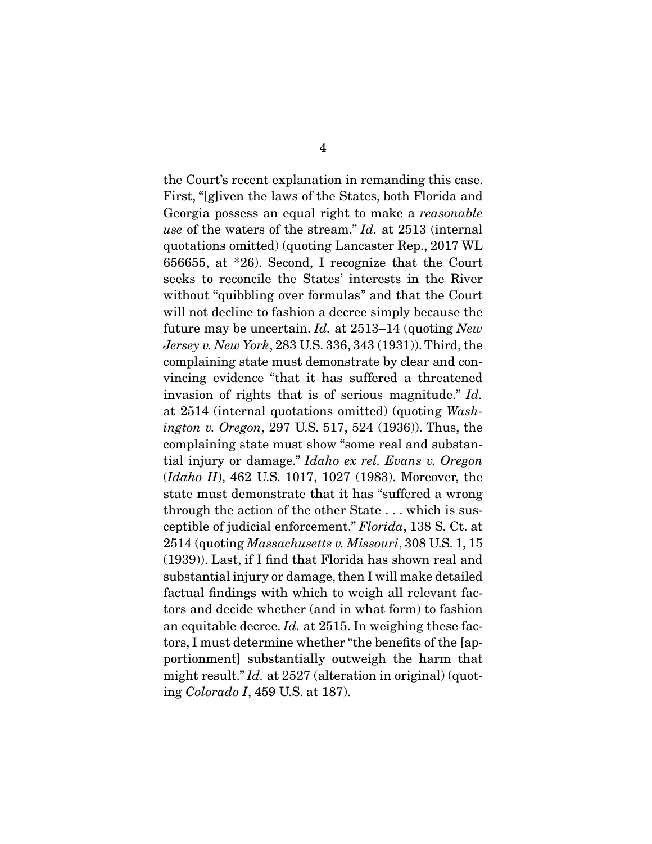the Court's recent explanation in remanding this case. First, "[g]iven the laws of the States, both Florida and Georgia possess an equal right to make a *reasonable use* of the waters of the stream." *Id.* at 2513 (internal quotations omitted) (quoting Lancaster Rep., 2017 WL 656655, at \*26). Second, I recognize that the Court seeks to reconcile the States' interests in the River without "quibbling over formulas" and that the Court will not decline to fashion a decree simply because the future may be uncertain. *Id.* at 2513–14 (quoting *New Jersey v. New York*, 283 U.S. 336, 343 (1931)). Third, the complaining state must demonstrate by clear and convincing evidence "that it has suffered a threatened invasion of rights that is of serious magnitude." *Id.* at 2514 (internal quotations omitted) (quoting *Washington v. Oregon*, 297 U.S. 517, 524 (1936)). Thus, the complaining state must show "some real and substantial injury or damage." *Idaho ex rel. Evans v. Oregon* (*Idaho II*), 462 U.S. 1017, 1027 (1983). Moreover, the state must demonstrate that it has "suffered a wrong through the action of the other State . . . which is susceptible of judicial enforcement." *Florida*, 138 S. Ct. at 2514 (quoting *Massachusetts v. Missouri*, 308 U.S. 1, 15 (1939)). Last, if I find that Florida has shown real and substantial injury or damage, then I will make detailed factual findings with which to weigh all relevant factors and decide whether (and in what form) to fashion an equitable decree. *Id.* at 2515. In weighing these factors, I must determine whether "the benefits of the [apportionment] substantially outweigh the harm that might result." *Id.* at 2527 (alteration in original) (quoting *Colorado I*, 459 U.S. at 187).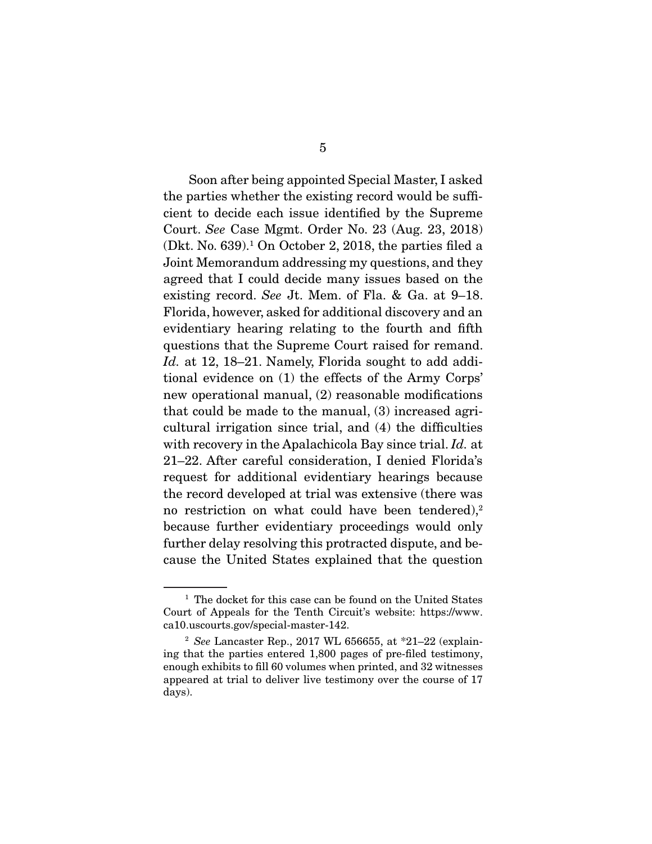Soon after being appointed Special Master, I asked the parties whether the existing record would be sufficient to decide each issue identified by the Supreme Court. *See* Case Mgmt. Order No. 23 (Aug. 23, 2018)  $(Dkt. No. 639).<sup>1</sup> On October 2, 2018, the parties filed a$ Joint Memorandum addressing my questions, and they agreed that I could decide many issues based on the existing record. *See* Jt. Mem. of Fla. & Ga. at 9–18. Florida, however, asked for additional discovery and an evidentiary hearing relating to the fourth and fifth questions that the Supreme Court raised for remand. Id. at 12, 18–21. Namely, Florida sought to add additional evidence on (1) the effects of the Army Corps' new operational manual, (2) reasonable modifications that could be made to the manual, (3) increased agricultural irrigation since trial, and (4) the difficulties with recovery in the Apalachicola Bay since trial. *Id.* at 21–22. After careful consideration, I denied Florida's request for additional evidentiary hearings because the record developed at trial was extensive (there was no restriction on what could have been tendered), $2$ because further evidentiary proceedings would only further delay resolving this protracted dispute, and because the United States explained that the question

<sup>&</sup>lt;sup>1</sup> The docket for this case can be found on the United States Court of Appeals for the Tenth Circuit's website: https://www. ca10.uscourts.gov/special-master-142.

<sup>2</sup> *See* Lancaster Rep., 2017 WL 656655, at \*21–22 (explaining that the parties entered 1,800 pages of pre-filed testimony, enough exhibits to fill 60 volumes when printed, and 32 witnesses appeared at trial to deliver live testimony over the course of 17 days).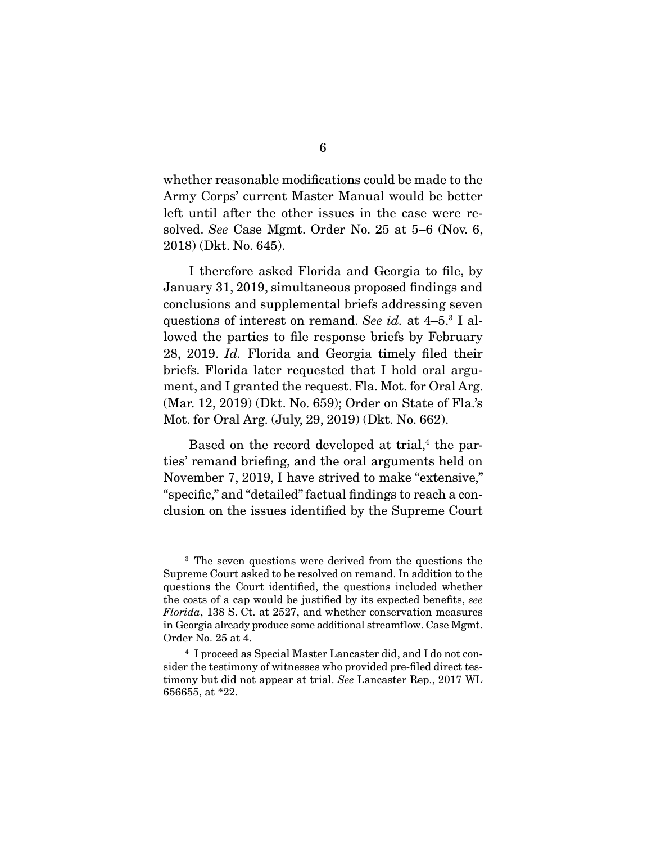whether reasonable modifications could be made to the Army Corps' current Master Manual would be better left until after the other issues in the case were resolved. *See* Case Mgmt. Order No. 25 at 5–6 (Nov. 6, 2018) (Dkt. No. 645).

 I therefore asked Florida and Georgia to file, by January 31, 2019, simultaneous proposed findings and conclusions and supplemental briefs addressing seven questions of interest on remand. *See id.* at 4–5.3 I allowed the parties to file response briefs by February 28, 2019. *Id.* Florida and Georgia timely filed their briefs. Florida later requested that I hold oral argument, and I granted the request. Fla. Mot. for Oral Arg. (Mar. 12, 2019) (Dkt. No. 659); Order on State of Fla.'s Mot. for Oral Arg. (July, 29, 2019) (Dkt. No. 662).

Based on the record developed at trial,<sup>4</sup> the parties' remand briefing, and the oral arguments held on November 7, 2019, I have strived to make "extensive," "specific," and "detailed" factual findings to reach a conclusion on the issues identified by the Supreme Court

<sup>&</sup>lt;sup>3</sup> The seven questions were derived from the questions the Supreme Court asked to be resolved on remand. In addition to the questions the Court identified, the questions included whether the costs of a cap would be justified by its expected benefits, *see Florida*, 138 S. Ct. at 2527, and whether conservation measures in Georgia already produce some additional streamflow. Case Mgmt. Order No. 25 at 4.

<sup>4</sup> I proceed as Special Master Lancaster did, and I do not consider the testimony of witnesses who provided pre-filed direct testimony but did not appear at trial. *See* Lancaster Rep., 2017 WL 656655, at \*22.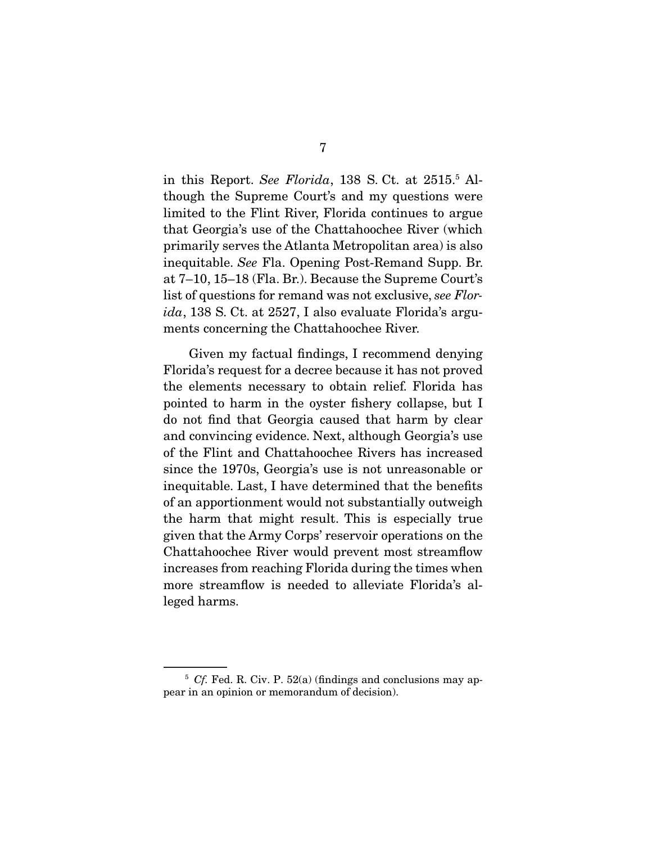in this Report. *See Florida*, 138 S. Ct. at 2515.5 Although the Supreme Court's and my questions were limited to the Flint River, Florida continues to argue that Georgia's use of the Chattahoochee River (which primarily serves the Atlanta Metropolitan area) is also inequitable. *See* Fla. Opening Post-Remand Supp. Br. at 7–10, 15–18 (Fla. Br.). Because the Supreme Court's list of questions for remand was not exclusive, *see Florida*, 138 S. Ct. at 2527, I also evaluate Florida's arguments concerning the Chattahoochee River.

 Given my factual findings, I recommend denying Florida's request for a decree because it has not proved the elements necessary to obtain relief. Florida has pointed to harm in the oyster fishery collapse, but I do not find that Georgia caused that harm by clear and convincing evidence. Next, although Georgia's use of the Flint and Chattahoochee Rivers has increased since the 1970s, Georgia's use is not unreasonable or inequitable. Last, I have determined that the benefits of an apportionment would not substantially outweigh the harm that might result. This is especially true given that the Army Corps' reservoir operations on the Chattahoochee River would prevent most streamflow increases from reaching Florida during the times when more streamflow is needed to alleviate Florida's alleged harms.

<sup>&</sup>lt;sup>5</sup> *Cf.* Fed. R. Civ. P. 52(a) (findings and conclusions may appear in an opinion or memorandum of decision).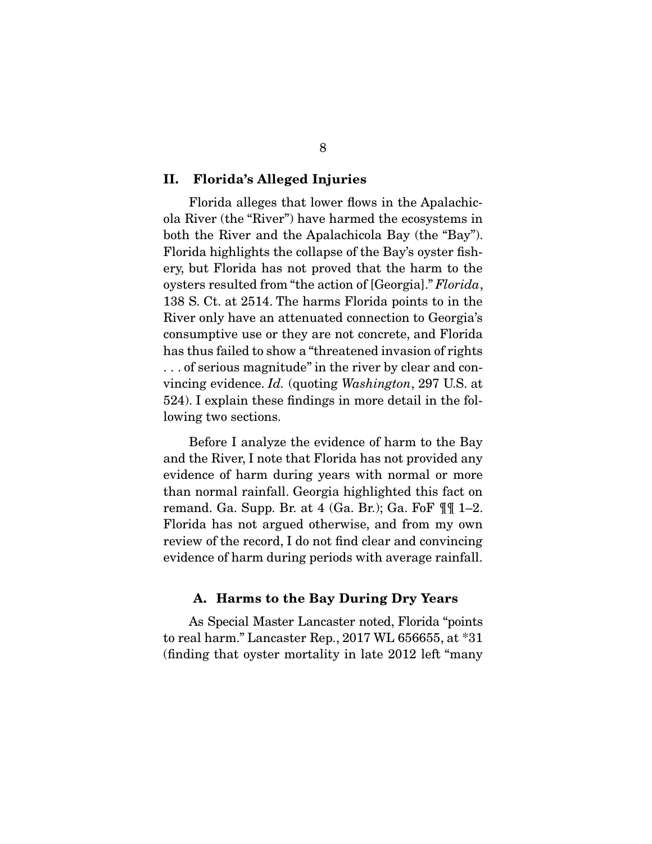#### II. Florida's Alleged Injuries

 Florida alleges that lower flows in the Apalachicola River (the "River") have harmed the ecosystems in both the River and the Apalachicola Bay (the "Bay"). Florida highlights the collapse of the Bay's oyster fishery, but Florida has not proved that the harm to the oysters resulted from "the action of [Georgia]." *Florida*, 138 S. Ct. at 2514. The harms Florida points to in the River only have an attenuated connection to Georgia's consumptive use or they are not concrete, and Florida has thus failed to show a "threatened invasion of rights . . . of serious magnitude" in the river by clear and convincing evidence. *Id.* (quoting *Washington*, 297 U.S. at 524). I explain these findings in more detail in the following two sections.

 Before I analyze the evidence of harm to the Bay and the River, I note that Florida has not provided any evidence of harm during years with normal or more than normal rainfall. Georgia highlighted this fact on remand. Ga. Supp. Br. at  $4$  (Ga. Br.); Ga. FoF  $\P\P$  1–2. Florida has not argued otherwise, and from my own review of the record, I do not find clear and convincing evidence of harm during periods with average rainfall.

#### A. Harms to the Bay During Dry Years

 As Special Master Lancaster noted, Florida "points to real harm." Lancaster Rep., 2017 WL 656655, at \*31 (finding that oyster mortality in late 2012 left "many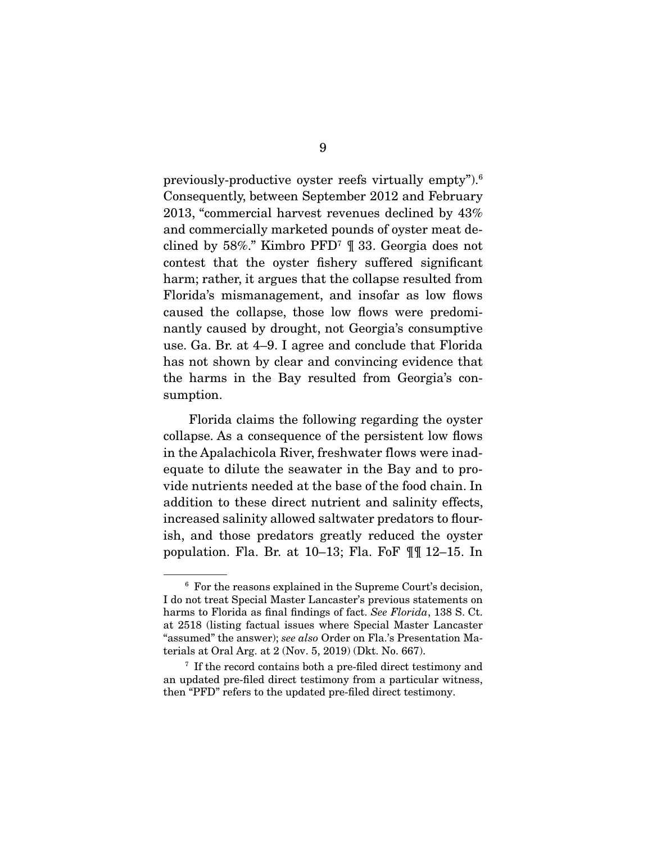previously-productive oyster reefs virtually empty").6 Consequently, between September 2012 and February 2013, "commercial harvest revenues declined by 43% and commercially marketed pounds of oyster meat declined by 58%." Kimbro PFD7 ¶ 33. Georgia does not contest that the oyster fishery suffered significant harm; rather, it argues that the collapse resulted from Florida's mismanagement, and insofar as low flows caused the collapse, those low flows were predominantly caused by drought, not Georgia's consumptive use. Ga. Br. at 4–9. I agree and conclude that Florida has not shown by clear and convincing evidence that the harms in the Bay resulted from Georgia's consumption.

 Florida claims the following regarding the oyster collapse. As a consequence of the persistent low flows in the Apalachicola River, freshwater flows were inadequate to dilute the seawater in the Bay and to provide nutrients needed at the base of the food chain. In addition to these direct nutrient and salinity effects, increased salinity allowed saltwater predators to flourish, and those predators greatly reduced the oyster population. Fla. Br. at 10–13; Fla. FoF ¶¶ 12–15. In

<sup>6</sup> For the reasons explained in the Supreme Court's decision, I do not treat Special Master Lancaster's previous statements on harms to Florida as final findings of fact. *See Florida*, 138 S. Ct. at 2518 (listing factual issues where Special Master Lancaster "assumed" the answer); *see also* Order on Fla.'s Presentation Materials at Oral Arg. at 2 (Nov. 5, 2019) (Dkt. No. 667).

<sup>&</sup>lt;sup>7</sup> If the record contains both a pre-filed direct testimony and an updated pre-filed direct testimony from a particular witness, then "PFD" refers to the updated pre-filed direct testimony.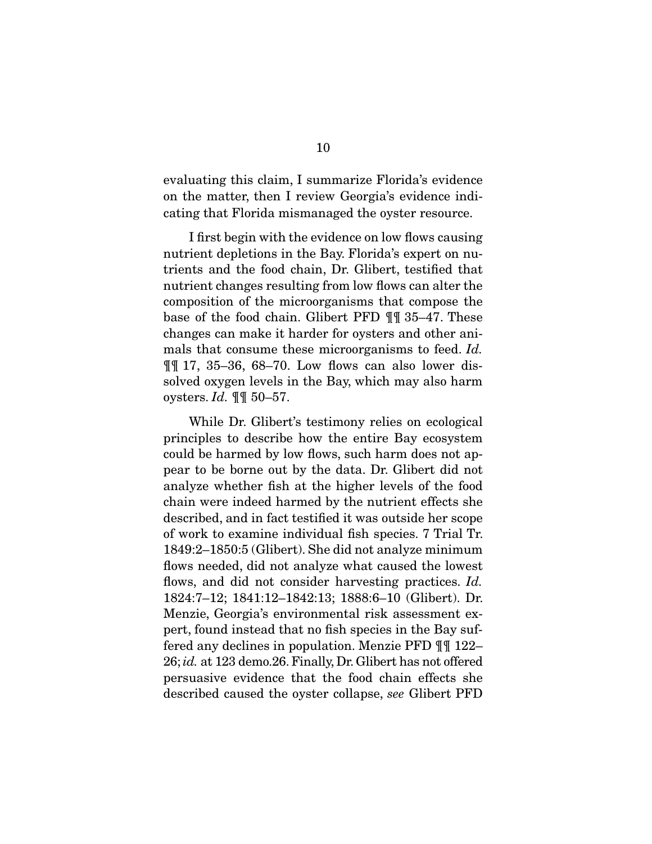evaluating this claim, I summarize Florida's evidence on the matter, then I review Georgia's evidence indicating that Florida mismanaged the oyster resource.

 I first begin with the evidence on low flows causing nutrient depletions in the Bay. Florida's expert on nutrients and the food chain, Dr. Glibert, testified that nutrient changes resulting from low flows can alter the composition of the microorganisms that compose the base of the food chain. Glibert PFD ¶¶ 35–47. These changes can make it harder for oysters and other animals that consume these microorganisms to feed. *Id.* ¶¶ 17, 35–36, 68–70. Low flows can also lower dissolved oxygen levels in the Bay, which may also harm oysters. *Id.* ¶¶ 50–57.

 While Dr. Glibert's testimony relies on ecological principles to describe how the entire Bay ecosystem could be harmed by low flows, such harm does not appear to be borne out by the data. Dr. Glibert did not analyze whether fish at the higher levels of the food chain were indeed harmed by the nutrient effects she described, and in fact testified it was outside her scope of work to examine individual fish species. 7 Trial Tr. 1849:2–1850:5 (Glibert). She did not analyze minimum flows needed, did not analyze what caused the lowest flows, and did not consider harvesting practices. *Id.* 1824:7–12; 1841:12–1842:13; 1888:6–10 (Glibert). Dr. Menzie, Georgia's environmental risk assessment expert, found instead that no fish species in the Bay suffered any declines in population. Menzie PFD ¶¶ 122– 26; *id.* at 123 demo.26. Finally, Dr. Glibert has not offered persuasive evidence that the food chain effects she described caused the oyster collapse, *see* Glibert PFD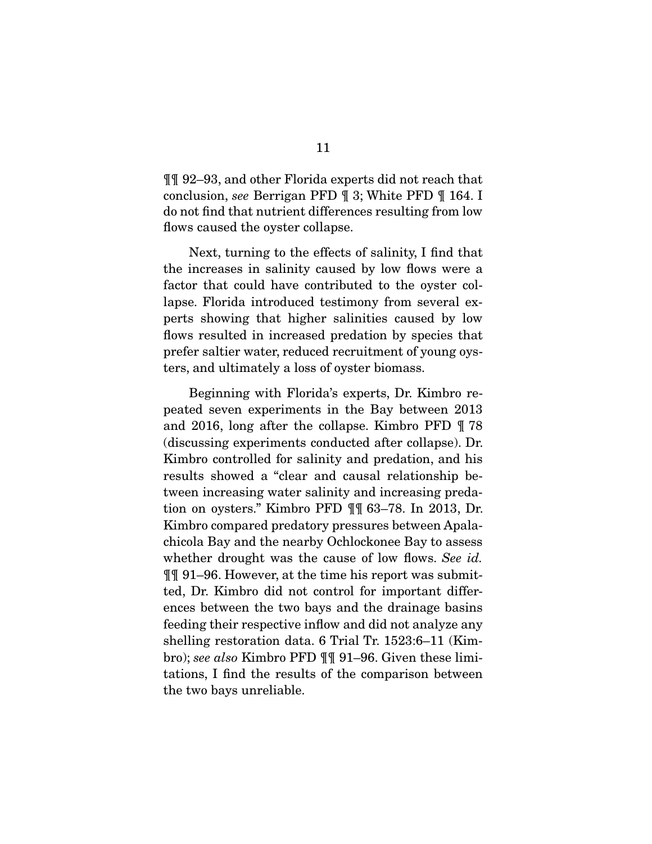¶¶ 92–93, and other Florida experts did not reach that conclusion, *see* Berrigan PFD ¶ 3; White PFD ¶ 164. I do not find that nutrient differences resulting from low flows caused the oyster collapse.

 Next, turning to the effects of salinity, I find that the increases in salinity caused by low flows were a factor that could have contributed to the oyster collapse. Florida introduced testimony from several experts showing that higher salinities caused by low flows resulted in increased predation by species that prefer saltier water, reduced recruitment of young oysters, and ultimately a loss of oyster biomass.

 Beginning with Florida's experts, Dr. Kimbro repeated seven experiments in the Bay between 2013 and 2016, long after the collapse. Kimbro PFD ¶ 78 (discussing experiments conducted after collapse). Dr. Kimbro controlled for salinity and predation, and his results showed a "clear and causal relationship between increasing water salinity and increasing predation on oysters." Kimbro PFD ¶¶ 63–78. In 2013, Dr. Kimbro compared predatory pressures between Apalachicola Bay and the nearby Ochlockonee Bay to assess whether drought was the cause of low flows. *See id.* ¶¶ 91–96. However, at the time his report was submitted, Dr. Kimbro did not control for important differences between the two bays and the drainage basins feeding their respective inflow and did not analyze any shelling restoration data. 6 Trial Tr. 1523:6–11 (Kimbro); *see also* Kimbro PFD ¶¶ 91–96. Given these limitations, I find the results of the comparison between the two bays unreliable.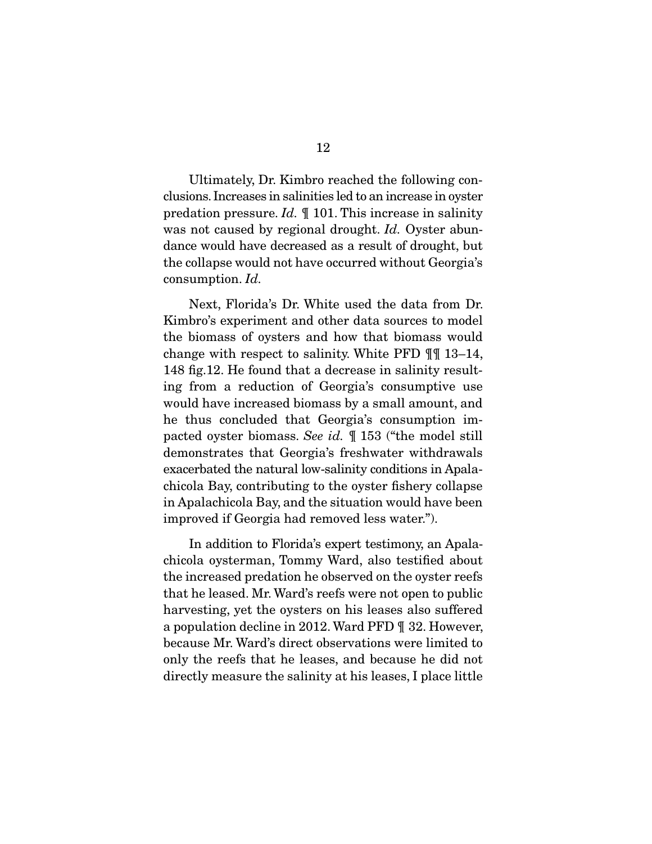Ultimately, Dr. Kimbro reached the following conclusions. Increases in salinities led to an increase in oyster predation pressure. *Id.* ¶ 101. This increase in salinity was not caused by regional drought. *Id.* Oyster abundance would have decreased as a result of drought, but the collapse would not have occurred without Georgia's consumption. *Id.*

 Next, Florida's Dr. White used the data from Dr. Kimbro's experiment and other data sources to model the biomass of oysters and how that biomass would change with respect to salinity. White PFD ¶¶ 13–14, 148 fig.12. He found that a decrease in salinity resulting from a reduction of Georgia's consumptive use would have increased biomass by a small amount, and he thus concluded that Georgia's consumption impacted oyster biomass. *See id.* ¶ 153 ("the model still demonstrates that Georgia's freshwater withdrawals exacerbated the natural low-salinity conditions in Apalachicola Bay, contributing to the oyster fishery collapse in Apalachicola Bay, and the situation would have been improved if Georgia had removed less water.").

 In addition to Florida's expert testimony, an Apalachicola oysterman, Tommy Ward, also testified about the increased predation he observed on the oyster reefs that he leased. Mr. Ward's reefs were not open to public harvesting, yet the oysters on his leases also suffered a population decline in 2012. Ward PFD ¶ 32. However, because Mr. Ward's direct observations were limited to only the reefs that he leases, and because he did not directly measure the salinity at his leases, I place little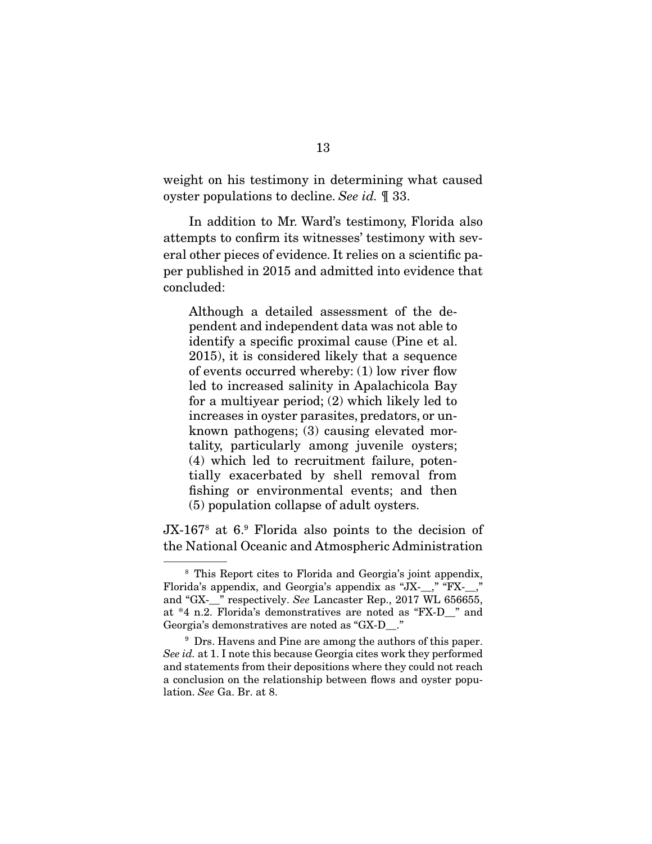weight on his testimony in determining what caused oyster populations to decline. *See id.* ¶ 33.

 In addition to Mr. Ward's testimony, Florida also attempts to confirm its witnesses' testimony with several other pieces of evidence. It relies on a scientific paper published in 2015 and admitted into evidence that concluded:

Although a detailed assessment of the dependent and independent data was not able to identify a specific proximal cause (Pine et al. 2015), it is considered likely that a sequence of events occurred whereby: (1) low river flow led to increased salinity in Apalachicola Bay for a multiyear period; (2) which likely led to increases in oyster parasites, predators, or unknown pathogens; (3) causing elevated mortality, particularly among juvenile oysters; (4) which led to recruitment failure, potentially exacerbated by shell removal from fishing or environmental events; and then (5) population collapse of adult oysters.

JX-167<sup>8</sup> at 6.<sup>9</sup> Florida also points to the decision of the National Oceanic and Atmospheric Administration

<sup>8</sup> This Report cites to Florida and Georgia's joint appendix, Florida's appendix, and Georgia's appendix as "JX- ," "FX-," and "GX-\_\_" respectively. *See* Lancaster Rep., 2017 WL 656655, at \*4 n.2. Florida's demonstratives are noted as "FX-D\_\_" and Georgia's demonstratives are noted as "GX-D\_\_."

<sup>&</sup>lt;sup>9</sup> Drs. Havens and Pine are among the authors of this paper. *See id.* at 1. I note this because Georgia cites work they performed and statements from their depositions where they could not reach a conclusion on the relationship between flows and oyster population. *See* Ga. Br. at 8.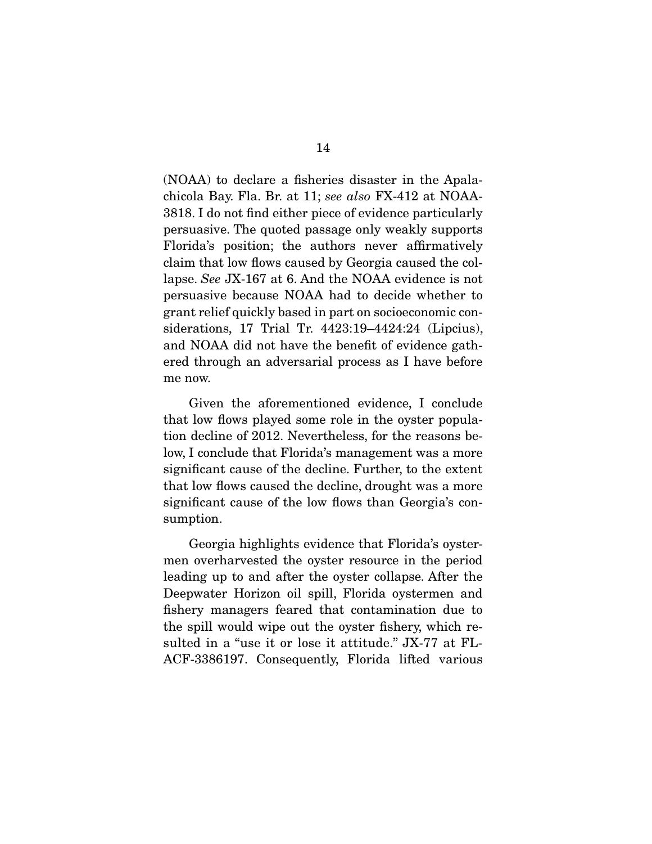(NOAA) to declare a fisheries disaster in the Apalachicola Bay. Fla. Br. at 11; *see also* FX-412 at NOAA-3818. I do not find either piece of evidence particularly persuasive. The quoted passage only weakly supports Florida's position; the authors never affirmatively claim that low flows caused by Georgia caused the collapse. *See* JX-167 at 6. And the NOAA evidence is not persuasive because NOAA had to decide whether to grant relief quickly based in part on socioeconomic considerations, 17 Trial Tr. 4423:19–4424:24 (Lipcius), and NOAA did not have the benefit of evidence gathered through an adversarial process as I have before me now.

 Given the aforementioned evidence, I conclude that low flows played some role in the oyster population decline of 2012. Nevertheless, for the reasons below, I conclude that Florida's management was a more significant cause of the decline. Further, to the extent that low flows caused the decline, drought was a more significant cause of the low flows than Georgia's consumption.

 Georgia highlights evidence that Florida's oystermen overharvested the oyster resource in the period leading up to and after the oyster collapse. After the Deepwater Horizon oil spill, Florida oystermen and fishery managers feared that contamination due to the spill would wipe out the oyster fishery, which resulted in a "use it or lose it attitude." JX-77 at FL-ACF-3386197. Consequently, Florida lifted various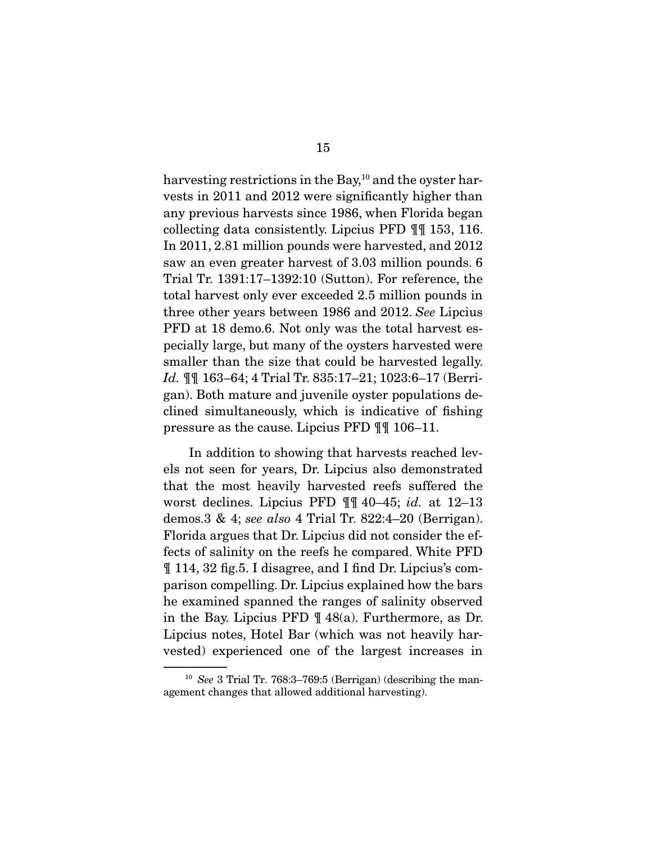harvesting restrictions in the Bay, $10$  and the oyster harvests in 2011 and 2012 were significantly higher than any previous harvests since 1986, when Florida began collecting data consistently. Lipcius PFD ¶¶ 153, 116. In 2011, 2.81 million pounds were harvested, and 2012 saw an even greater harvest of 3.03 million pounds. 6 Trial Tr. 1391:17–1392:10 (Sutton). For reference, the total harvest only ever exceeded 2.5 million pounds in three other years between 1986 and 2012. *See* Lipcius PFD at 18 demo.6. Not only was the total harvest especially large, but many of the oysters harvested were smaller than the size that could be harvested legally. *Id.* ¶¶ 163–64; 4 Trial Tr. 835:17–21; 1023:6–17 (Berrigan). Both mature and juvenile oyster populations declined simultaneously, which is indicative of fishing pressure as the cause. Lipcius PFD ¶¶ 106–11.

 In addition to showing that harvests reached levels not seen for years, Dr. Lipcius also demonstrated that the most heavily harvested reefs suffered the worst declines. Lipcius PFD ¶¶ 40–45; *id.* at 12–13 demos.3 & 4; *see also* 4 Trial Tr. 822:4–20 (Berrigan). Florida argues that Dr. Lipcius did not consider the effects of salinity on the reefs he compared. White PFD ¶ 114, 32 fig.5. I disagree, and I find Dr. Lipcius's comparison compelling. Dr. Lipcius explained how the bars he examined spanned the ranges of salinity observed in the Bay. Lipcius PFD ¶ 48(a). Furthermore, as Dr. Lipcius notes, Hotel Bar (which was not heavily harvested) experienced one of the largest increases in

<sup>10</sup> *See* 3 Trial Tr. 768:3–769:5 (Berrigan) (describing the management changes that allowed additional harvesting).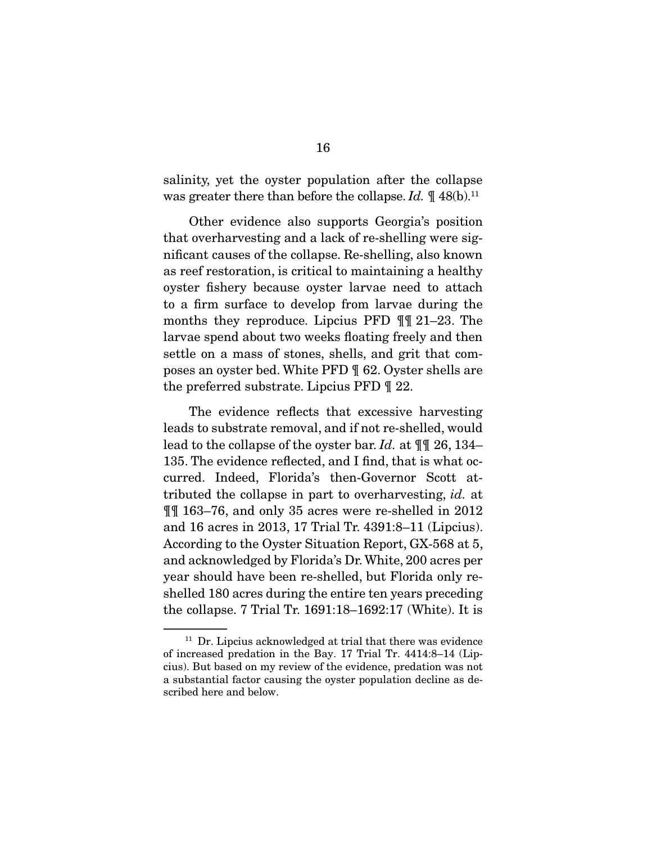salinity, yet the oyster population after the collapse was greater there than before the collapse. *Id.*  $\P$  48(b).<sup>11</sup>

 Other evidence also supports Georgia's position that overharvesting and a lack of re-shelling were significant causes of the collapse. Re-shelling, also known as reef restoration, is critical to maintaining a healthy oyster fishery because oyster larvae need to attach to a firm surface to develop from larvae during the months they reproduce. Lipcius PFD ¶¶ 21–23. The larvae spend about two weeks floating freely and then settle on a mass of stones, shells, and grit that composes an oyster bed. White PFD ¶ 62. Oyster shells are the preferred substrate. Lipcius PFD ¶ 22.

 The evidence reflects that excessive harvesting leads to substrate removal, and if not re-shelled, would lead to the collapse of the oyster bar. *Id.* at ¶¶ 26, 134– 135. The evidence reflected, and I find, that is what occurred. Indeed, Florida's then-Governor Scott attributed the collapse in part to overharvesting, *id.* at ¶¶ 163–76, and only 35 acres were re-shelled in 2012 and 16 acres in 2013, 17 Trial Tr. 4391:8–11 (Lipcius). According to the Oyster Situation Report, GX-568 at 5, and acknowledged by Florida's Dr. White, 200 acres per year should have been re-shelled, but Florida only reshelled 180 acres during the entire ten years preceding the collapse. 7 Trial Tr. 1691:18–1692:17 (White). It is

 $11$  Dr. Lipcius acknowledged at trial that there was evidence of increased predation in the Bay. 17 Trial Tr. 4414:8–14 (Lipcius). But based on my review of the evidence, predation was not a substantial factor causing the oyster population decline as described here and below.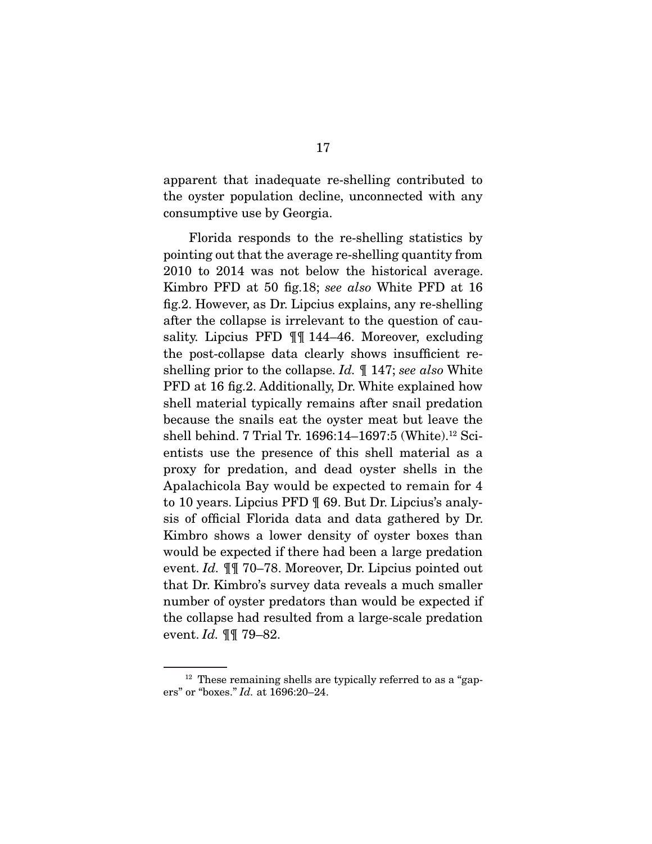apparent that inadequate re-shelling contributed to the oyster population decline, unconnected with any consumptive use by Georgia.

 Florida responds to the re-shelling statistics by pointing out that the average re-shelling quantity from 2010 to 2014 was not below the historical average. Kimbro PFD at 50 fig.18; *see also* White PFD at 16 fig.2. However, as Dr. Lipcius explains, any re-shelling after the collapse is irrelevant to the question of causality. Lipcius PFD ¶¶ 144–46. Moreover, excluding the post-collapse data clearly shows insufficient reshelling prior to the collapse. *Id.* ¶ 147; *see also* White PFD at 16 fig.2. Additionally, Dr. White explained how shell material typically remains after snail predation because the snails eat the oyster meat but leave the shell behind. 7 Trial Tr. 1696:14–1697:5 (White).12 Scientists use the presence of this shell material as a proxy for predation, and dead oyster shells in the Apalachicola Bay would be expected to remain for 4 to 10 years. Lipcius PFD ¶ 69. But Dr. Lipcius's analysis of official Florida data and data gathered by Dr. Kimbro shows a lower density of oyster boxes than would be expected if there had been a large predation event. *Id.* ¶¶ 70–78. Moreover, Dr. Lipcius pointed out that Dr. Kimbro's survey data reveals a much smaller number of oyster predators than would be expected if the collapse had resulted from a large-scale predation event. *Id.* ¶¶ 79–82.

 $12$  These remaining shells are typically referred to as a "gapers" or "boxes." *Id.* at 1696:20–24.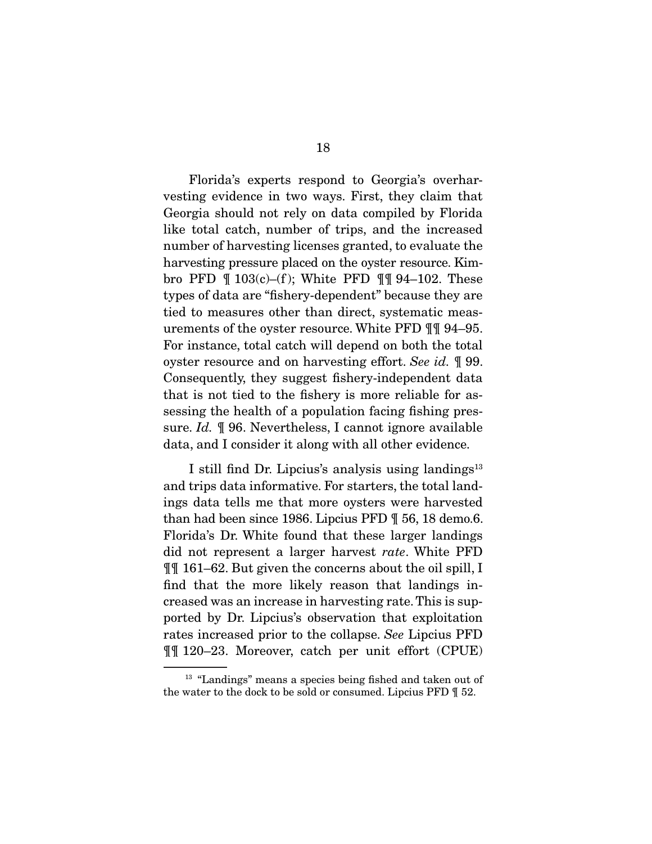Florida's experts respond to Georgia's overharvesting evidence in two ways. First, they claim that Georgia should not rely on data compiled by Florida like total catch, number of trips, and the increased number of harvesting licenses granted, to evaluate the harvesting pressure placed on the oyster resource. Kimbro PFD  $\parallel$  103(c)–(f); White PFD  $\parallel$  94–102. These types of data are "fishery-dependent" because they are tied to measures other than direct, systematic measurements of the oyster resource. White PFD ¶¶ 94–95. For instance, total catch will depend on both the total oyster resource and on harvesting effort. *See id.* ¶ 99. Consequently, they suggest fishery-independent data that is not tied to the fishery is more reliable for assessing the health of a population facing fishing pressure. *Id.* ¶ 96. Nevertheless, I cannot ignore available data, and I consider it along with all other evidence.

I still find Dr. Lipcius's analysis using landings<sup>13</sup> and trips data informative. For starters, the total landings data tells me that more oysters were harvested than had been since 1986. Lipcius PFD ¶ 56, 18 demo.6. Florida's Dr. White found that these larger landings did not represent a larger harvest *rate*. White PFD ¶¶ 161–62. But given the concerns about the oil spill, I find that the more likely reason that landings increased was an increase in harvesting rate. This is supported by Dr. Lipcius's observation that exploitation rates increased prior to the collapse. *See* Lipcius PFD ¶¶ 120–23. Moreover, catch per unit effort (CPUE)

<sup>&</sup>lt;sup>13</sup> "Landings" means a species being fished and taken out of the water to the dock to be sold or consumed. Lipcius PFD ¶ 52.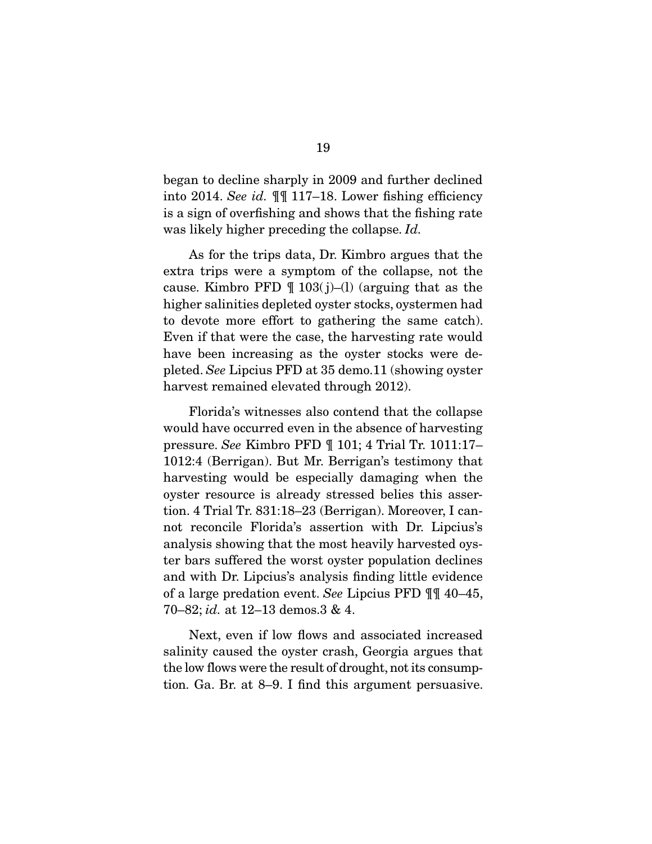began to decline sharply in 2009 and further declined into 2014. *See id.* ¶¶ 117–18. Lower fishing efficiency is a sign of overfishing and shows that the fishing rate was likely higher preceding the collapse. *Id.*

 As for the trips data, Dr. Kimbro argues that the extra trips were a symptom of the collapse, not the cause. Kimbro PFD  $\P$  103(j)–(l) (arguing that as the higher salinities depleted oyster stocks, oystermen had to devote more effort to gathering the same catch). Even if that were the case, the harvesting rate would have been increasing as the oyster stocks were depleted. *See* Lipcius PFD at 35 demo.11 (showing oyster harvest remained elevated through 2012).

 Florida's witnesses also contend that the collapse would have occurred even in the absence of harvesting pressure. *See* Kimbro PFD ¶ 101; 4 Trial Tr. 1011:17– 1012:4 (Berrigan). But Mr. Berrigan's testimony that harvesting would be especially damaging when the oyster resource is already stressed belies this assertion. 4 Trial Tr. 831:18–23 (Berrigan). Moreover, I cannot reconcile Florida's assertion with Dr. Lipcius's analysis showing that the most heavily harvested oyster bars suffered the worst oyster population declines and with Dr. Lipcius's analysis finding little evidence of a large predation event. *See* Lipcius PFD ¶¶ 40–45, 70–82; *id.* at 12–13 demos.3 & 4.

 Next, even if low flows and associated increased salinity caused the oyster crash, Georgia argues that the low flows were the result of drought, not its consumption. Ga. Br. at 8–9. I find this argument persuasive.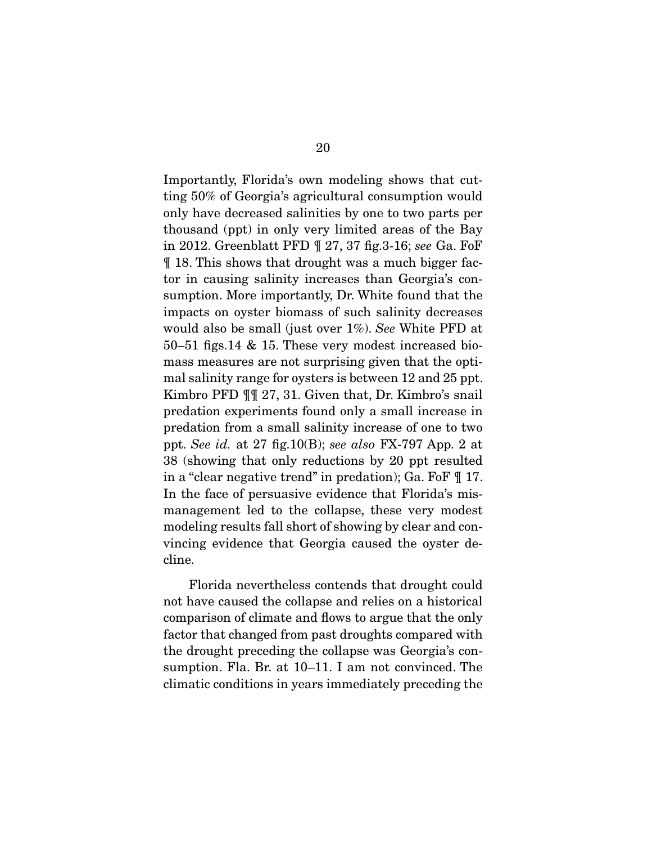Importantly, Florida's own modeling shows that cutting 50% of Georgia's agricultural consumption would only have decreased salinities by one to two parts per thousand (ppt) in only very limited areas of the Bay in 2012. Greenblatt PFD ¶ 27, 37 fig.3-16; *see* Ga. FoF ¶ 18. This shows that drought was a much bigger factor in causing salinity increases than Georgia's consumption. More importantly, Dr. White found that the impacts on oyster biomass of such salinity decreases would also be small (just over 1%). *See* White PFD at 50–51 figs.14 & 15. These very modest increased biomass measures are not surprising given that the optimal salinity range for oysters is between 12 and 25 ppt. Kimbro PFD ¶¶ 27, 31. Given that, Dr. Kimbro's snail predation experiments found only a small increase in predation from a small salinity increase of one to two ppt. *See id.* at 27 fig.10(B); *see also* FX-797 App. 2 at 38 (showing that only reductions by 20 ppt resulted in a "clear negative trend" in predation); Ga. FoF ¶ 17. In the face of persuasive evidence that Florida's mismanagement led to the collapse, these very modest modeling results fall short of showing by clear and convincing evidence that Georgia caused the oyster decline.

 Florida nevertheless contends that drought could not have caused the collapse and relies on a historical comparison of climate and flows to argue that the only factor that changed from past droughts compared with the drought preceding the collapse was Georgia's consumption. Fla. Br. at 10–11. I am not convinced. The climatic conditions in years immediately preceding the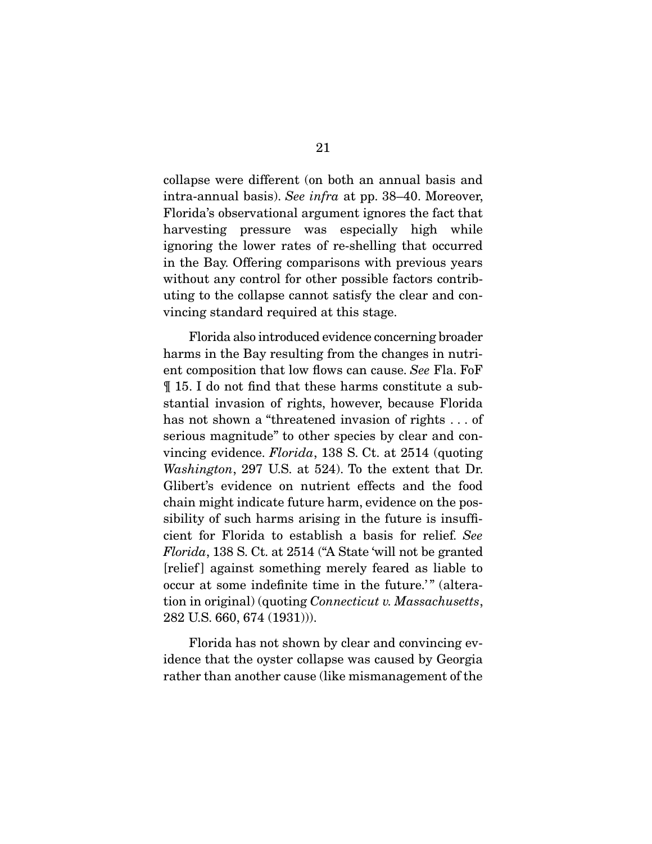collapse were different (on both an annual basis and intra-annual basis). *See infra* at pp. 38–40. Moreover, Florida's observational argument ignores the fact that harvesting pressure was especially high while ignoring the lower rates of re-shelling that occurred in the Bay. Offering comparisons with previous years without any control for other possible factors contributing to the collapse cannot satisfy the clear and convincing standard required at this stage.

 Florida also introduced evidence concerning broader harms in the Bay resulting from the changes in nutrient composition that low flows can cause. *See* Fla. FoF ¶ 15. I do not find that these harms constitute a substantial invasion of rights, however, because Florida has not shown a "threatened invasion of rights ... of serious magnitude" to other species by clear and convincing evidence. *Florida*, 138 S. Ct. at 2514 (quoting *Washington*, 297 U.S. at 524). To the extent that Dr. Glibert's evidence on nutrient effects and the food chain might indicate future harm, evidence on the possibility of such harms arising in the future is insufficient for Florida to establish a basis for relief. *See Florida*, 138 S. Ct. at 2514 ("A State 'will not be granted [relief ] against something merely feared as liable to occur at some indefinite time in the future.'" (alteration in original) (quoting *Connecticut v. Massachusetts*, 282 U.S. 660, 674 (1931))).

 Florida has not shown by clear and convincing evidence that the oyster collapse was caused by Georgia rather than another cause (like mismanagement of the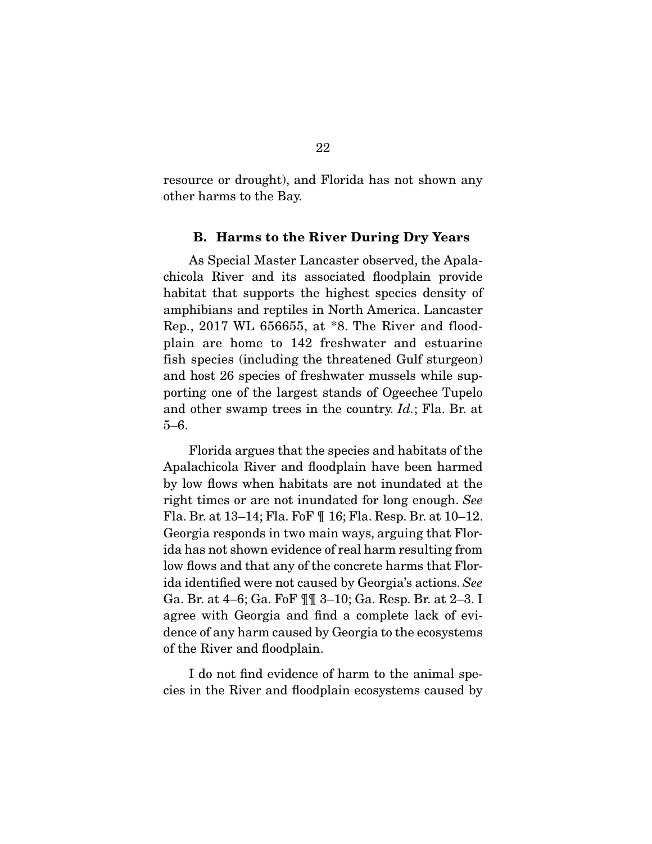resource or drought), and Florida has not shown any other harms to the Bay.

#### B. Harms to the River During Dry Years

 As Special Master Lancaster observed, the Apalachicola River and its associated floodplain provide habitat that supports the highest species density of amphibians and reptiles in North America. Lancaster Rep., 2017 WL 656655, at \*8. The River and floodplain are home to 142 freshwater and estuarine fish species (including the threatened Gulf sturgeon) and host 26 species of freshwater mussels while supporting one of the largest stands of Ogeechee Tupelo and other swamp trees in the country. *Id.*; Fla. Br. at 5–6.

 Florida argues that the species and habitats of the Apalachicola River and floodplain have been harmed by low flows when habitats are not inundated at the right times or are not inundated for long enough. *See* Fla. Br. at 13–14; Fla. FoF ¶ 16; Fla. Resp. Br. at 10–12. Georgia responds in two main ways, arguing that Florida has not shown evidence of real harm resulting from low flows and that any of the concrete harms that Florida identified were not caused by Georgia's actions. *See* Ga. Br. at 4–6; Ga. FoF ¶¶ 3–10; Ga. Resp. Br. at 2–3. I agree with Georgia and find a complete lack of evidence of any harm caused by Georgia to the ecosystems of the River and floodplain.

 I do not find evidence of harm to the animal species in the River and floodplain ecosystems caused by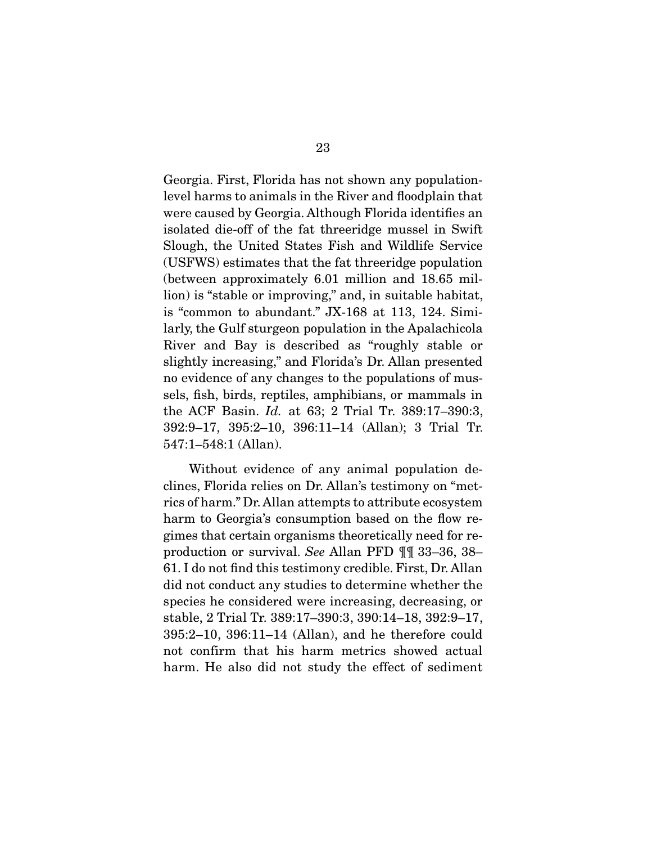Georgia. First, Florida has not shown any populationlevel harms to animals in the River and floodplain that were caused by Georgia. Although Florida identifies an isolated die-off of the fat threeridge mussel in Swift Slough, the United States Fish and Wildlife Service (USFWS) estimates that the fat threeridge population (between approximately 6.01 million and 18.65 million) is "stable or improving," and, in suitable habitat, is "common to abundant." JX-168 at 113, 124. Similarly, the Gulf sturgeon population in the Apalachicola River and Bay is described as "roughly stable or slightly increasing," and Florida's Dr. Allan presented no evidence of any changes to the populations of mussels, fish, birds, reptiles, amphibians, or mammals in the ACF Basin. *Id.* at 63; 2 Trial Tr. 389:17–390:3, 392:9–17, 395:2–10, 396:11–14 (Allan); 3 Trial Tr. 547:1–548:1 (Allan).

 Without evidence of any animal population declines, Florida relies on Dr. Allan's testimony on "metrics of harm." Dr. Allan attempts to attribute ecosystem harm to Georgia's consumption based on the flow regimes that certain organisms theoretically need for reproduction or survival. *See* Allan PFD ¶¶ 33–36, 38– 61. I do not find this testimony credible. First, Dr. Allan did not conduct any studies to determine whether the species he considered were increasing, decreasing, or stable, 2 Trial Tr. 389:17–390:3, 390:14–18, 392:9–17, 395:2–10, 396:11–14 (Allan), and he therefore could not confirm that his harm metrics showed actual harm. He also did not study the effect of sediment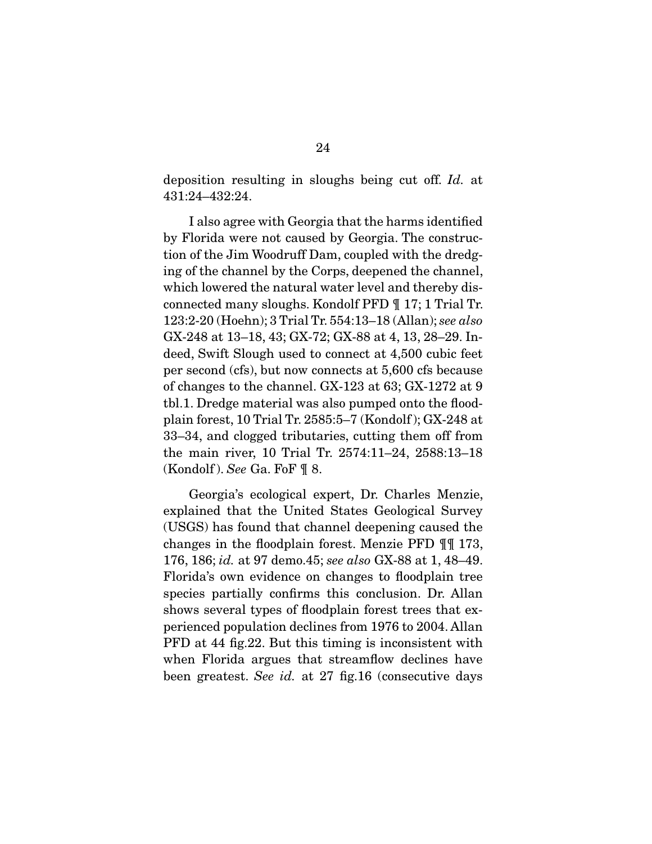deposition resulting in sloughs being cut off. *Id.* at 431:24–432:24.

 I also agree with Georgia that the harms identified by Florida were not caused by Georgia. The construction of the Jim Woodruff Dam, coupled with the dredging of the channel by the Corps, deepened the channel, which lowered the natural water level and thereby disconnected many sloughs. Kondolf PFD ¶ 17; 1 Trial Tr. 123:2-20 (Hoehn); 3 Trial Tr. 554:13–18 (Allan); *see also* GX-248 at 13–18, 43; GX-72; GX-88 at 4, 13, 28–29. Indeed, Swift Slough used to connect at 4,500 cubic feet per second (cfs), but now connects at 5,600 cfs because of changes to the channel. GX-123 at 63; GX-1272 at 9 tbl.1. Dredge material was also pumped onto the floodplain forest, 10 Trial Tr. 2585:5–7 (Kondolf ); GX-248 at 33–34, and clogged tributaries, cutting them off from the main river, 10 Trial Tr. 2574:11–24, 2588:13–18 (Kondolf ). *See* Ga. FoF ¶ 8.

 Georgia's ecological expert, Dr. Charles Menzie, explained that the United States Geological Survey (USGS) has found that channel deepening caused the changes in the floodplain forest. Menzie PFD ¶¶ 173, 176, 186; *id.* at 97 demo.45; *see also* GX-88 at 1, 48–49. Florida's own evidence on changes to floodplain tree species partially confirms this conclusion. Dr. Allan shows several types of floodplain forest trees that experienced population declines from 1976 to 2004. Allan PFD at 44 fig.22. But this timing is inconsistent with when Florida argues that streamflow declines have been greatest. *See id.* at 27 fig.16 (consecutive days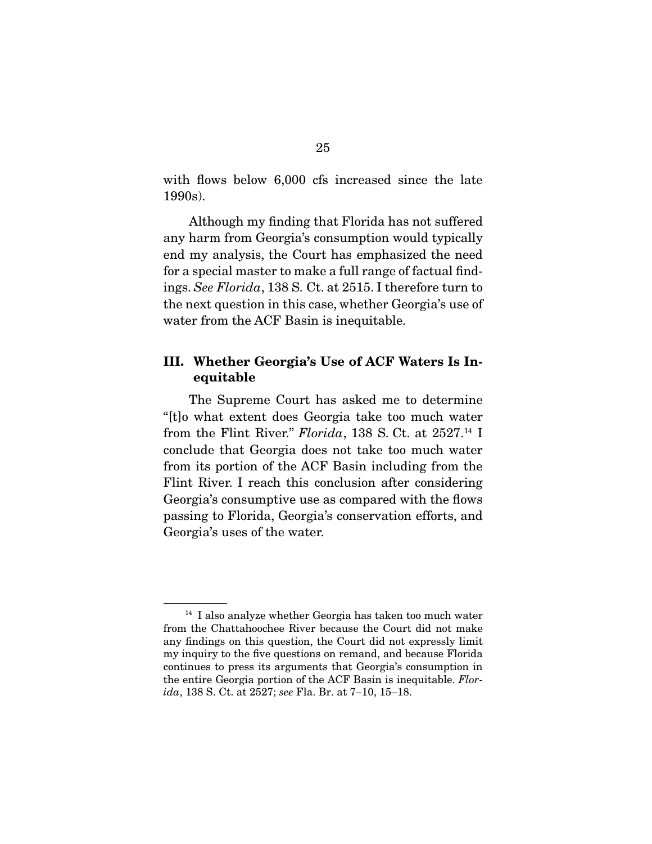with flows below 6,000 cfs increased since the late 1990s).

 Although my finding that Florida has not suffered any harm from Georgia's consumption would typically end my analysis, the Court has emphasized the need for a special master to make a full range of factual findings. *See Florida*, 138 S. Ct. at 2515. I therefore turn to the next question in this case, whether Georgia's use of water from the ACF Basin is inequitable.

### III. Whether Georgia's Use of ACF Waters Is Inequitable

 The Supreme Court has asked me to determine "[t]o what extent does Georgia take too much water from the Flint River." *Florida*, 138 S. Ct. at 2527.14 I conclude that Georgia does not take too much water from its portion of the ACF Basin including from the Flint River. I reach this conclusion after considering Georgia's consumptive use as compared with the flows passing to Florida, Georgia's conservation efforts, and Georgia's uses of the water.

<sup>14</sup> I also analyze whether Georgia has taken too much water from the Chattahoochee River because the Court did not make any findings on this question, the Court did not expressly limit my inquiry to the five questions on remand, and because Florida continues to press its arguments that Georgia's consumption in the entire Georgia portion of the ACF Basin is inequitable. *Florida*, 138 S. Ct. at 2527; *see* Fla. Br. at 7–10, 15–18.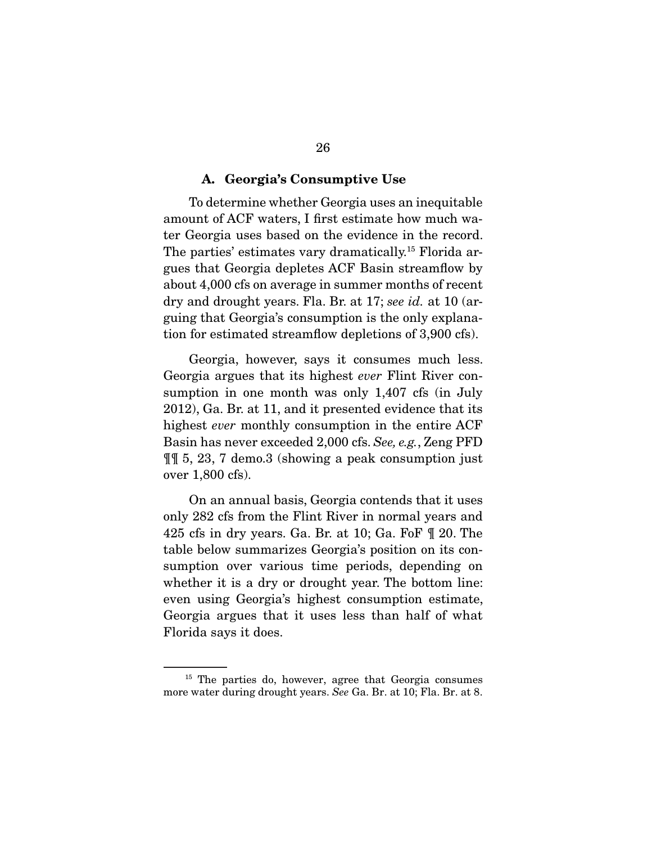#### A. Georgia's Consumptive Use

 To determine whether Georgia uses an inequitable amount of ACF waters, I first estimate how much water Georgia uses based on the evidence in the record. The parties' estimates vary dramatically.<sup>15</sup> Florida argues that Georgia depletes ACF Basin streamflow by about 4,000 cfs on average in summer months of recent dry and drought years. Fla. Br. at 17; *see id.* at 10 (arguing that Georgia's consumption is the only explanation for estimated streamflow depletions of 3,900 cfs).

 Georgia, however, says it consumes much less. Georgia argues that its highest *ever* Flint River consumption in one month was only 1,407 cfs (in July 2012), Ga. Br. at 11, and it presented evidence that its highest *ever* monthly consumption in the entire ACF Basin has never exceeded 2,000 cfs. *See, e.g.*, Zeng PFD ¶¶ 5, 23, 7 demo.3 (showing a peak consumption just over 1,800 cfs).

 On an annual basis, Georgia contends that it uses only 282 cfs from the Flint River in normal years and 425 cfs in dry years. Ga. Br. at 10; Ga. FoF ¶ 20. The table below summarizes Georgia's position on its consumption over various time periods, depending on whether it is a dry or drought year. The bottom line: even using Georgia's highest consumption estimate, Georgia argues that it uses less than half of what Florida says it does.

<sup>&</sup>lt;sup>15</sup> The parties do, however, agree that Georgia consumes more water during drought years. *See* Ga. Br. at 10; Fla. Br. at 8.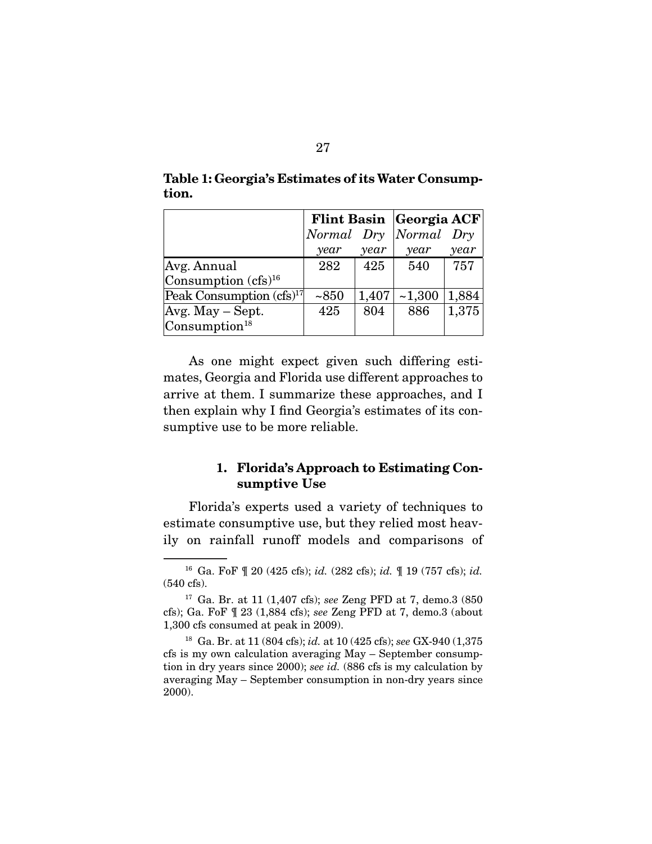|                                      | Flint Basin Georgia ACF |       |                       |       |
|--------------------------------------|-------------------------|-------|-----------------------|-------|
|                                      |                         |       | Normal Dry Normal Dry |       |
|                                      | year                    | year  | year                  | year  |
| Avg. Annual                          | 282                     | 425   | 540                   | 757   |
| Consumption $(cfs)^{16}$             |                         |       |                       |       |
| Peak Consumption (cfs) <sup>17</sup> | ~1850                   | 1,407 | ~1,300                | 1,884 |
| $Avg. May - Sept.$                   | 425                     | 804   | 886                   | 1,375 |
| Consumption <sup>18</sup>            |                         |       |                       |       |

Table 1: Georgia's Estimates of its Water Consumption.

 As one might expect given such differing estimates, Georgia and Florida use different approaches to arrive at them. I summarize these approaches, and I then explain why I find Georgia's estimates of its consumptive use to be more reliable.

### 1. Florida's Approach to Estimating Consumptive Use

 Florida's experts used a variety of techniques to estimate consumptive use, but they relied most heavily on rainfall runoff models and comparisons of

<sup>16</sup> Ga. FoF ¶ 20 (425 cfs); *id.* (282 cfs); *id.* ¶ 19 (757 cfs); *id.* (540 cfs).

<sup>17</sup> Ga. Br. at 11 (1,407 cfs); *see* Zeng PFD at 7, demo.3 (850 cfs); Ga. FoF ¶ 23 (1,884 cfs); *see* Zeng PFD at 7, demo.3 (about 1,300 cfs consumed at peak in 2009).

<sup>18</sup> Ga. Br. at 11 (804 cfs); *id.* at 10 (425 cfs); *see* GX-940 (1,375 cfs is my own calculation averaging May – September consumption in dry years since 2000); *see id.* (886 cfs is my calculation by averaging May – September consumption in non-dry years since 2000).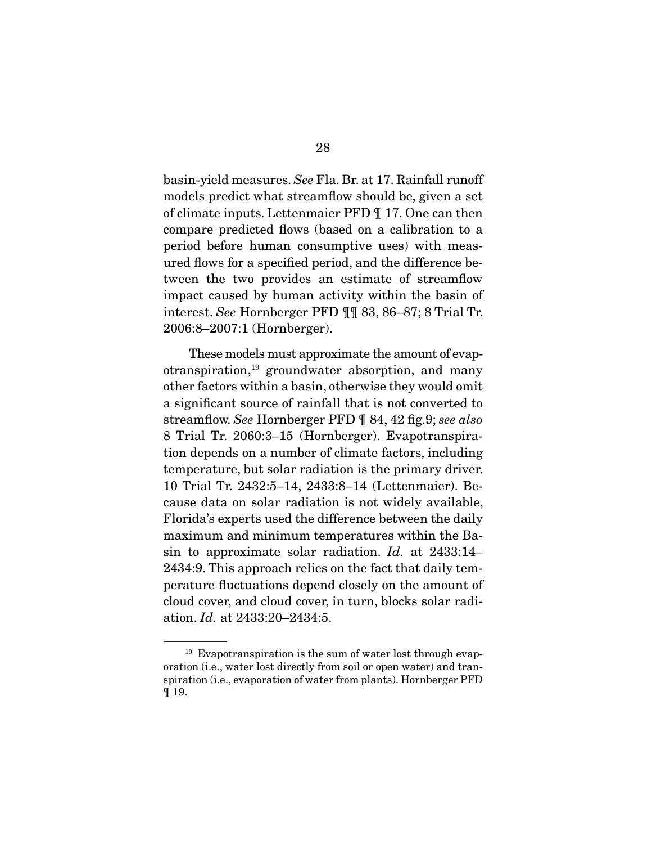basin-yield measures. *See* Fla. Br. at 17. Rainfall runoff models predict what streamflow should be, given a set of climate inputs. Lettenmaier PFD ¶ 17. One can then compare predicted flows (based on a calibration to a period before human consumptive uses) with measured flows for a specified period, and the difference between the two provides an estimate of streamflow impact caused by human activity within the basin of interest. *See* Hornberger PFD ¶¶ 83, 86–87; 8 Trial Tr. 2006:8–2007:1 (Hornberger).

 These models must approximate the amount of evapotranspiration,19 groundwater absorption, and many other factors within a basin, otherwise they would omit a significant source of rainfall that is not converted to streamflow. *See* Hornberger PFD ¶ 84, 42 fig.9; *see also* 8 Trial Tr. 2060:3–15 (Hornberger). Evapotranspiration depends on a number of climate factors, including temperature, but solar radiation is the primary driver. 10 Trial Tr. 2432:5–14, 2433:8–14 (Lettenmaier). Because data on solar radiation is not widely available, Florida's experts used the difference between the daily maximum and minimum temperatures within the Basin to approximate solar radiation. *Id.* at 2433:14– 2434:9. This approach relies on the fact that daily temperature fluctuations depend closely on the amount of cloud cover, and cloud cover, in turn, blocks solar radiation. *Id.* at 2433:20–2434:5.

 $19$  Evapotranspiration is the sum of water lost through evaporation (i.e., water lost directly from soil or open water) and transpiration (i.e., evaporation of water from plants). Hornberger PFD ¶ 19.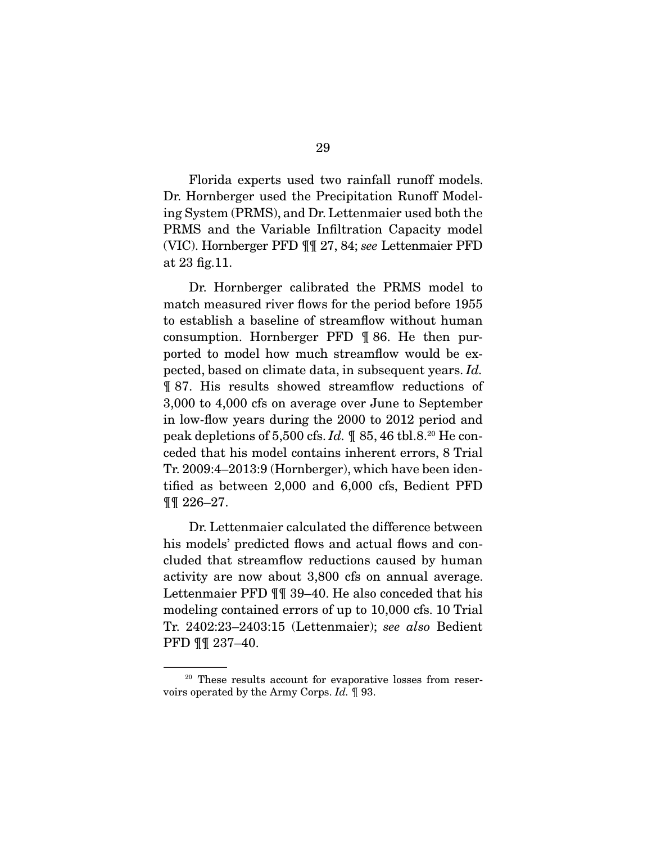Florida experts used two rainfall runoff models. Dr. Hornberger used the Precipitation Runoff Modeling System (PRMS), and Dr. Lettenmaier used both the PRMS and the Variable Infiltration Capacity model (VIC). Hornberger PFD ¶¶ 27, 84; *see* Lettenmaier PFD at 23 fig.11.

 Dr. Hornberger calibrated the PRMS model to match measured river flows for the period before 1955 to establish a baseline of streamflow without human consumption. Hornberger PFD ¶ 86. He then purported to model how much streamflow would be expected, based on climate data, in subsequent years. *Id.* ¶ 87. His results showed streamflow reductions of 3,000 to 4,000 cfs on average over June to September in low-flow years during the 2000 to 2012 period and peak depletions of 5,500 cfs. *Id.* ¶ 85, 46 tbl.8.20 He conceded that his model contains inherent errors, 8 Trial Tr. 2009:4–2013:9 (Hornberger), which have been identified as between 2,000 and 6,000 cfs, Bedient PFD ¶¶ 226–27.

 Dr. Lettenmaier calculated the difference between his models' predicted flows and actual flows and concluded that streamflow reductions caused by human activity are now about 3,800 cfs on annual average. Lettenmaier PFD ¶¶ 39–40. He also conceded that his modeling contained errors of up to 10,000 cfs. 10 Trial Tr. 2402:23–2403:15 (Lettenmaier); *see also* Bedient PFD ¶¶ 237–40.

<sup>&</sup>lt;sup>20</sup> These results account for evaporative losses from reservoirs operated by the Army Corps. *Id.* ¶ 93.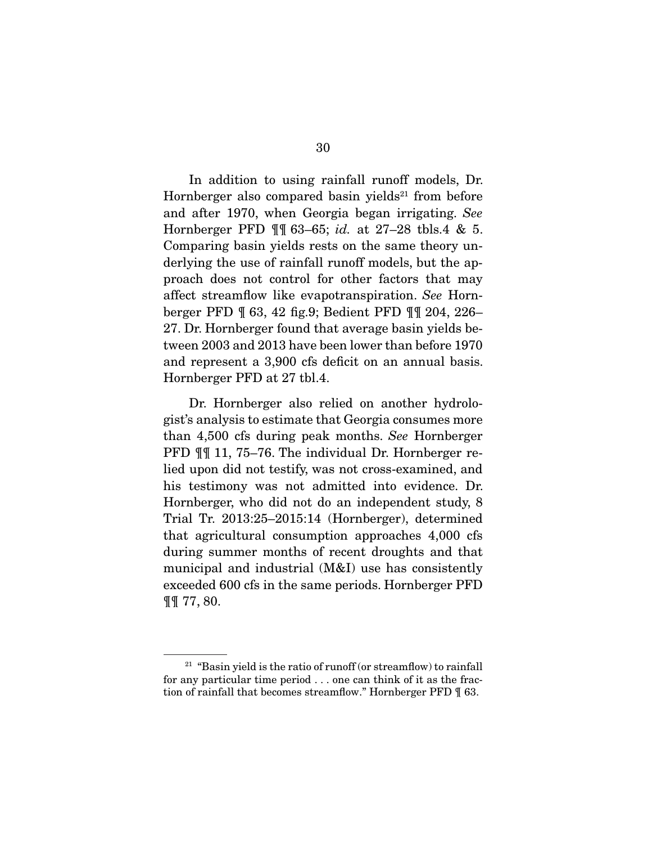In addition to using rainfall runoff models, Dr. Hornberger also compared basin yields $21$  from before and after 1970, when Georgia began irrigating. *See* Hornberger PFD ¶¶ 63–65; *id.* at 27–28 tbls.4 & 5. Comparing basin yields rests on the same theory underlying the use of rainfall runoff models, but the approach does not control for other factors that may affect streamflow like evapotranspiration. *See* Hornberger PFD ¶ 63, 42 fig.9; Bedient PFD ¶¶ 204, 226– 27. Dr. Hornberger found that average basin yields between 2003 and 2013 have been lower than before 1970 and represent a 3,900 cfs deficit on an annual basis. Hornberger PFD at 27 tbl.4.

 Dr. Hornberger also relied on another hydrologist's analysis to estimate that Georgia consumes more than 4,500 cfs during peak months. *See* Hornberger PFD ¶¶ 11, 75–76. The individual Dr. Hornberger relied upon did not testify, was not cross-examined, and his testimony was not admitted into evidence. Dr. Hornberger, who did not do an independent study, 8 Trial Tr. 2013:25–2015:14 (Hornberger), determined that agricultural consumption approaches 4,000 cfs during summer months of recent droughts and that municipal and industrial (M&I) use has consistently exceeded 600 cfs in the same periods. Hornberger PFD ¶¶ 77, 80.

 $21$  "Basin yield is the ratio of runoff (or streamflow) to rainfall for any particular time period . . . one can think of it as the fraction of rainfall that becomes streamflow." Hornberger PFD ¶ 63.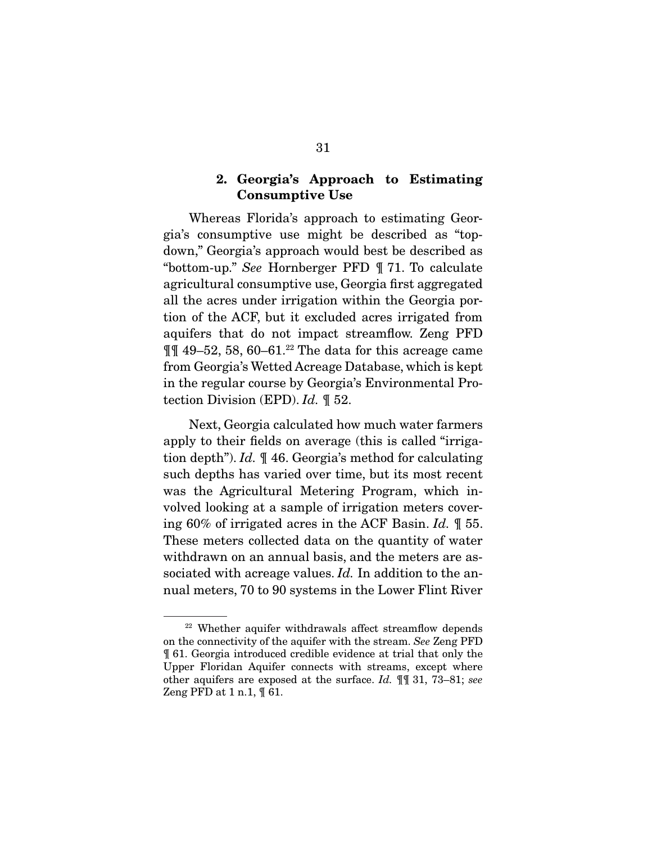## 2. Georgia's Approach to Estimating Consumptive Use

 Whereas Florida's approach to estimating Georgia's consumptive use might be described as "topdown," Georgia's approach would best be described as "bottom-up." *See* Hornberger PFD ¶ 71. To calculate agricultural consumptive use, Georgia first aggregated all the acres under irrigation within the Georgia portion of the ACF, but it excluded acres irrigated from aquifers that do not impact streamflow. Zeng PFD  $\P$  49–52, 58, 60–61.<sup>22</sup> The data for this acreage came from Georgia's Wetted Acreage Database, which is kept in the regular course by Georgia's Environmental Protection Division (EPD). *Id.* ¶ 52.

 Next, Georgia calculated how much water farmers apply to their fields on average (this is called "irrigation depth"). *Id.* ¶ 46. Georgia's method for calculating such depths has varied over time, but its most recent was the Agricultural Metering Program, which involved looking at a sample of irrigation meters covering 60% of irrigated acres in the ACF Basin. *Id.* ¶ 55. These meters collected data on the quantity of water withdrawn on an annual basis, and the meters are associated with acreage values. *Id.* In addition to the annual meters, 70 to 90 systems in the Lower Flint River

<sup>22</sup> Whether aquifer withdrawals affect streamflow depends on the connectivity of the aquifer with the stream. *See* Zeng PFD ¶ 61. Georgia introduced credible evidence at trial that only the Upper Floridan Aquifer connects with streams, except where other aquifers are exposed at the surface. *Id.* ¶¶ 31, 73–81; *see* Zeng PFD at  $1$  n.1,  $\sqrt{61}$ .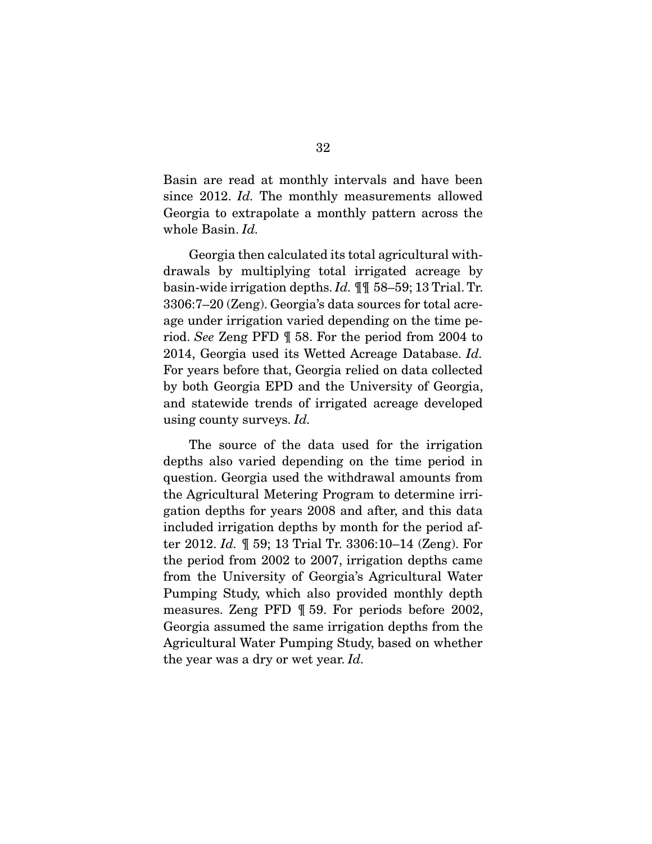Basin are read at monthly intervals and have been since 2012. *Id.* The monthly measurements allowed Georgia to extrapolate a monthly pattern across the whole Basin. *Id.*

 Georgia then calculated its total agricultural withdrawals by multiplying total irrigated acreage by basin-wide irrigation depths. *Id.* ¶¶ 58–59; 13 Trial. Tr. 3306:7–20 (Zeng). Georgia's data sources for total acreage under irrigation varied depending on the time period. *See* Zeng PFD ¶ 58. For the period from 2004 to 2014, Georgia used its Wetted Acreage Database. *Id.* For years before that, Georgia relied on data collected by both Georgia EPD and the University of Georgia, and statewide trends of irrigated acreage developed using county surveys. *Id.*

 The source of the data used for the irrigation depths also varied depending on the time period in question. Georgia used the withdrawal amounts from the Agricultural Metering Program to determine irrigation depths for years 2008 and after, and this data included irrigation depths by month for the period after 2012. *Id.* ¶ 59; 13 Trial Tr. 3306:10–14 (Zeng). For the period from 2002 to 2007, irrigation depths came from the University of Georgia's Agricultural Water Pumping Study, which also provided monthly depth measures. Zeng PFD ¶ 59. For periods before 2002, Georgia assumed the same irrigation depths from the Agricultural Water Pumping Study, based on whether the year was a dry or wet year. *Id.*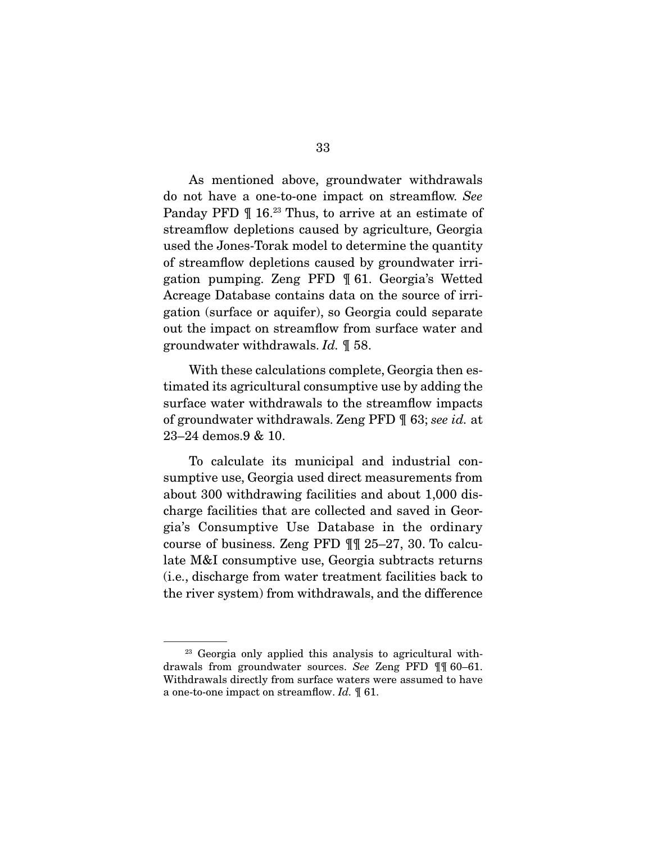As mentioned above, groundwater withdrawals do not have a one-to-one impact on streamflow. *See* Panday PFD  $\P$  16.<sup>23</sup> Thus, to arrive at an estimate of streamflow depletions caused by agriculture, Georgia used the Jones-Torak model to determine the quantity of streamflow depletions caused by groundwater irrigation pumping. Zeng PFD ¶ 61. Georgia's Wetted Acreage Database contains data on the source of irrigation (surface or aquifer), so Georgia could separate out the impact on streamflow from surface water and groundwater withdrawals. *Id.* ¶ 58.

 With these calculations complete, Georgia then estimated its agricultural consumptive use by adding the surface water withdrawals to the streamflow impacts of groundwater withdrawals. Zeng PFD ¶ 63; *see id.* at 23–24 demos.9 & 10.

 To calculate its municipal and industrial consumptive use, Georgia used direct measurements from about 300 withdrawing facilities and about 1,000 discharge facilities that are collected and saved in Georgia's Consumptive Use Database in the ordinary course of business. Zeng PFD ¶¶ 25–27, 30. To calculate M&I consumptive use, Georgia subtracts returns (i.e., discharge from water treatment facilities back to the river system) from withdrawals, and the difference

<sup>&</sup>lt;sup>23</sup> Georgia only applied this analysis to agricultural withdrawals from groundwater sources. *See* Zeng PFD ¶¶ 60–61. Withdrawals directly from surface waters were assumed to have a one-to-one impact on streamflow. *Id.* ¶ 61.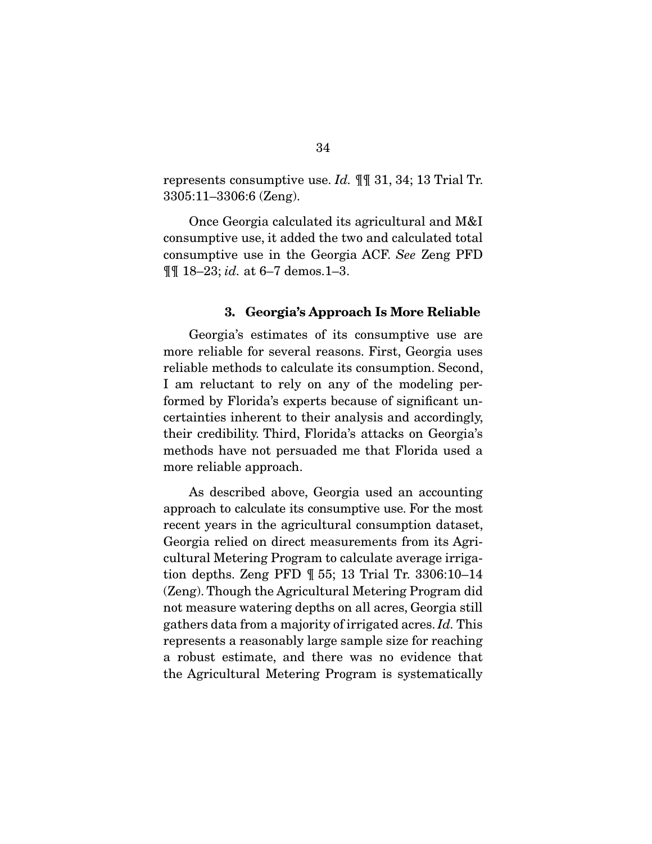represents consumptive use. *Id.* ¶¶ 31, 34; 13 Trial Tr. 3305:11–3306:6 (Zeng).

 Once Georgia calculated its agricultural and M&I consumptive use, it added the two and calculated total consumptive use in the Georgia ACF. *See* Zeng PFD ¶¶ 18–23; *id.* at 6–7 demos.1–3.

#### 3. Georgia's Approach Is More Reliable

 Georgia's estimates of its consumptive use are more reliable for several reasons. First, Georgia uses reliable methods to calculate its consumption. Second, I am reluctant to rely on any of the modeling performed by Florida's experts because of significant uncertainties inherent to their analysis and accordingly, their credibility. Third, Florida's attacks on Georgia's methods have not persuaded me that Florida used a more reliable approach.

 As described above, Georgia used an accounting approach to calculate its consumptive use. For the most recent years in the agricultural consumption dataset, Georgia relied on direct measurements from its Agricultural Metering Program to calculate average irrigation depths. Zeng PFD ¶ 55; 13 Trial Tr. 3306:10–14 (Zeng). Though the Agricultural Metering Program did not measure watering depths on all acres, Georgia still gathers data from a majority of irrigated acres. *Id.* This represents a reasonably large sample size for reaching a robust estimate, and there was no evidence that the Agricultural Metering Program is systematically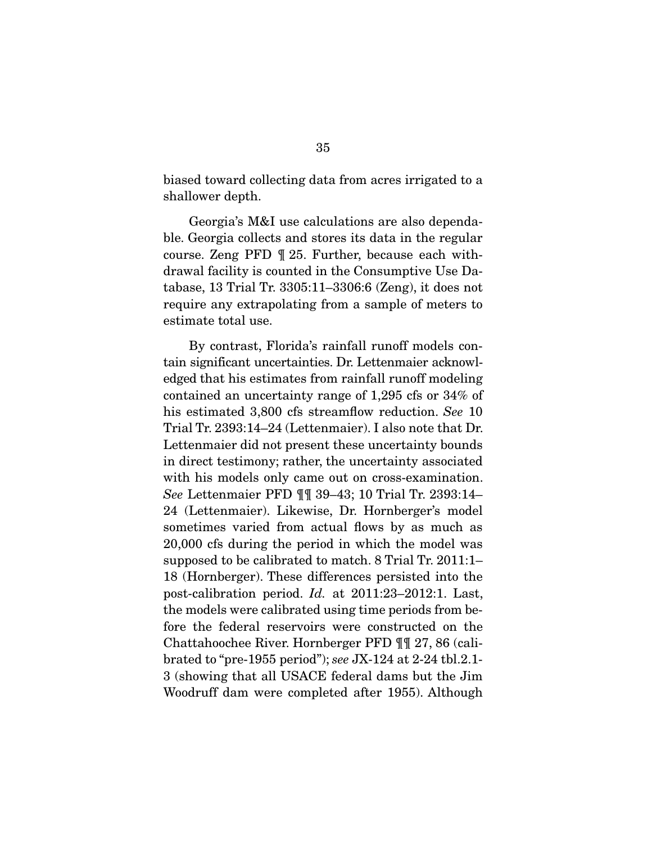biased toward collecting data from acres irrigated to a shallower depth.

 Georgia's M&I use calculations are also dependable. Georgia collects and stores its data in the regular course. Zeng PFD ¶ 25. Further, because each withdrawal facility is counted in the Consumptive Use Database, 13 Trial Tr. 3305:11–3306:6 (Zeng), it does not require any extrapolating from a sample of meters to estimate total use.

 By contrast, Florida's rainfall runoff models contain significant uncertainties. Dr. Lettenmaier acknowledged that his estimates from rainfall runoff modeling contained an uncertainty range of 1,295 cfs or 34% of his estimated 3,800 cfs streamflow reduction. *See* 10 Trial Tr. 2393:14–24 (Lettenmaier). I also note that Dr. Lettenmaier did not present these uncertainty bounds in direct testimony; rather, the uncertainty associated with his models only came out on cross-examination. *See* Lettenmaier PFD ¶¶ 39–43; 10 Trial Tr. 2393:14– 24 (Lettenmaier). Likewise, Dr. Hornberger's model sometimes varied from actual flows by as much as 20,000 cfs during the period in which the model was supposed to be calibrated to match. 8 Trial Tr. 2011:1– 18 (Hornberger). These differences persisted into the post-calibration period. *Id.* at 2011:23–2012:1. Last, the models were calibrated using time periods from before the federal reservoirs were constructed on the Chattahoochee River. Hornberger PFD ¶¶ 27, 86 (calibrated to "pre-1955 period"); *see* JX-124 at 2-24 tbl.2.1- 3 (showing that all USACE federal dams but the Jim Woodruff dam were completed after 1955). Although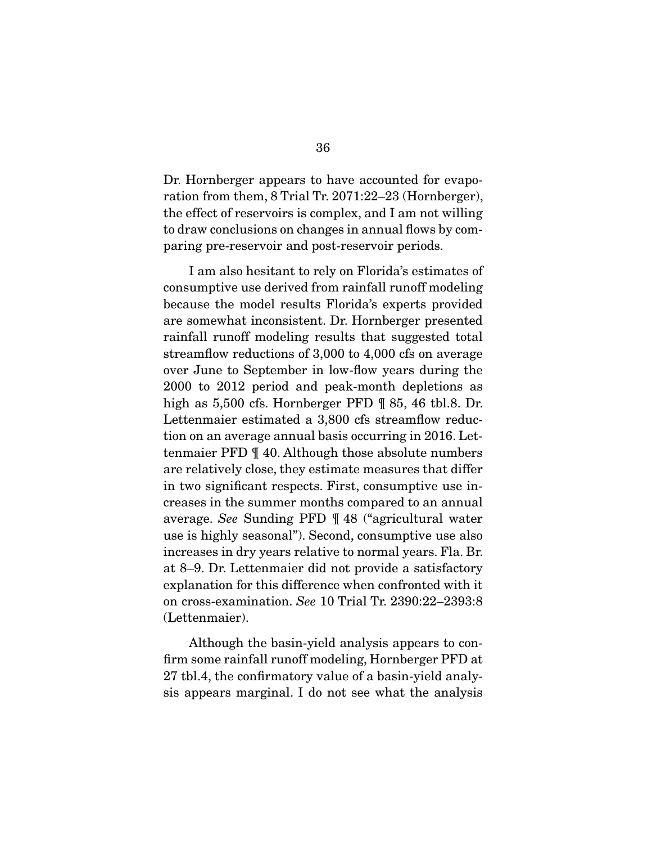Dr. Hornberger appears to have accounted for evaporation from them, 8 Trial Tr. 2071:22–23 (Hornberger), the effect of reservoirs is complex, and I am not willing to draw conclusions on changes in annual flows by comparing pre-reservoir and post-reservoir periods.

 I am also hesitant to rely on Florida's estimates of consumptive use derived from rainfall runoff modeling because the model results Florida's experts provided are somewhat inconsistent. Dr. Hornberger presented rainfall runoff modeling results that suggested total streamflow reductions of 3,000 to 4,000 cfs on average over June to September in low-flow years during the 2000 to 2012 period and peak-month depletions as high as 5,500 cfs. Hornberger PFD  $\parallel$  85, 46 tbl.8. Dr. Lettenmaier estimated a 3,800 cfs streamflow reduction on an average annual basis occurring in 2016. Lettenmaier PFD ¶ 40. Although those absolute numbers are relatively close, they estimate measures that differ in two significant respects. First, consumptive use increases in the summer months compared to an annual average. *See* Sunding PFD ¶ 48 ("agricultural water use is highly seasonal"). Second, consumptive use also increases in dry years relative to normal years. Fla. Br. at 8–9. Dr. Lettenmaier did not provide a satisfactory explanation for this difference when confronted with it on cross-examination. *See* 10 Trial Tr. 2390:22–2393:8 (Lettenmaier).

 Although the basin-yield analysis appears to confirm some rainfall runoff modeling, Hornberger PFD at 27 tbl.4, the confirmatory value of a basin-yield analysis appears marginal. I do not see what the analysis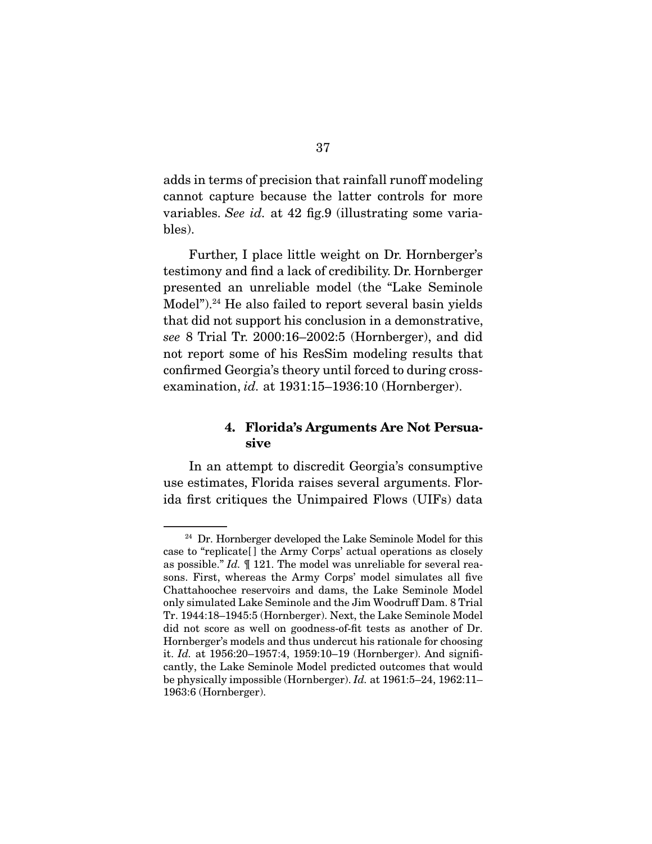adds in terms of precision that rainfall runoff modeling cannot capture because the latter controls for more variables. *See id.* at 42 fig.9 (illustrating some variables).

 Further, I place little weight on Dr. Hornberger's testimony and find a lack of credibility. Dr. Hornberger presented an unreliable model (the "Lake Seminole Model").<sup>24</sup> He also failed to report several basin yields that did not support his conclusion in a demonstrative, *see* 8 Trial Tr. 2000:16–2002:5 (Hornberger), and did not report some of his ResSim modeling results that confirmed Georgia's theory until forced to during crossexamination, *id.* at 1931:15–1936:10 (Hornberger).

## 4. Florida's Arguments Are Not Persuasive

 In an attempt to discredit Georgia's consumptive use estimates, Florida raises several arguments. Florida first critiques the Unimpaired Flows (UIFs) data

<sup>&</sup>lt;sup>24</sup> Dr. Hornberger developed the Lake Seminole Model for this case to "replicate[ ] the Army Corps' actual operations as closely as possible." *Id.* ¶ 121. The model was unreliable for several reasons. First, whereas the Army Corps' model simulates all five Chattahoochee reservoirs and dams, the Lake Seminole Model only simulated Lake Seminole and the Jim Woodruff Dam. 8 Trial Tr. 1944:18–1945:5 (Hornberger). Next, the Lake Seminole Model did not score as well on goodness-of-fit tests as another of Dr. Hornberger's models and thus undercut his rationale for choosing it. *Id.* at 1956:20–1957:4, 1959:10–19 (Hornberger). And significantly, the Lake Seminole Model predicted outcomes that would be physically impossible (Hornberger). *Id.* at 1961:5–24, 1962:11– 1963:6 (Hornberger).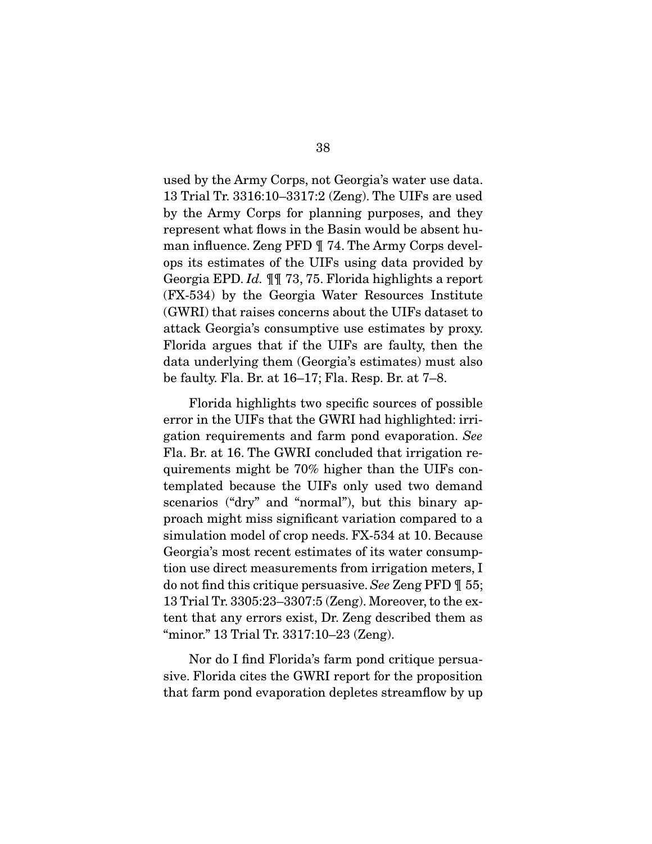used by the Army Corps, not Georgia's water use data. 13 Trial Tr. 3316:10–3317:2 (Zeng). The UIFs are used by the Army Corps for planning purposes, and they represent what flows in the Basin would be absent human influence. Zeng PFD ¶ 74. The Army Corps develops its estimates of the UIFs using data provided by Georgia EPD. *Id.* ¶¶ 73, 75. Florida highlights a report (FX-534) by the Georgia Water Resources Institute (GWRI) that raises concerns about the UIFs dataset to attack Georgia's consumptive use estimates by proxy. Florida argues that if the UIFs are faulty, then the data underlying them (Georgia's estimates) must also be faulty. Fla. Br. at 16–17; Fla. Resp. Br. at 7–8.

 Florida highlights two specific sources of possible error in the UIFs that the GWRI had highlighted: irrigation requirements and farm pond evaporation. *See* Fla. Br. at 16. The GWRI concluded that irrigation requirements might be 70% higher than the UIFs contemplated because the UIFs only used two demand scenarios ("dry" and "normal"), but this binary approach might miss significant variation compared to a simulation model of crop needs. FX-534 at 10. Because Georgia's most recent estimates of its water consumption use direct measurements from irrigation meters, I do not find this critique persuasive. *See* Zeng PFD ¶ 55; 13 Trial Tr. 3305:23–3307:5 (Zeng). Moreover, to the extent that any errors exist, Dr. Zeng described them as "minor." 13 Trial Tr. 3317:10–23 (Zeng).

 Nor do I find Florida's farm pond critique persuasive. Florida cites the GWRI report for the proposition that farm pond evaporation depletes streamflow by up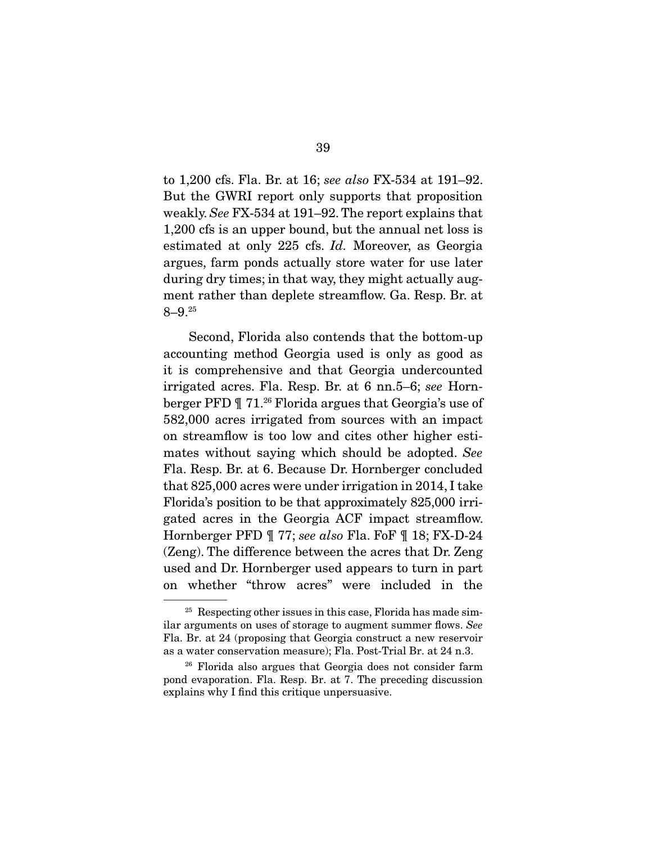to 1,200 cfs. Fla. Br. at 16; *see also* FX-534 at 191–92. But the GWRI report only supports that proposition weakly. *See* FX-534 at 191–92. The report explains that 1,200 cfs is an upper bound, but the annual net loss is estimated at only 225 cfs. *Id.* Moreover, as Georgia argues, farm ponds actually store water for use later during dry times; in that way, they might actually augment rather than deplete streamflow. Ga. Resp. Br. at 8–9.25

 Second, Florida also contends that the bottom-up accounting method Georgia used is only as good as it is comprehensive and that Georgia undercounted irrigated acres. Fla. Resp. Br. at 6 nn.5–6; *see* Hornberger PFD ¶ 71.26 Florida argues that Georgia's use of 582,000 acres irrigated from sources with an impact on streamflow is too low and cites other higher estimates without saying which should be adopted. *See* Fla. Resp. Br. at 6. Because Dr. Hornberger concluded that 825,000 acres were under irrigation in 2014, I take Florida's position to be that approximately 825,000 irrigated acres in the Georgia ACF impact streamflow. Hornberger PFD ¶ 77; *see also* Fla. FoF ¶ 18; FX-D-24 (Zeng). The difference between the acres that Dr. Zeng used and Dr. Hornberger used appears to turn in part on whether "throw acres" were included in the

 $25$  Respecting other issues in this case, Florida has made similar arguments on uses of storage to augment summer flows. *See* Fla. Br. at 24 (proposing that Georgia construct a new reservoir as a water conservation measure); Fla. Post-Trial Br. at 24 n.3.

<sup>26</sup> Florida also argues that Georgia does not consider farm pond evaporation. Fla. Resp. Br. at 7. The preceding discussion explains why I find this critique unpersuasive.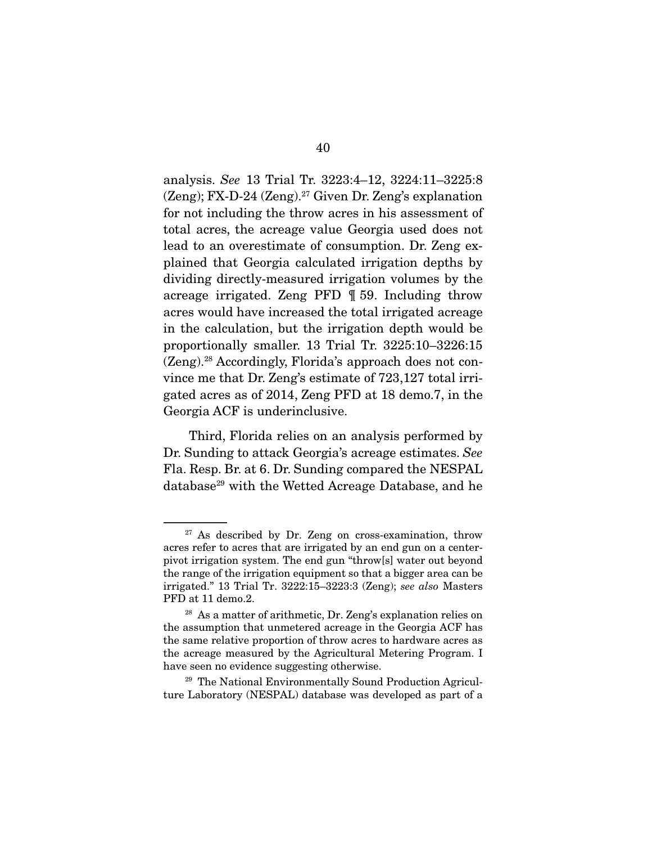analysis. *See* 13 Trial Tr. 3223:4–12, 3224:11–3225:8  $(Zeng)$ ; FX-D-24  $(Zeng)$ .<sup>27</sup> Given Dr. Zeng's explanation for not including the throw acres in his assessment of total acres, the acreage value Georgia used does not lead to an overestimate of consumption. Dr. Zeng explained that Georgia calculated irrigation depths by dividing directly-measured irrigation volumes by the acreage irrigated. Zeng PFD ¶ 59. Including throw acres would have increased the total irrigated acreage in the calculation, but the irrigation depth would be proportionally smaller. 13 Trial Tr. 3225:10–3226:15 (Zeng).28 Accordingly, Florida's approach does not convince me that Dr. Zeng's estimate of 723,127 total irrigated acres as of 2014, Zeng PFD at 18 demo.7, in the Georgia ACF is underinclusive.

 Third, Florida relies on an analysis performed by Dr. Sunding to attack Georgia's acreage estimates. *See* Fla. Resp. Br. at 6. Dr. Sunding compared the NESPAL database<sup>29</sup> with the Wetted Acreage Database, and he

<sup>29</sup> The National Environmentally Sound Production Agriculture Laboratory (NESPAL) database was developed as part of a

 $27$  As described by Dr. Zeng on cross-examination, throw acres refer to acres that are irrigated by an end gun on a centerpivot irrigation system. The end gun "throw[s] water out beyond the range of the irrigation equipment so that a bigger area can be irrigated." 13 Trial Tr. 3222:15–3223:3 (Zeng); *see also* Masters PFD at 11 demo.2.

<sup>28</sup> As a matter of arithmetic, Dr. Zeng's explanation relies on the assumption that unmetered acreage in the Georgia ACF has the same relative proportion of throw acres to hardware acres as the acreage measured by the Agricultural Metering Program. I have seen no evidence suggesting otherwise.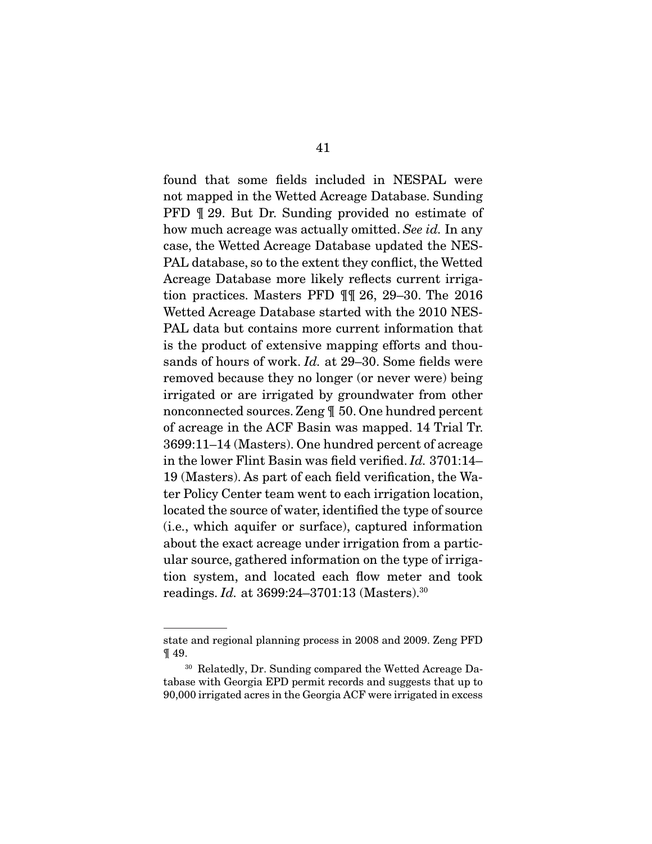found that some fields included in NESPAL were not mapped in the Wetted Acreage Database. Sunding PFD ¶ 29. But Dr. Sunding provided no estimate of how much acreage was actually omitted. *See id.* In any case, the Wetted Acreage Database updated the NES-PAL database, so to the extent they conflict, the Wetted Acreage Database more likely reflects current irrigation practices. Masters PFD ¶¶ 26, 29–30. The 2016 Wetted Acreage Database started with the 2010 NES-PAL data but contains more current information that is the product of extensive mapping efforts and thousands of hours of work. *Id.* at 29–30. Some fields were removed because they no longer (or never were) being irrigated or are irrigated by groundwater from other nonconnected sources. Zeng ¶ 50. One hundred percent of acreage in the ACF Basin was mapped. 14 Trial Tr. 3699:11–14 (Masters). One hundred percent of acreage in the lower Flint Basin was field verified. *Id.* 3701:14– 19 (Masters). As part of each field verification, the Water Policy Center team went to each irrigation location, located the source of water, identified the type of source (i.e., which aquifer or surface), captured information about the exact acreage under irrigation from a particular source, gathered information on the type of irrigation system, and located each flow meter and took readings. *Id.* at 3699:24–3701:13 (Masters).30

state and regional planning process in 2008 and 2009. Zeng PFD ¶ 49.

<sup>30</sup> Relatedly, Dr. Sunding compared the Wetted Acreage Database with Georgia EPD permit records and suggests that up to 90,000 irrigated acres in the Georgia ACF were irrigated in excess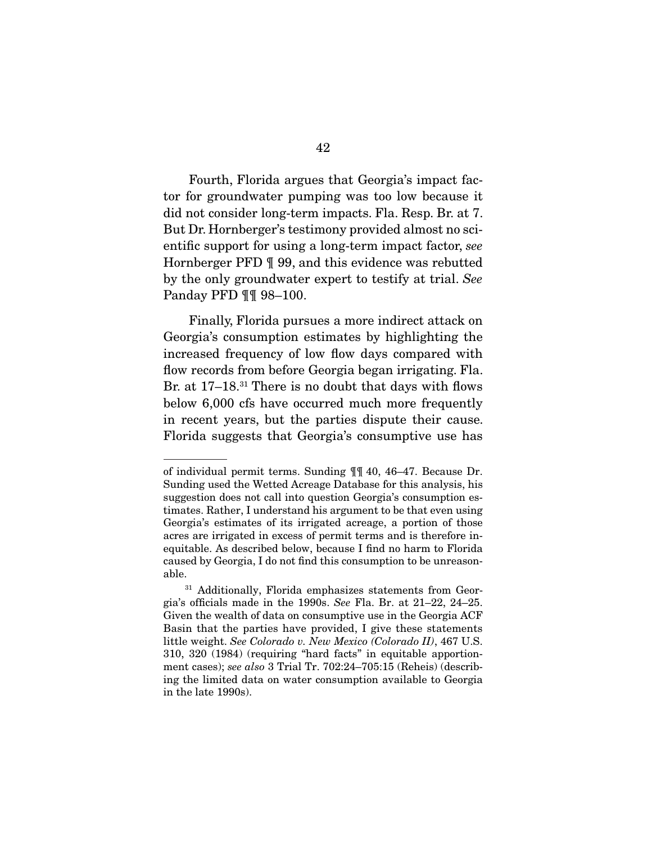Fourth, Florida argues that Georgia's impact factor for groundwater pumping was too low because it did not consider long-term impacts. Fla. Resp. Br. at 7. But Dr. Hornberger's testimony provided almost no scientific support for using a long-term impact factor, *see* Hornberger PFD ¶ 99, and this evidence was rebutted by the only groundwater expert to testify at trial. *See* Panday PFD ¶¶ 98–100.

 Finally, Florida pursues a more indirect attack on Georgia's consumption estimates by highlighting the increased frequency of low flow days compared with flow records from before Georgia began irrigating. Fla. Br. at 17–18.<sup>31</sup> There is no doubt that days with flows below 6,000 cfs have occurred much more frequently in recent years, but the parties dispute their cause. Florida suggests that Georgia's consumptive use has

of individual permit terms. Sunding ¶¶ 40, 46–47. Because Dr. Sunding used the Wetted Acreage Database for this analysis, his suggestion does not call into question Georgia's consumption estimates. Rather, I understand his argument to be that even using Georgia's estimates of its irrigated acreage, a portion of those acres are irrigated in excess of permit terms and is therefore inequitable. As described below, because I find no harm to Florida caused by Georgia, I do not find this consumption to be unreasonable.

<sup>&</sup>lt;sup>31</sup> Additionally, Florida emphasizes statements from Georgia's officials made in the 1990s. *See* Fla. Br. at 21–22, 24–25. Given the wealth of data on consumptive use in the Georgia ACF Basin that the parties have provided, I give these statements little weight. *See Colorado v. New Mexico (Colorado II)*, 467 U.S. 310, 320 (1984) (requiring "hard facts" in equitable apportionment cases); *see also* 3 Trial Tr. 702:24–705:15 (Reheis) (describing the limited data on water consumption available to Georgia in the late 1990s).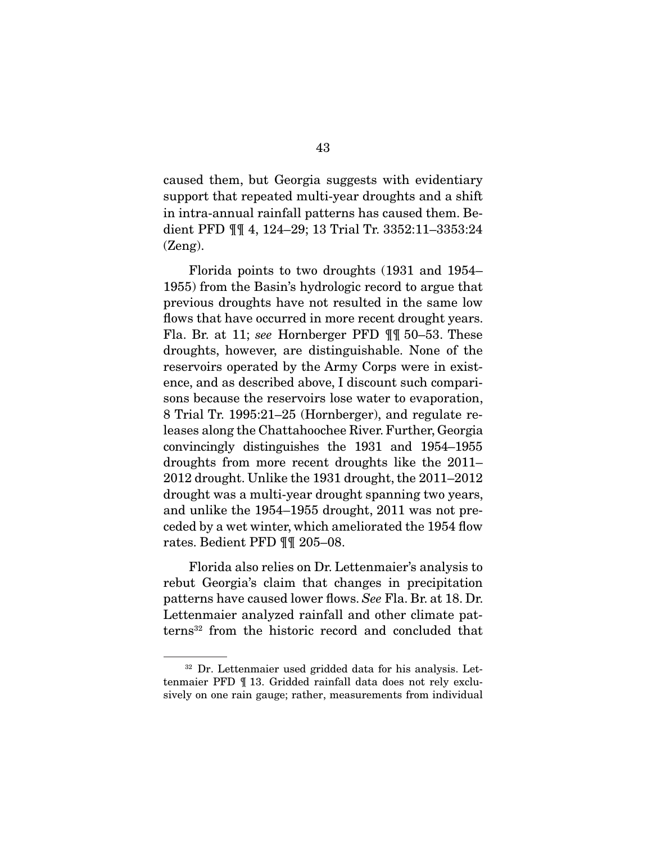caused them, but Georgia suggests with evidentiary support that repeated multi-year droughts and a shift in intra-annual rainfall patterns has caused them. Bedient PFD ¶¶ 4, 124–29; 13 Trial Tr. 3352:11–3353:24 (Zeng).

 Florida points to two droughts (1931 and 1954– 1955) from the Basin's hydrologic record to argue that previous droughts have not resulted in the same low flows that have occurred in more recent drought years. Fla. Br. at 11; *see* Hornberger PFD ¶¶ 50–53. These droughts, however, are distinguishable. None of the reservoirs operated by the Army Corps were in existence, and as described above, I discount such comparisons because the reservoirs lose water to evaporation, 8 Trial Tr. 1995:21–25 (Hornberger), and regulate releases along the Chattahoochee River. Further, Georgia convincingly distinguishes the 1931 and 1954–1955 droughts from more recent droughts like the 2011– 2012 drought. Unlike the 1931 drought, the 2011–2012 drought was a multi-year drought spanning two years, and unlike the 1954–1955 drought, 2011 was not preceded by a wet winter, which ameliorated the 1954 flow rates. Bedient PFD ¶¶ 205–08.

 Florida also relies on Dr. Lettenmaier's analysis to rebut Georgia's claim that changes in precipitation patterns have caused lower flows. *See* Fla. Br. at 18. Dr. Lettenmaier analyzed rainfall and other climate patterns32 from the historic record and concluded that

<sup>32</sup> Dr. Lettenmaier used gridded data for his analysis. Lettenmaier PFD ¶ 13. Gridded rainfall data does not rely exclusively on one rain gauge; rather, measurements from individual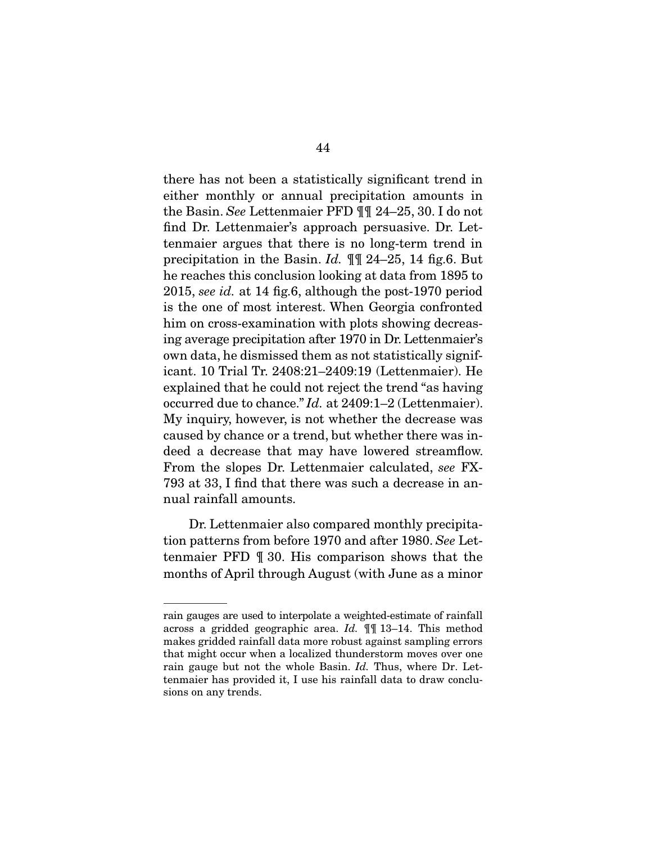there has not been a statistically significant trend in either monthly or annual precipitation amounts in the Basin. *See* Lettenmaier PFD ¶¶ 24–25, 30. I do not find Dr. Lettenmaier's approach persuasive. Dr. Lettenmaier argues that there is no long-term trend in precipitation in the Basin. *Id.* ¶¶ 24–25, 14 fig.6. But he reaches this conclusion looking at data from 1895 to 2015, *see id.* at 14 fig.6, although the post-1970 period is the one of most interest. When Georgia confronted him on cross-examination with plots showing decreasing average precipitation after 1970 in Dr. Lettenmaier's own data, he dismissed them as not statistically significant. 10 Trial Tr. 2408:21–2409:19 (Lettenmaier). He explained that he could not reject the trend "as having occurred due to chance." *Id.* at 2409:1–2 (Lettenmaier). My inquiry, however, is not whether the decrease was caused by chance or a trend, but whether there was indeed a decrease that may have lowered streamflow. From the slopes Dr. Lettenmaier calculated, *see* FX-793 at 33, I find that there was such a decrease in annual rainfall amounts.

 Dr. Lettenmaier also compared monthly precipitation patterns from before 1970 and after 1980. *See* Lettenmaier PFD ¶ 30. His comparison shows that the months of April through August (with June as a minor

rain gauges are used to interpolate a weighted-estimate of rainfall across a gridded geographic area. *Id.* ¶¶ 13–14. This method makes gridded rainfall data more robust against sampling errors that might occur when a localized thunderstorm moves over one rain gauge but not the whole Basin. *Id.* Thus, where Dr. Lettenmaier has provided it, I use his rainfall data to draw conclusions on any trends.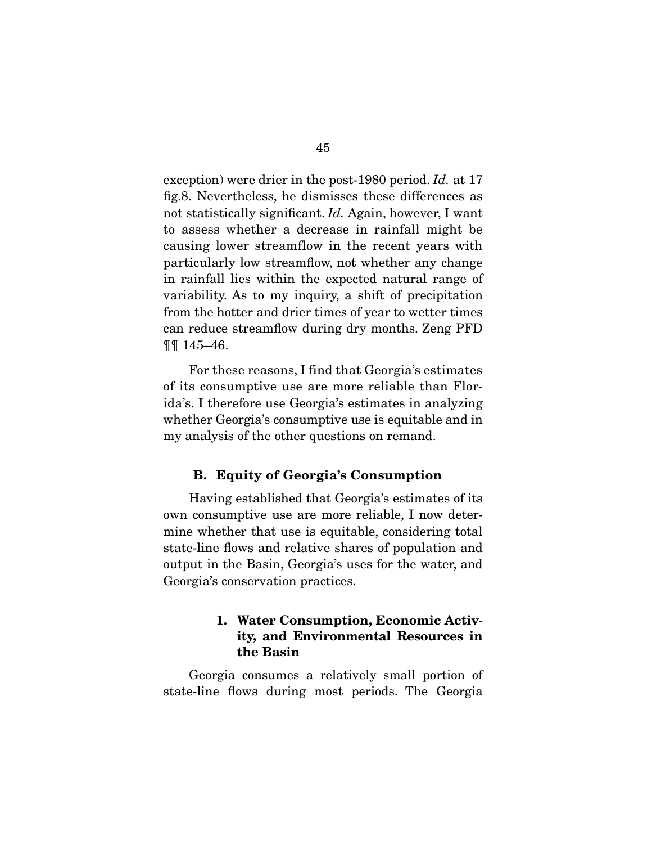exception) were drier in the post-1980 period. *Id.* at 17 fig.8. Nevertheless, he dismisses these differences as not statistically significant. *Id.* Again, however, I want to assess whether a decrease in rainfall might be causing lower streamflow in the recent years with particularly low streamflow, not whether any change in rainfall lies within the expected natural range of variability. As to my inquiry, a shift of precipitation from the hotter and drier times of year to wetter times can reduce streamflow during dry months. Zeng PFD ¶¶ 145–46.

 For these reasons, I find that Georgia's estimates of its consumptive use are more reliable than Florida's. I therefore use Georgia's estimates in analyzing whether Georgia's consumptive use is equitable and in my analysis of the other questions on remand.

### B. Equity of Georgia's Consumption

 Having established that Georgia's estimates of its own consumptive use are more reliable, I now determine whether that use is equitable, considering total state-line flows and relative shares of population and output in the Basin, Georgia's uses for the water, and Georgia's conservation practices.

# 1. Water Consumption, Economic Activity, and Environmental Resources in the Basin

 Georgia consumes a relatively small portion of state-line flows during most periods. The Georgia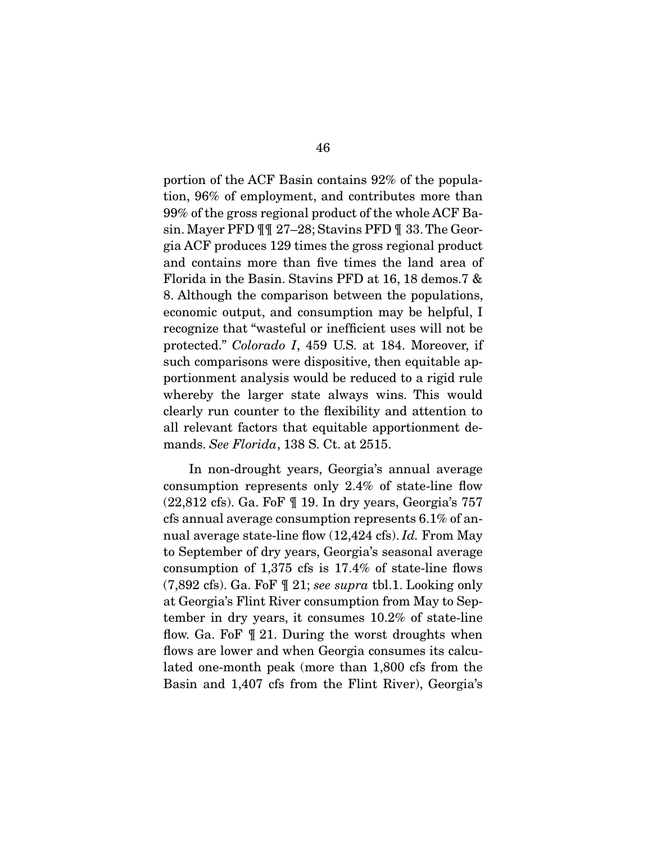portion of the ACF Basin contains 92% of the population, 96% of employment, and contributes more than 99% of the gross regional product of the whole ACF Basin. Mayer PFD ¶¶ 27–28; Stavins PFD ¶ 33. The Georgia ACF produces 129 times the gross regional product and contains more than five times the land area of Florida in the Basin. Stavins PFD at 16, 18 demos.7 & 8. Although the comparison between the populations, economic output, and consumption may be helpful, I recognize that "wasteful or inefficient uses will not be protected." *Colorado I*, 459 U.S. at 184. Moreover, if such comparisons were dispositive, then equitable apportionment analysis would be reduced to a rigid rule whereby the larger state always wins. This would clearly run counter to the flexibility and attention to all relevant factors that equitable apportionment demands. *See Florida*, 138 S. Ct. at 2515.

 In non-drought years, Georgia's annual average consumption represents only 2.4% of state-line flow (22,812 cfs). Ga. FoF ¶ 19. In dry years, Georgia's 757 cfs annual average consumption represents 6.1% of annual average state-line flow (12,424 cfs). *Id.* From May to September of dry years, Georgia's seasonal average consumption of 1,375 cfs is 17.4% of state-line flows (7,892 cfs). Ga. FoF ¶ 21; *see supra* tbl.1. Looking only at Georgia's Flint River consumption from May to September in dry years, it consumes 10.2% of state-line flow. Ga. FoF ¶ 21. During the worst droughts when flows are lower and when Georgia consumes its calculated one-month peak (more than 1,800 cfs from the Basin and 1,407 cfs from the Flint River), Georgia's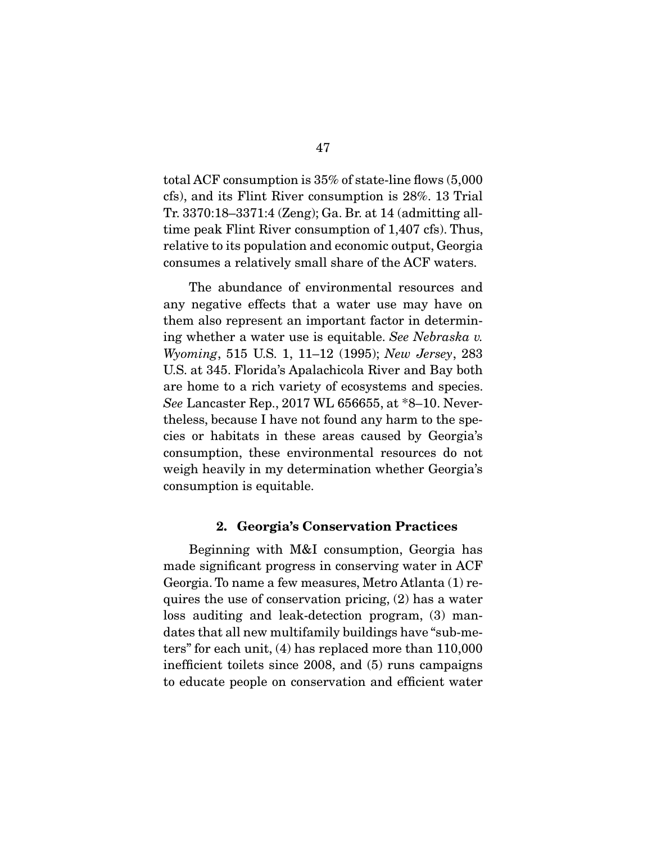total ACF consumption is 35% of state-line flows (5,000 cfs), and its Flint River consumption is 28%. 13 Trial Tr. 3370:18–3371:4 (Zeng); Ga. Br. at 14 (admitting alltime peak Flint River consumption of 1,407 cfs). Thus, relative to its population and economic output, Georgia consumes a relatively small share of the ACF waters.

 The abundance of environmental resources and any negative effects that a water use may have on them also represent an important factor in determining whether a water use is equitable. *See Nebraska v. Wyoming*, 515 U.S. 1, 11–12 (1995); *New Jersey*, 283 U.S. at 345. Florida's Apalachicola River and Bay both are home to a rich variety of ecosystems and species. *See* Lancaster Rep., 2017 WL 656655, at \*8–10. Nevertheless, because I have not found any harm to the species or habitats in these areas caused by Georgia's consumption, these environmental resources do not weigh heavily in my determination whether Georgia's consumption is equitable.

#### 2. Georgia's Conservation Practices

 Beginning with M&I consumption, Georgia has made significant progress in conserving water in ACF Georgia. To name a few measures, Metro Atlanta (1) requires the use of conservation pricing, (2) has a water loss auditing and leak-detection program, (3) mandates that all new multifamily buildings have "sub-meters" for each unit, (4) has replaced more than 110,000 inefficient toilets since 2008, and (5) runs campaigns to educate people on conservation and efficient water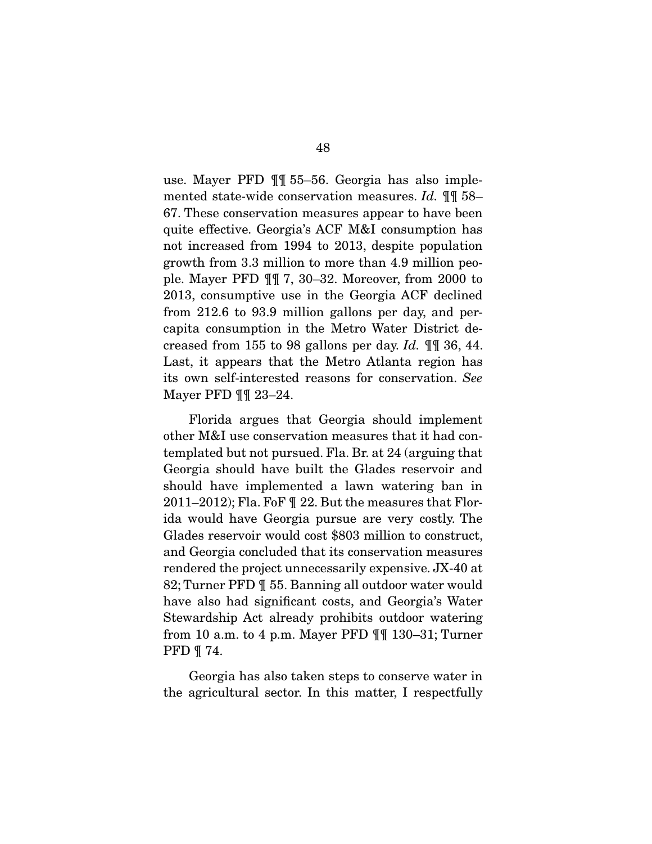use. Mayer PFD ¶¶ 55–56. Georgia has also implemented state-wide conservation measures. *Id.* ¶¶ 58– 67. These conservation measures appear to have been quite effective. Georgia's ACF M&I consumption has not increased from 1994 to 2013, despite population growth from 3.3 million to more than 4.9 million people. Mayer PFD ¶¶ 7, 30–32. Moreover, from 2000 to 2013, consumptive use in the Georgia ACF declined from 212.6 to 93.9 million gallons per day, and percapita consumption in the Metro Water District decreased from 155 to 98 gallons per day. *Id.* ¶¶ 36, 44. Last, it appears that the Metro Atlanta region has its own self-interested reasons for conservation. *See* Mayer PFD ¶¶ 23–24.

 Florida argues that Georgia should implement other M&I use conservation measures that it had contemplated but not pursued. Fla. Br. at 24 (arguing that Georgia should have built the Glades reservoir and should have implemented a lawn watering ban in 2011–2012); Fla. FoF ¶ 22. But the measures that Florida would have Georgia pursue are very costly. The Glades reservoir would cost \$803 million to construct, and Georgia concluded that its conservation measures rendered the project unnecessarily expensive. JX-40 at 82; Turner PFD ¶ 55. Banning all outdoor water would have also had significant costs, and Georgia's Water Stewardship Act already prohibits outdoor watering from 10 a.m. to 4 p.m. Mayer PFD ¶¶ 130–31; Turner PFD ¶ 74.

 Georgia has also taken steps to conserve water in the agricultural sector. In this matter, I respectfully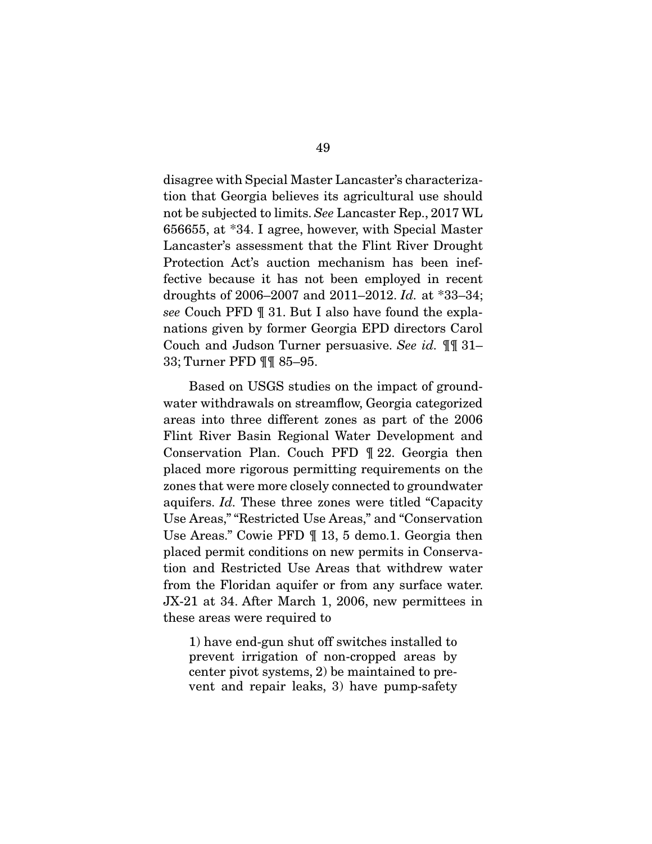disagree with Special Master Lancaster's characterization that Georgia believes its agricultural use should not be subjected to limits. *See* Lancaster Rep., 2017 WL 656655, at \*34. I agree, however, with Special Master Lancaster's assessment that the Flint River Drought Protection Act's auction mechanism has been ineffective because it has not been employed in recent droughts of 2006–2007 and 2011–2012. *Id.* at \*33–34; *see* Couch PFD ¶ 31. But I also have found the explanations given by former Georgia EPD directors Carol Couch and Judson Turner persuasive. *See id.* ¶¶ 31– 33; Turner PFD ¶¶ 85–95.

 Based on USGS studies on the impact of groundwater withdrawals on streamflow, Georgia categorized areas into three different zones as part of the 2006 Flint River Basin Regional Water Development and Conservation Plan. Couch PFD ¶ 22. Georgia then placed more rigorous permitting requirements on the zones that were more closely connected to groundwater aquifers. *Id.* These three zones were titled "Capacity Use Areas," "Restricted Use Areas," and "Conservation Use Areas." Cowie PFD ¶ 13, 5 demo.1. Georgia then placed permit conditions on new permits in Conservation and Restricted Use Areas that withdrew water from the Floridan aquifer or from any surface water. JX-21 at 34. After March 1, 2006, new permittees in these areas were required to

1) have end-gun shut off switches installed to prevent irrigation of non-cropped areas by center pivot systems, 2) be maintained to prevent and repair leaks, 3) have pump-safety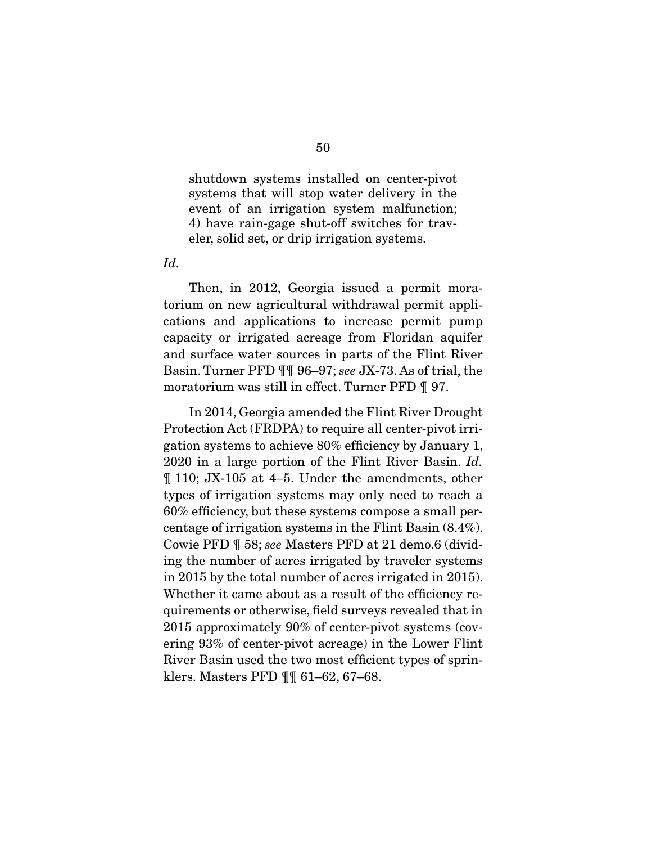shutdown systems installed on center-pivot systems that will stop water delivery in the event of an irrigation system malfunction; 4) have rain-gage shut-off switches for traveler, solid set, or drip irrigation systems.

*Id.*

 Then, in 2012, Georgia issued a permit moratorium on new agricultural withdrawal permit applications and applications to increase permit pump capacity or irrigated acreage from Floridan aquifer and surface water sources in parts of the Flint River Basin. Turner PFD ¶¶ 96–97; *see* JX-73. As of trial, the moratorium was still in effect. Turner PFD ¶ 97.

 In 2014, Georgia amended the Flint River Drought Protection Act (FRDPA) to require all center-pivot irrigation systems to achieve 80% efficiency by January 1, 2020 in a large portion of the Flint River Basin. *Id.* ¶ 110; JX-105 at 4–5. Under the amendments, other types of irrigation systems may only need to reach a 60% efficiency, but these systems compose a small percentage of irrigation systems in the Flint Basin (8.4%). Cowie PFD ¶ 58; *see* Masters PFD at 21 demo.6 (dividing the number of acres irrigated by traveler systems in 2015 by the total number of acres irrigated in 2015). Whether it came about as a result of the efficiency requirements or otherwise, field surveys revealed that in 2015 approximately 90% of center-pivot systems (covering 93% of center-pivot acreage) in the Lower Flint River Basin used the two most efficient types of sprinklers. Masters PFD ¶¶ 61–62, 67–68.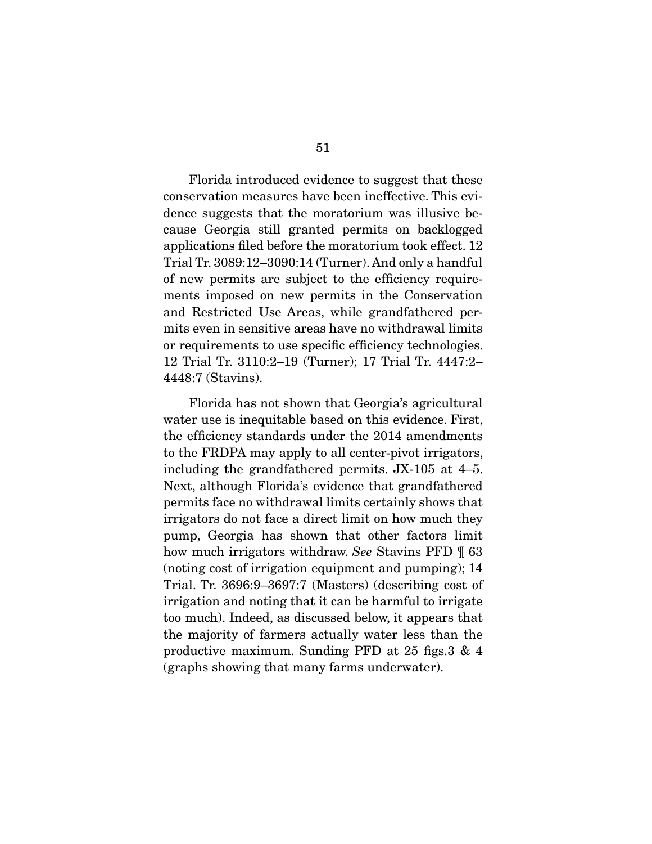Florida introduced evidence to suggest that these conservation measures have been ineffective. This evidence suggests that the moratorium was illusive because Georgia still granted permits on backlogged applications filed before the moratorium took effect. 12 Trial Tr. 3089:12–3090:14 (Turner). And only a handful of new permits are subject to the efficiency requirements imposed on new permits in the Conservation and Restricted Use Areas, while grandfathered permits even in sensitive areas have no withdrawal limits or requirements to use specific efficiency technologies. 12 Trial Tr. 3110:2–19 (Turner); 17 Trial Tr. 4447:2– 4448:7 (Stavins).

 Florida has not shown that Georgia's agricultural water use is inequitable based on this evidence. First, the efficiency standards under the 2014 amendments to the FRDPA may apply to all center-pivot irrigators, including the grandfathered permits. JX-105 at 4–5. Next, although Florida's evidence that grandfathered permits face no withdrawal limits certainly shows that irrigators do not face a direct limit on how much they pump, Georgia has shown that other factors limit how much irrigators withdraw. *See* Stavins PFD ¶ 63 (noting cost of irrigation equipment and pumping); 14 Trial. Tr. 3696:9–3697:7 (Masters) (describing cost of irrigation and noting that it can be harmful to irrigate too much). Indeed, as discussed below, it appears that the majority of farmers actually water less than the productive maximum. Sunding PFD at 25 figs.3 & 4 (graphs showing that many farms underwater).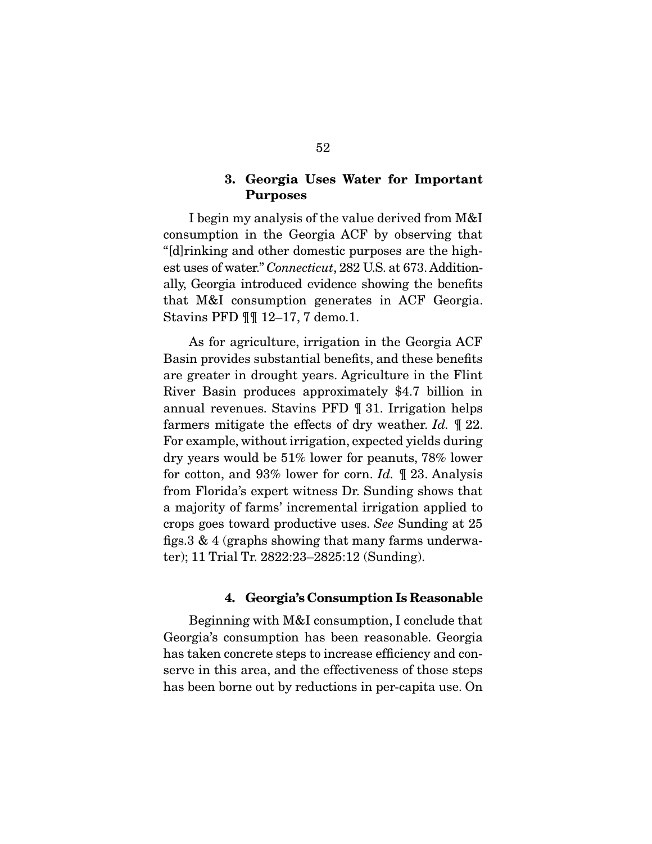## 3. Georgia Uses Water for Important Purposes

 I begin my analysis of the value derived from M&I consumption in the Georgia ACF by observing that "[d]rinking and other domestic purposes are the highest uses of water." *Connecticut*, 282 U.S. at 673. Additionally, Georgia introduced evidence showing the benefits that M&I consumption generates in ACF Georgia. Stavins PFD ¶¶ 12–17, 7 demo.1.

 As for agriculture, irrigation in the Georgia ACF Basin provides substantial benefits, and these benefits are greater in drought years. Agriculture in the Flint River Basin produces approximately \$4.7 billion in annual revenues. Stavins PFD ¶ 31. Irrigation helps farmers mitigate the effects of dry weather. *Id.* ¶ 22. For example, without irrigation, expected yields during dry years would be 51% lower for peanuts, 78% lower for cotton, and 93% lower for corn. *Id.* ¶ 23. Analysis from Florida's expert witness Dr. Sunding shows that a majority of farms' incremental irrigation applied to crops goes toward productive uses. *See* Sunding at 25 figs.3 & 4 (graphs showing that many farms underwater); 11 Trial Tr. 2822:23–2825:12 (Sunding).

### 4. Georgia's Consumption Is Reasonable

 Beginning with M&I consumption, I conclude that Georgia's consumption has been reasonable. Georgia has taken concrete steps to increase efficiency and conserve in this area, and the effectiveness of those steps has been borne out by reductions in per-capita use. On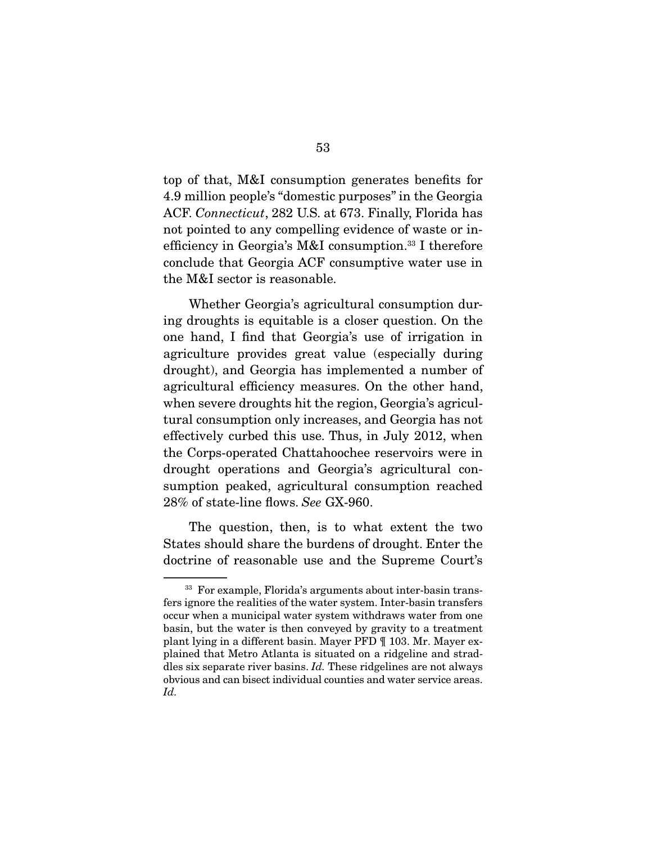top of that, M&I consumption generates benefits for 4.9 million people's "domestic purposes" in the Georgia ACF. *Connecticut*, 282 U.S. at 673. Finally, Florida has not pointed to any compelling evidence of waste or inefficiency in Georgia's M&I consumption.33 I therefore conclude that Georgia ACF consumptive water use in the M&I sector is reasonable.

 Whether Georgia's agricultural consumption during droughts is equitable is a closer question. On the one hand, I find that Georgia's use of irrigation in agriculture provides great value (especially during drought), and Georgia has implemented a number of agricultural efficiency measures. On the other hand, when severe droughts hit the region, Georgia's agricultural consumption only increases, and Georgia has not effectively curbed this use. Thus, in July 2012, when the Corps-operated Chattahoochee reservoirs were in drought operations and Georgia's agricultural consumption peaked, agricultural consumption reached 28% of state-line flows. *See* GX-960.

 The question, then, is to what extent the two States should share the burdens of drought. Enter the doctrine of reasonable use and the Supreme Court's

<sup>33</sup> For example, Florida's arguments about inter-basin transfers ignore the realities of the water system. Inter-basin transfers occur when a municipal water system withdraws water from one basin, but the water is then conveyed by gravity to a treatment plant lying in a different basin. Mayer PFD ¶ 103. Mr. Mayer explained that Metro Atlanta is situated on a ridgeline and straddles six separate river basins. *Id.* These ridgelines are not always obvious and can bisect individual counties and water service areas. *Id.*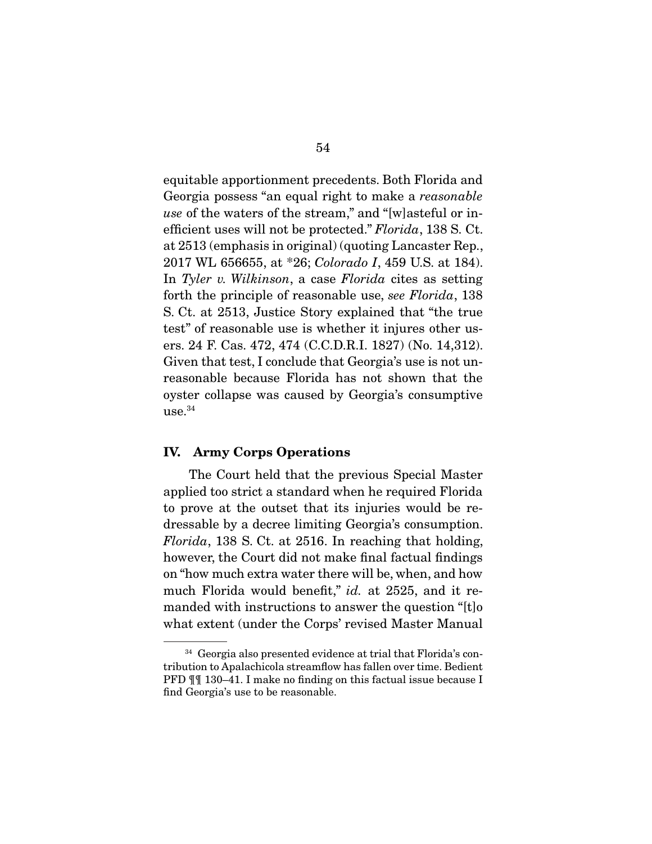equitable apportionment precedents. Both Florida and Georgia possess "an equal right to make a *reasonable use* of the waters of the stream," and "[w]asteful or inefficient uses will not be protected." *Florida*, 138 S. Ct. at 2513 (emphasis in original) (quoting Lancaster Rep., 2017 WL 656655, at \*26; *Colorado I*, 459 U.S. at 184). In *Tyler v. Wilkinson*, a case *Florida* cites as setting forth the principle of reasonable use, *see Florida*, 138 S. Ct. at 2513, Justice Story explained that "the true test" of reasonable use is whether it injures other users. 24 F. Cas. 472, 474 (C.C.D.R.I. 1827) (No. 14,312). Given that test, I conclude that Georgia's use is not unreasonable because Florida has not shown that the oyster collapse was caused by Georgia's consumptive  $use.<sup>34</sup>$ 

#### IV. Army Corps Operations

 The Court held that the previous Special Master applied too strict a standard when he required Florida to prove at the outset that its injuries would be redressable by a decree limiting Georgia's consumption. *Florida*, 138 S. Ct. at 2516. In reaching that holding, however, the Court did not make final factual findings on "how much extra water there will be, when, and how much Florida would benefit," *id.* at 2525, and it remanded with instructions to answer the question "[t]o what extent (under the Corps' revised Master Manual

<sup>34</sup> Georgia also presented evidence at trial that Florida's contribution to Apalachicola streamflow has fallen over time. Bedient PFD ¶¶ 130–41. I make no finding on this factual issue because I find Georgia's use to be reasonable.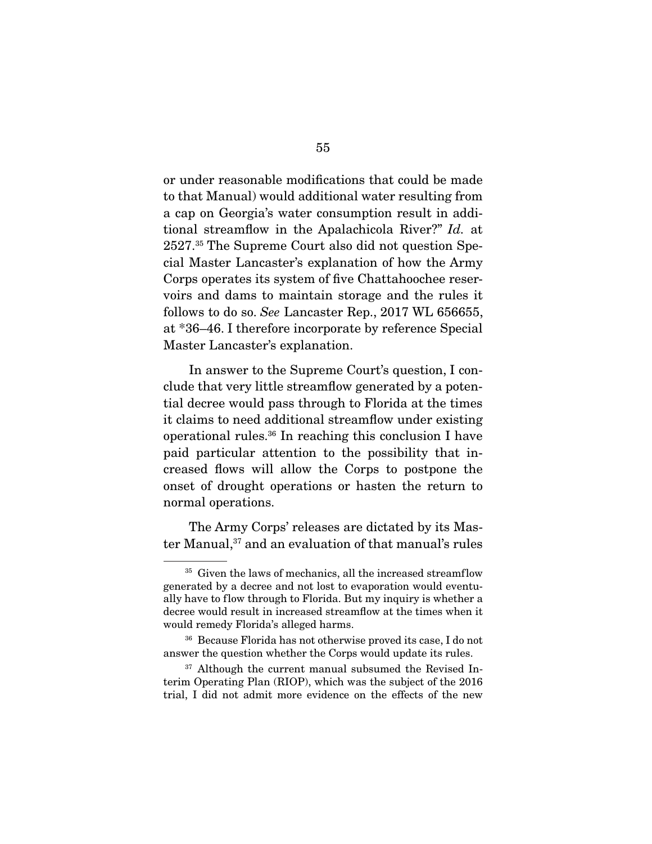or under reasonable modifications that could be made to that Manual) would additional water resulting from a cap on Georgia's water consumption result in additional streamflow in the Apalachicola River?" *Id.* at 2527.35 The Supreme Court also did not question Special Master Lancaster's explanation of how the Army Corps operates its system of five Chattahoochee reservoirs and dams to maintain storage and the rules it follows to do so. *See* Lancaster Rep., 2017 WL 656655, at \*36–46. I therefore incorporate by reference Special Master Lancaster's explanation.

 In answer to the Supreme Court's question, I conclude that very little streamflow generated by a potential decree would pass through to Florida at the times it claims to need additional streamflow under existing operational rules.36 In reaching this conclusion I have paid particular attention to the possibility that increased flows will allow the Corps to postpone the onset of drought operations or hasten the return to normal operations.

 The Army Corps' releases are dictated by its Master Manual,<sup>37</sup> and an evaluation of that manual's rules

<sup>&</sup>lt;sup>35</sup> Given the laws of mechanics, all the increased streamflow generated by a decree and not lost to evaporation would eventually have to flow through to Florida. But my inquiry is whether a decree would result in increased streamflow at the times when it would remedy Florida's alleged harms.

<sup>36</sup> Because Florida has not otherwise proved its case, I do not answer the question whether the Corps would update its rules.

<sup>&</sup>lt;sup>37</sup> Although the current manual subsumed the Revised Interim Operating Plan (RIOP), which was the subject of the 2016 trial, I did not admit more evidence on the effects of the new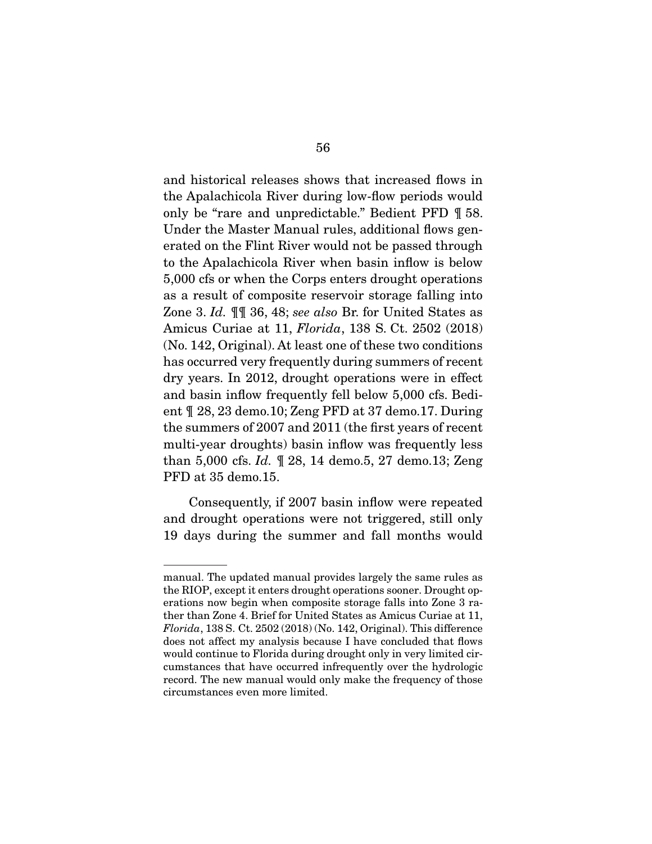and historical releases shows that increased flows in the Apalachicola River during low-flow periods would only be "rare and unpredictable." Bedient PFD ¶ 58. Under the Master Manual rules, additional flows generated on the Flint River would not be passed through to the Apalachicola River when basin inflow is below 5,000 cfs or when the Corps enters drought operations as a result of composite reservoir storage falling into Zone 3. *Id.* ¶¶ 36, 48; *see also* Br. for United States as Amicus Curiae at 11, *Florida*, 138 S. Ct. 2502 (2018) (No. 142, Original). At least one of these two conditions has occurred very frequently during summers of recent dry years. In 2012, drought operations were in effect and basin inflow frequently fell below 5,000 cfs. Bedient ¶ 28, 23 demo.10; Zeng PFD at 37 demo.17. During the summers of 2007 and 2011 (the first years of recent multi-year droughts) basin inflow was frequently less than 5,000 cfs. *Id.* ¶ 28, 14 demo.5, 27 demo.13; Zeng PFD at 35 demo.15.

 Consequently, if 2007 basin inflow were repeated and drought operations were not triggered, still only 19 days during the summer and fall months would

manual. The updated manual provides largely the same rules as the RIOP, except it enters drought operations sooner. Drought operations now begin when composite storage falls into Zone 3 rather than Zone 4. Brief for United States as Amicus Curiae at 11, *Florida*, 138 S. Ct. 2502 (2018) (No. 142, Original). This difference does not affect my analysis because I have concluded that flows would continue to Florida during drought only in very limited circumstances that have occurred infrequently over the hydrologic record. The new manual would only make the frequency of those circumstances even more limited.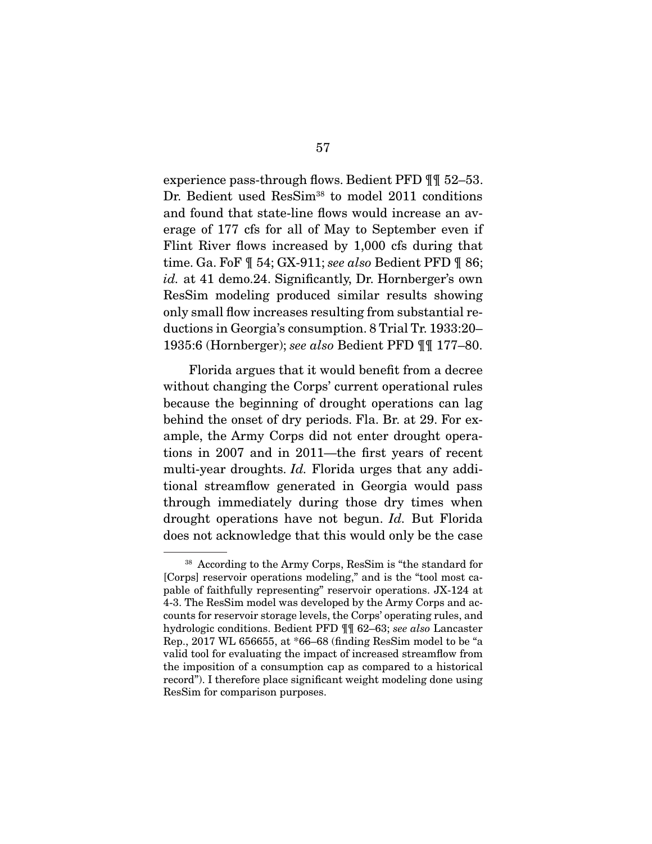experience pass-through flows. Bedient PFD ¶¶ 52–53. Dr. Bedient used ResSim<sup>38</sup> to model 2011 conditions and found that state-line flows would increase an average of 177 cfs for all of May to September even if Flint River flows increased by 1,000 cfs during that time. Ga. FoF ¶ 54; GX-911; *see also* Bedient PFD ¶ 86; *id.* at 41 demo.24. Significantly, Dr. Hornberger's own ResSim modeling produced similar results showing only small flow increases resulting from substantial reductions in Georgia's consumption. 8 Trial Tr. 1933:20– 1935:6 (Hornberger); *see also* Bedient PFD ¶¶ 177–80.

 Florida argues that it would benefit from a decree without changing the Corps' current operational rules because the beginning of drought operations can lag behind the onset of dry periods. Fla. Br. at 29. For example, the Army Corps did not enter drought operations in 2007 and in 2011—the first years of recent multi-year droughts. *Id.* Florida urges that any additional streamflow generated in Georgia would pass through immediately during those dry times when drought operations have not begun. *Id.* But Florida does not acknowledge that this would only be the case

<sup>38</sup> According to the Army Corps, ResSim is "the standard for [Corps] reservoir operations modeling," and is the "tool most capable of faithfully representing" reservoir operations. JX-124 at 4-3. The ResSim model was developed by the Army Corps and accounts for reservoir storage levels, the Corps' operating rules, and hydrologic conditions. Bedient PFD ¶¶ 62–63; *see also* Lancaster Rep., 2017 WL 656655, at \*66–68 (finding ResSim model to be "a valid tool for evaluating the impact of increased streamflow from the imposition of a consumption cap as compared to a historical record"). I therefore place significant weight modeling done using ResSim for comparison purposes.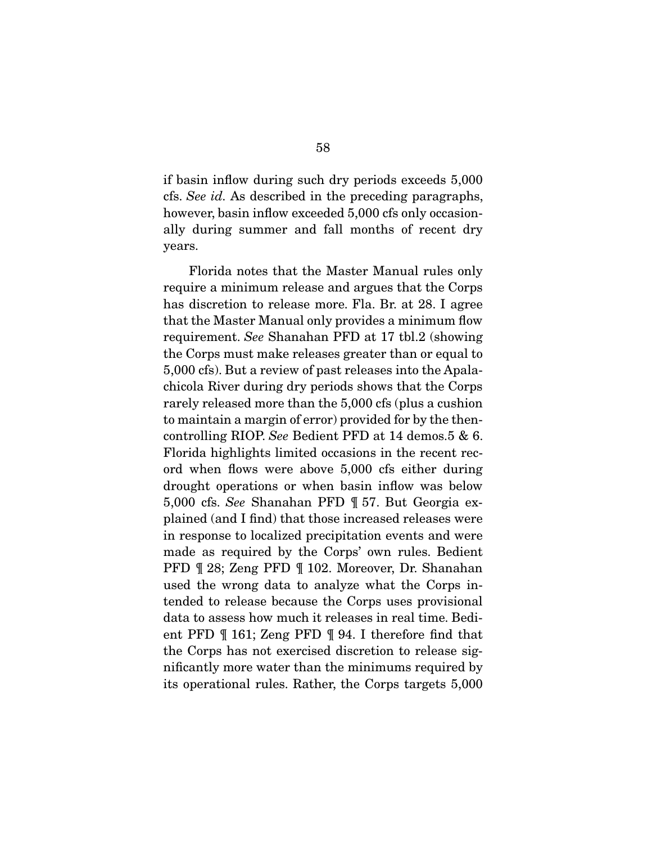if basin inflow during such dry periods exceeds 5,000 cfs. *See id.* As described in the preceding paragraphs, however, basin inflow exceeded 5,000 cfs only occasionally during summer and fall months of recent dry years.

 Florida notes that the Master Manual rules only require a minimum release and argues that the Corps has discretion to release more. Fla. Br. at 28. I agree that the Master Manual only provides a minimum flow requirement. *See* Shanahan PFD at 17 tbl.2 (showing the Corps must make releases greater than or equal to 5,000 cfs). But a review of past releases into the Apalachicola River during dry periods shows that the Corps rarely released more than the 5,000 cfs (plus a cushion to maintain a margin of error) provided for by the thencontrolling RIOP. *See* Bedient PFD at 14 demos.5 & 6. Florida highlights limited occasions in the recent record when flows were above 5,000 cfs either during drought operations or when basin inflow was below 5,000 cfs. *See* Shanahan PFD ¶ 57. But Georgia explained (and I find) that those increased releases were in response to localized precipitation events and were made as required by the Corps' own rules. Bedient PFD ¶ 28; Zeng PFD ¶ 102. Moreover, Dr. Shanahan used the wrong data to analyze what the Corps intended to release because the Corps uses provisional data to assess how much it releases in real time. Bedient PFD ¶ 161; Zeng PFD ¶ 94. I therefore find that the Corps has not exercised discretion to release significantly more water than the minimums required by its operational rules. Rather, the Corps targets 5,000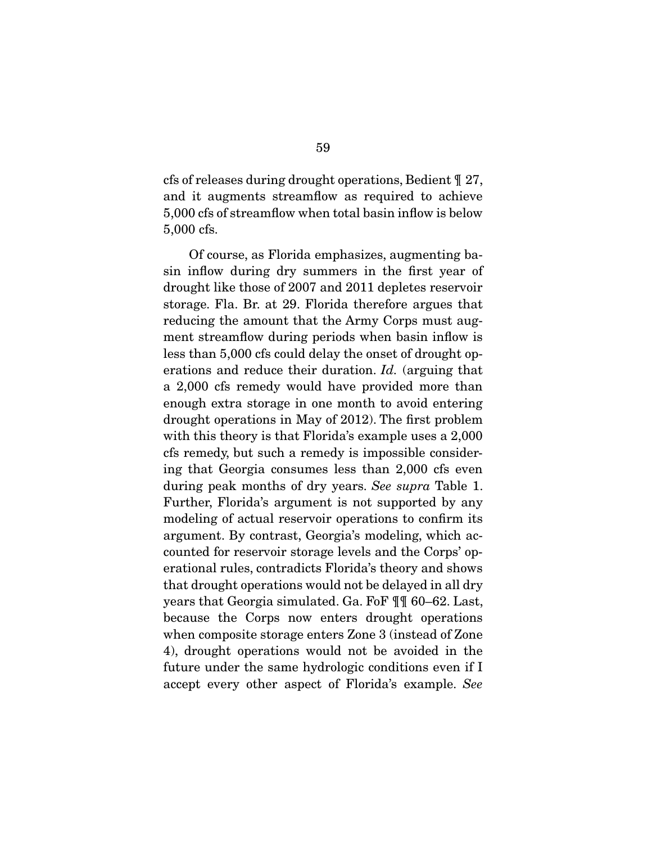cfs of releases during drought operations, Bedient ¶ 27, and it augments streamflow as required to achieve 5,000 cfs of streamflow when total basin inflow is below 5,000 cfs.

 Of course, as Florida emphasizes, augmenting basin inflow during dry summers in the first year of drought like those of 2007 and 2011 depletes reservoir storage. Fla. Br. at 29. Florida therefore argues that reducing the amount that the Army Corps must augment streamflow during periods when basin inflow is less than 5,000 cfs could delay the onset of drought operations and reduce their duration. *Id.* (arguing that a 2,000 cfs remedy would have provided more than enough extra storage in one month to avoid entering drought operations in May of 2012). The first problem with this theory is that Florida's example uses a 2,000 cfs remedy, but such a remedy is impossible considering that Georgia consumes less than 2,000 cfs even during peak months of dry years. *See supra* Table 1. Further, Florida's argument is not supported by any modeling of actual reservoir operations to confirm its argument. By contrast, Georgia's modeling, which accounted for reservoir storage levels and the Corps' operational rules, contradicts Florida's theory and shows that drought operations would not be delayed in all dry years that Georgia simulated. Ga. FoF ¶¶ 60–62. Last, because the Corps now enters drought operations when composite storage enters Zone 3 (instead of Zone 4), drought operations would not be avoided in the future under the same hydrologic conditions even if I accept every other aspect of Florida's example. *See*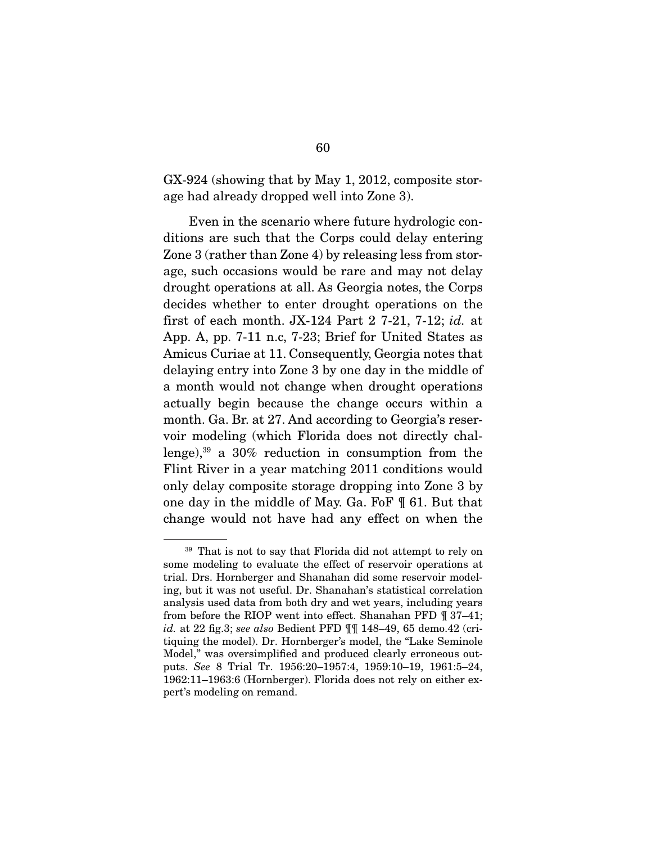GX-924 (showing that by May 1, 2012, composite storage had already dropped well into Zone 3).

 Even in the scenario where future hydrologic conditions are such that the Corps could delay entering Zone 3 (rather than Zone 4) by releasing less from storage, such occasions would be rare and may not delay drought operations at all. As Georgia notes, the Corps decides whether to enter drought operations on the first of each month. JX-124 Part 2 7-21, 7-12; *id.* at App. A, pp. 7-11 n.c, 7-23; Brief for United States as Amicus Curiae at 11. Consequently, Georgia notes that delaying entry into Zone 3 by one day in the middle of a month would not change when drought operations actually begin because the change occurs within a month. Ga. Br. at 27. And according to Georgia's reservoir modeling (which Florida does not directly challenge), $39$  a 30% reduction in consumption from the Flint River in a year matching 2011 conditions would only delay composite storage dropping into Zone 3 by one day in the middle of May. Ga. FoF ¶ 61. But that change would not have had any effect on when the

<sup>&</sup>lt;sup>39</sup> That is not to say that Florida did not attempt to rely on some modeling to evaluate the effect of reservoir operations at trial. Drs. Hornberger and Shanahan did some reservoir modeling, but it was not useful. Dr. Shanahan's statistical correlation analysis used data from both dry and wet years, including years from before the RIOP went into effect. Shanahan PFD ¶ 37–41; *id.* at 22 fig.3; *see also* Bedient PFD ¶¶ 148–49, 65 demo.42 (critiquing the model). Dr. Hornberger's model, the "Lake Seminole Model," was oversimplified and produced clearly erroneous outputs. *See* 8 Trial Tr. 1956:20–1957:4, 1959:10–19, 1961:5–24, 1962:11–1963:6 (Hornberger). Florida does not rely on either expert's modeling on remand.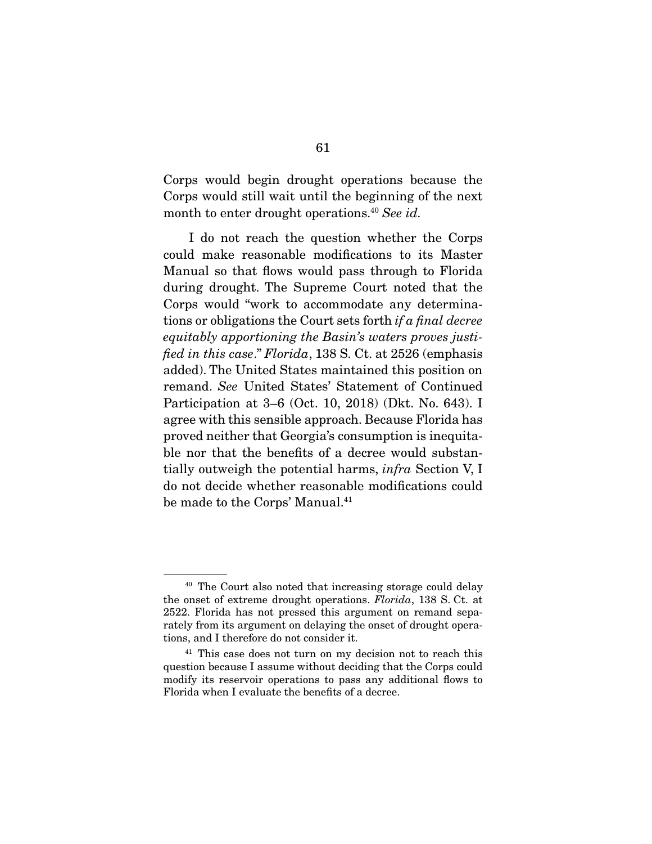Corps would begin drought operations because the Corps would still wait until the beginning of the next month to enter drought operations.40 *See id.*

 I do not reach the question whether the Corps could make reasonable modifications to its Master Manual so that flows would pass through to Florida during drought. The Supreme Court noted that the Corps would "work to accommodate any determinations or obligations the Court sets forth *if a final decree equitably apportioning the Basin's waters proves justified in this case*." *Florida*, 138 S. Ct. at 2526 (emphasis added). The United States maintained this position on remand. *See* United States' Statement of Continued Participation at 3–6 (Oct. 10, 2018) (Dkt. No. 643). I agree with this sensible approach. Because Florida has proved neither that Georgia's consumption is inequitable nor that the benefits of a decree would substantially outweigh the potential harms, *infra* Section V, I do not decide whether reasonable modifications could be made to the Corps' Manual.<sup>41</sup>

<sup>40</sup> The Court also noted that increasing storage could delay the onset of extreme drought operations. *Florida*, 138 S. Ct. at 2522. Florida has not pressed this argument on remand separately from its argument on delaying the onset of drought operations, and I therefore do not consider it.

<sup>&</sup>lt;sup>41</sup> This case does not turn on my decision not to reach this question because I assume without deciding that the Corps could modify its reservoir operations to pass any additional flows to Florida when I evaluate the benefits of a decree.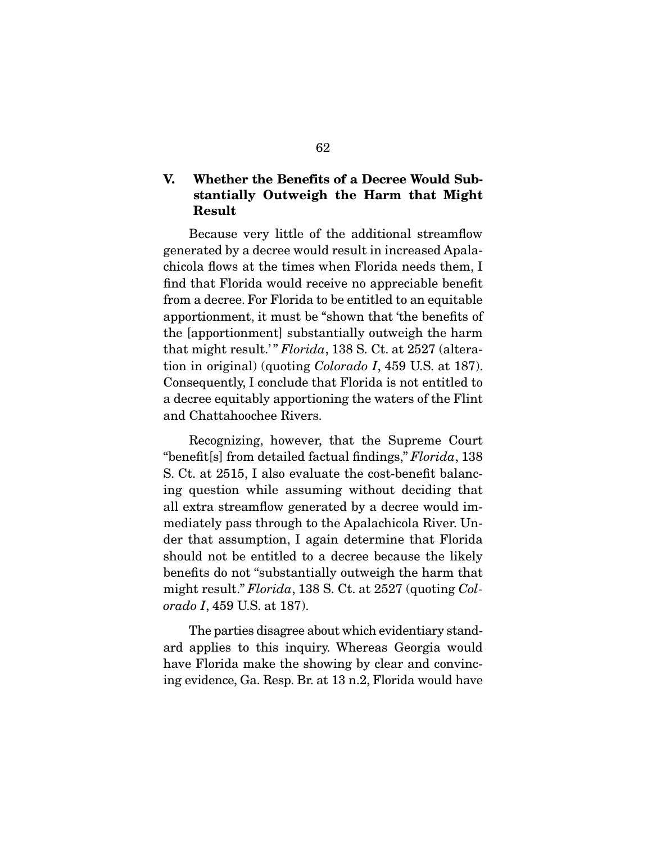# V. Whether the Benefits of a Decree Would Substantially Outweigh the Harm that Might Result

 Because very little of the additional streamflow generated by a decree would result in increased Apalachicola flows at the times when Florida needs them, I find that Florida would receive no appreciable benefit from a decree. For Florida to be entitled to an equitable apportionment, it must be "shown that 'the benefits of the [apportionment] substantially outweigh the harm that might result.' " *Florida*, 138 S. Ct. at 2527 (alteration in original) (quoting *Colorado I*, 459 U.S. at 187). Consequently, I conclude that Florida is not entitled to a decree equitably apportioning the waters of the Flint and Chattahoochee Rivers.

 Recognizing, however, that the Supreme Court "benefit[s] from detailed factual findings," *Florida*, 138 S. Ct. at 2515, I also evaluate the cost-benefit balancing question while assuming without deciding that all extra streamflow generated by a decree would immediately pass through to the Apalachicola River. Under that assumption, I again determine that Florida should not be entitled to a decree because the likely benefits do not "substantially outweigh the harm that might result." *Florida*, 138 S. Ct. at 2527 (quoting *Colorado I*, 459 U.S. at 187).

 The parties disagree about which evidentiary standard applies to this inquiry. Whereas Georgia would have Florida make the showing by clear and convincing evidence, Ga. Resp. Br. at 13 n.2, Florida would have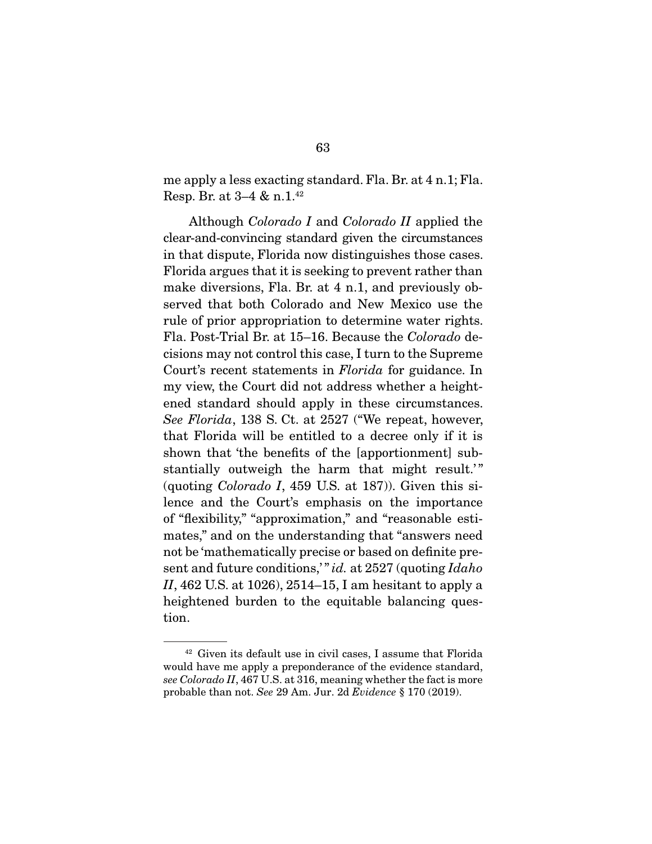me apply a less exacting standard. Fla. Br. at 4 n.1; Fla. Resp. Br. at 3–4 & n.1.42

 Although *Colorado I* and *Colorado II* applied the clear-and-convincing standard given the circumstances in that dispute, Florida now distinguishes those cases. Florida argues that it is seeking to prevent rather than make diversions, Fla. Br. at 4 n.1, and previously observed that both Colorado and New Mexico use the rule of prior appropriation to determine water rights. Fla. Post-Trial Br. at 15–16. Because the *Colorado* decisions may not control this case, I turn to the Supreme Court's recent statements in *Florida* for guidance. In my view, the Court did not address whether a heightened standard should apply in these circumstances. *See Florida*, 138 S. Ct. at 2527 ("We repeat, however, that Florida will be entitled to a decree only if it is shown that 'the benefits of the [apportionment] substantially outweigh the harm that might result.'" (quoting *Colorado I*, 459 U.S. at 187)). Given this silence and the Court's emphasis on the importance of "flexibility," "approximation," and "reasonable estimates," and on the understanding that "answers need not be 'mathematically precise or based on definite present and future conditions,' " *id.* at 2527 (quoting *Idaho II*, 462 U.S. at 1026), 2514–15, I am hesitant to apply a heightened burden to the equitable balancing question.

<sup>42</sup> Given its default use in civil cases, I assume that Florida would have me apply a preponderance of the evidence standard, *see Colorado II*, 467 U.S. at 316, meaning whether the fact is more probable than not. *See* 29 Am. Jur. 2d *Evidence* § 170 (2019).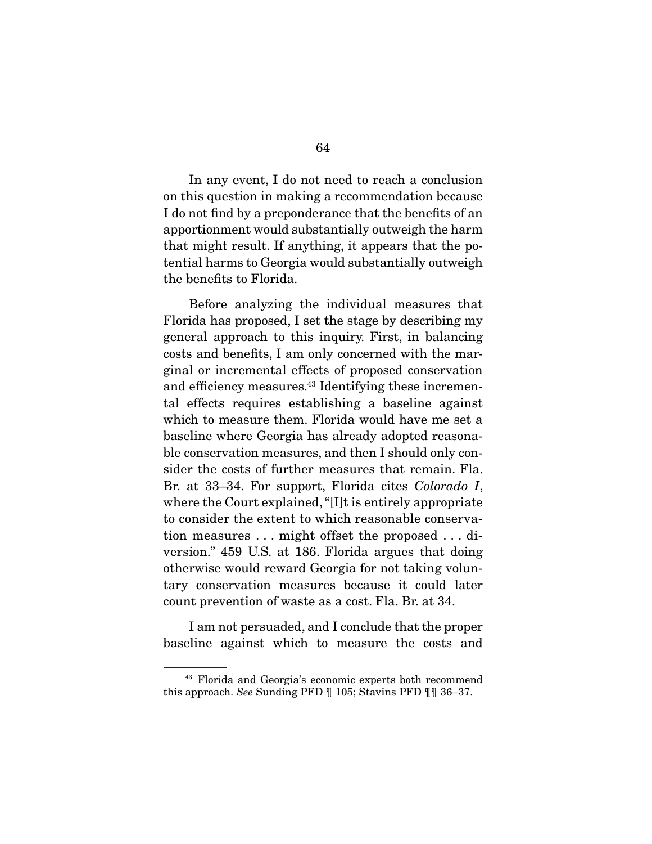In any event, I do not need to reach a conclusion on this question in making a recommendation because I do not find by a preponderance that the benefits of an apportionment would substantially outweigh the harm that might result. If anything, it appears that the potential harms to Georgia would substantially outweigh the benefits to Florida.

 Before analyzing the individual measures that Florida has proposed, I set the stage by describing my general approach to this inquiry. First, in balancing costs and benefits, I am only concerned with the marginal or incremental effects of proposed conservation and efficiency measures.<sup>43</sup> Identifying these incremental effects requires establishing a baseline against which to measure them. Florida would have me set a baseline where Georgia has already adopted reasonable conservation measures, and then I should only consider the costs of further measures that remain. Fla. Br. at 33–34. For support, Florida cites *Colorado I*, where the Court explained, "[I]t is entirely appropriate to consider the extent to which reasonable conservation measures . . . might offset the proposed . . . diversion." 459 U.S. at 186. Florida argues that doing otherwise would reward Georgia for not taking voluntary conservation measures because it could later count prevention of waste as a cost. Fla. Br. at 34.

 I am not persuaded, and I conclude that the proper baseline against which to measure the costs and

<sup>43</sup> Florida and Georgia's economic experts both recommend this approach. *See* Sunding PFD ¶ 105; Stavins PFD ¶¶ 36–37.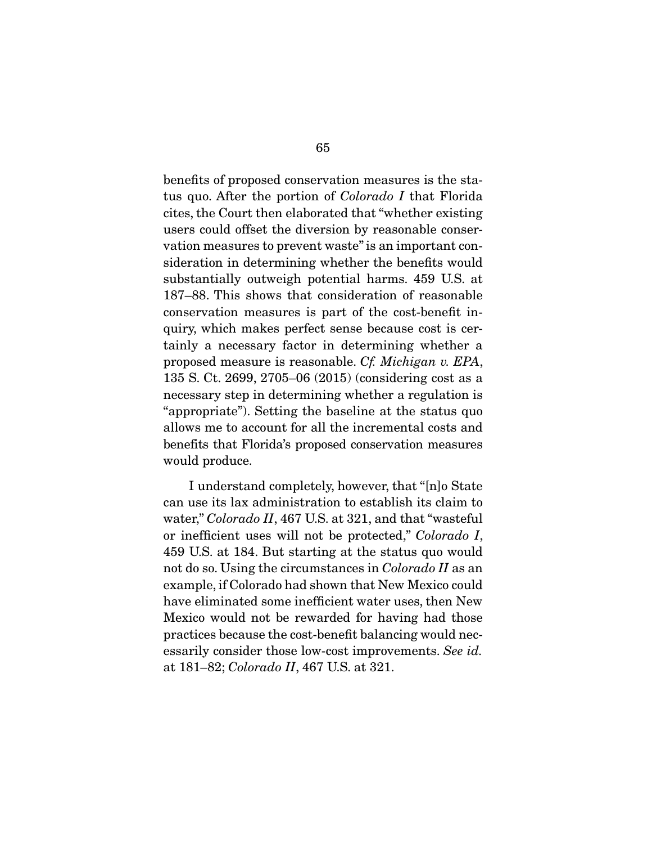benefits of proposed conservation measures is the status quo. After the portion of *Colorado I* that Florida cites, the Court then elaborated that "whether existing users could offset the diversion by reasonable conservation measures to prevent waste" is an important consideration in determining whether the benefits would substantially outweigh potential harms. 459 U.S. at 187–88. This shows that consideration of reasonable conservation measures is part of the cost-benefit inquiry, which makes perfect sense because cost is certainly a necessary factor in determining whether a proposed measure is reasonable. *Cf. Michigan v. EPA*, 135 S. Ct. 2699, 2705–06 (2015) (considering cost as a necessary step in determining whether a regulation is "appropriate"). Setting the baseline at the status quo allows me to account for all the incremental costs and benefits that Florida's proposed conservation measures would produce.

 I understand completely, however, that "[n]o State can use its lax administration to establish its claim to water," *Colorado II*, 467 U.S. at 321, and that "wasteful or inefficient uses will not be protected," *Colorado I*, 459 U.S. at 184. But starting at the status quo would not do so. Using the circumstances in *Colorado II* as an example, if Colorado had shown that New Mexico could have eliminated some inefficient water uses, then New Mexico would not be rewarded for having had those practices because the cost-benefit balancing would necessarily consider those low-cost improvements. *See id.* at 181–82; *Colorado II*, 467 U.S. at 321.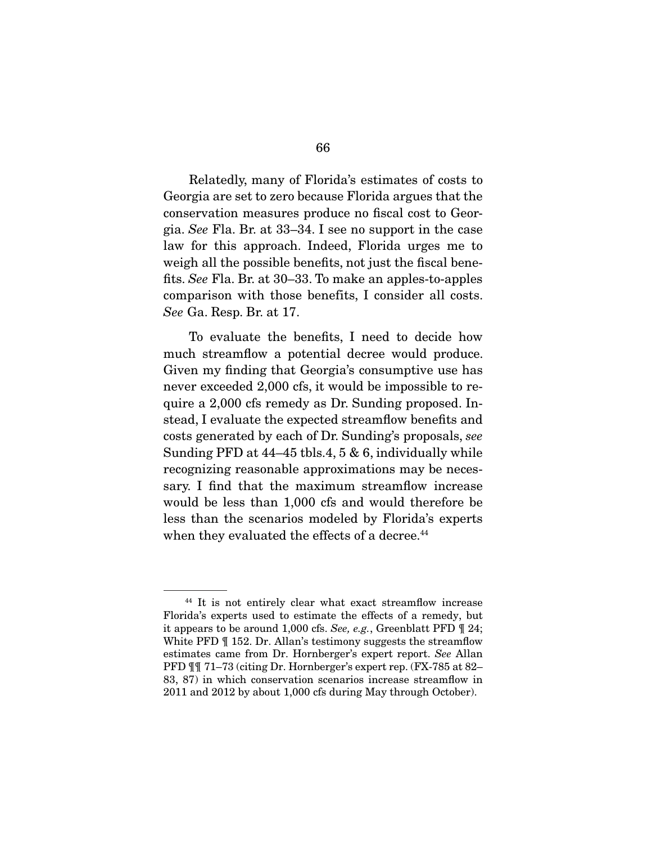Relatedly, many of Florida's estimates of costs to Georgia are set to zero because Florida argues that the conservation measures produce no fiscal cost to Georgia. *See* Fla. Br. at 33–34. I see no support in the case law for this approach. Indeed, Florida urges me to weigh all the possible benefits, not just the fiscal benefits. *See* Fla. Br. at 30–33. To make an apples-to-apples comparison with those benefits, I consider all costs. *See* Ga. Resp. Br. at 17.

 To evaluate the benefits, I need to decide how much streamflow a potential decree would produce. Given my finding that Georgia's consumptive use has never exceeded 2,000 cfs, it would be impossible to require a 2,000 cfs remedy as Dr. Sunding proposed. Instead, I evaluate the expected streamflow benefits and costs generated by each of Dr. Sunding's proposals, *see* Sunding PFD at 44–45 tbls.4, 5 & 6, individually while recognizing reasonable approximations may be necessary. I find that the maximum streamflow increase would be less than 1,000 cfs and would therefore be less than the scenarios modeled by Florida's experts when they evaluated the effects of a decree.<sup>44</sup>

<sup>44</sup> It is not entirely clear what exact streamflow increase Florida's experts used to estimate the effects of a remedy, but it appears to be around 1,000 cfs. *See, e.g.*, Greenblatt PFD ¶ 24; White PFD  $\P$  152. Dr. Allan's testimony suggests the streamflow estimates came from Dr. Hornberger's expert report. *See* Allan PFD  $\P$  $\P$  71–73 (citing Dr. Hornberger's expert rep. (FX-785 at 82– 83, 87) in which conservation scenarios increase streamflow in 2011 and 2012 by about 1,000 cfs during May through October).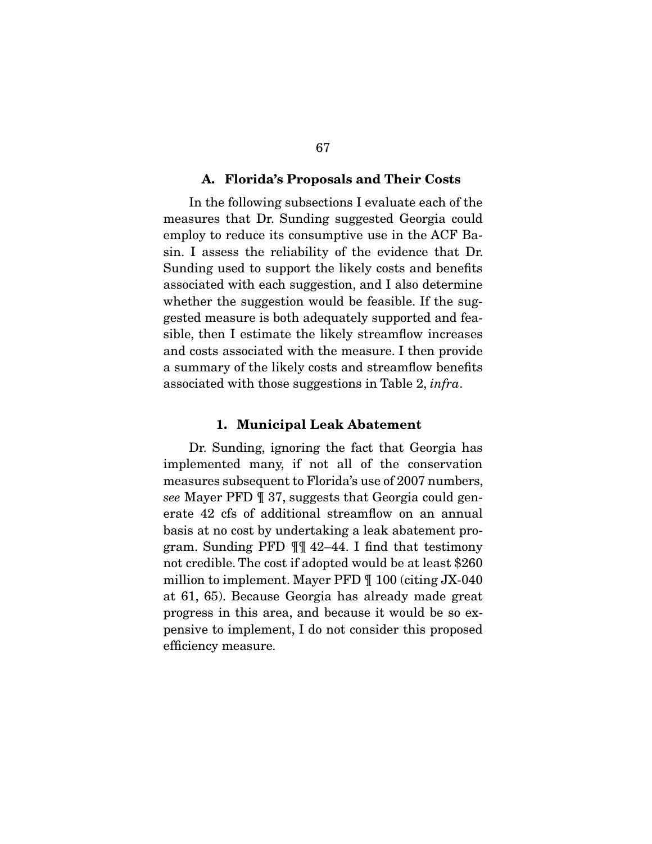#### A. Florida's Proposals and Their Costs

 In the following subsections I evaluate each of the measures that Dr. Sunding suggested Georgia could employ to reduce its consumptive use in the ACF Basin. I assess the reliability of the evidence that Dr. Sunding used to support the likely costs and benefits associated with each suggestion, and I also determine whether the suggestion would be feasible. If the suggested measure is both adequately supported and feasible, then I estimate the likely streamflow increases and costs associated with the measure. I then provide a summary of the likely costs and streamflow benefits associated with those suggestions in Table 2, *infra*.

#### 1. Municipal Leak Abatement

 Dr. Sunding, ignoring the fact that Georgia has implemented many, if not all of the conservation measures subsequent to Florida's use of 2007 numbers, *see* Mayer PFD ¶ 37, suggests that Georgia could generate 42 cfs of additional streamflow on an annual basis at no cost by undertaking a leak abatement program. Sunding PFD ¶¶ 42–44. I find that testimony not credible. The cost if adopted would be at least \$260 million to implement. Mayer PFD ¶ 100 (citing JX-040 at 61, 65). Because Georgia has already made great progress in this area, and because it would be so expensive to implement, I do not consider this proposed efficiency measure.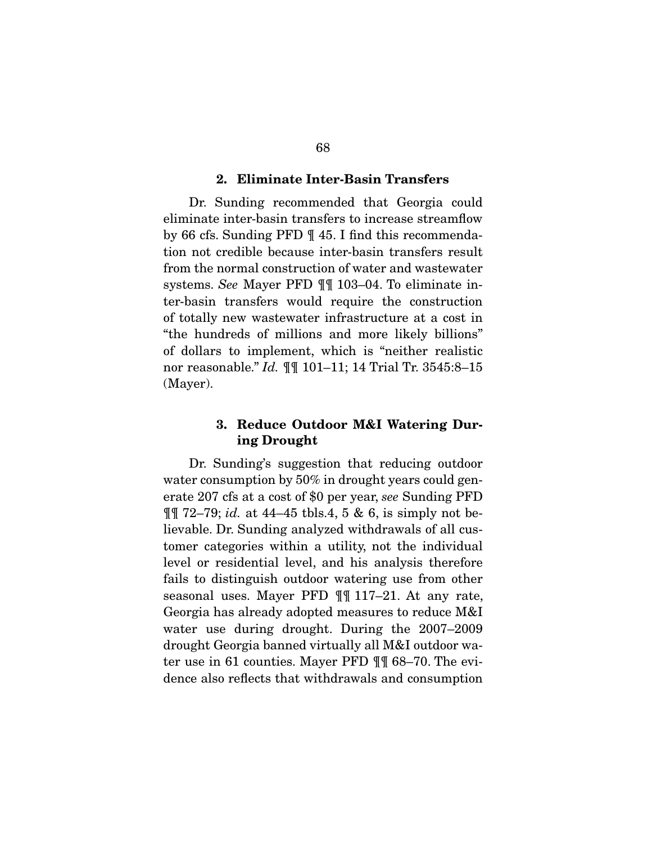#### 2. Eliminate Inter-Basin Transfers

 Dr. Sunding recommended that Georgia could eliminate inter-basin transfers to increase streamflow by 66 cfs. Sunding PFD ¶ 45. I find this recommendation not credible because inter-basin transfers result from the normal construction of water and wastewater systems. *See* Mayer PFD ¶¶ 103–04. To eliminate inter-basin transfers would require the construction of totally new wastewater infrastructure at a cost in "the hundreds of millions and more likely billions" of dollars to implement, which is "neither realistic nor reasonable." *Id.* ¶¶ 101–11; 14 Trial Tr. 3545:8–15 (Mayer).

# 3. Reduce Outdoor M&I Watering During Drought

 Dr. Sunding's suggestion that reducing outdoor water consumption by 50% in drought years could generate 207 cfs at a cost of \$0 per year, *see* Sunding PFD ¶¶ 72–79; *id.* at 44–45 tbls.4, 5 & 6, is simply not believable. Dr. Sunding analyzed withdrawals of all customer categories within a utility, not the individual level or residential level, and his analysis therefore fails to distinguish outdoor watering use from other seasonal uses. Mayer PFD ¶¶ 117–21. At any rate, Georgia has already adopted measures to reduce M&I water use during drought. During the 2007–2009 drought Georgia banned virtually all M&I outdoor water use in 61 counties. Mayer PFD ¶¶ 68–70. The evidence also reflects that withdrawals and consumption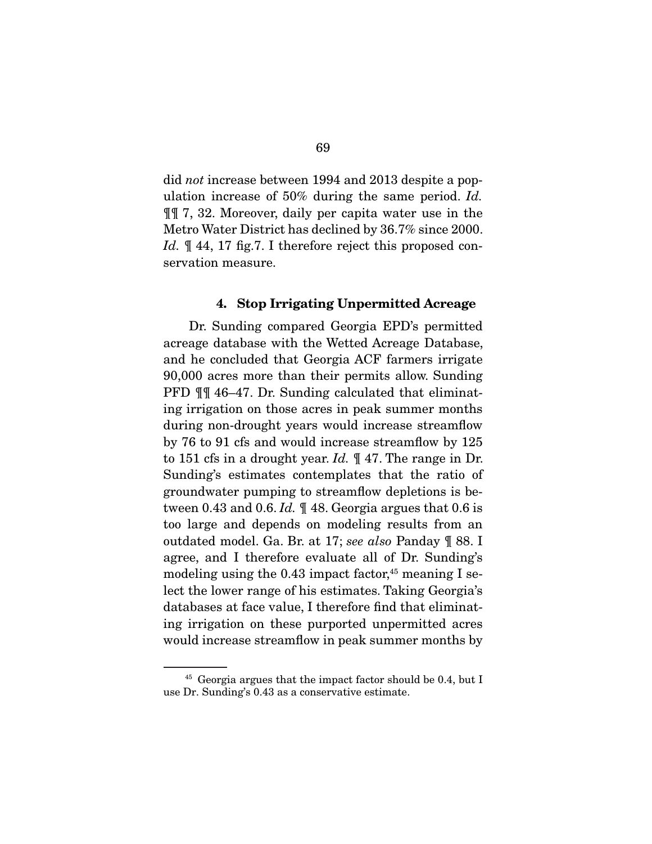did *not* increase between 1994 and 2013 despite a population increase of 50% during the same period. *Id.* ¶¶ 7, 32. Moreover, daily per capita water use in the Metro Water District has declined by 36.7% since 2000. Id.  $\mathbb{I}$  44, 17 fig.7. I therefore reject this proposed conservation measure.

#### 4. Stop Irrigating Unpermitted Acreage

 Dr. Sunding compared Georgia EPD's permitted acreage database with the Wetted Acreage Database, and he concluded that Georgia ACF farmers irrigate 90,000 acres more than their permits allow. Sunding PFD ¶¶ 46–47. Dr. Sunding calculated that eliminating irrigation on those acres in peak summer months during non-drought years would increase streamflow by 76 to 91 cfs and would increase streamflow by 125 to 151 cfs in a drought year. *Id.* ¶ 47. The range in Dr. Sunding's estimates contemplates that the ratio of groundwater pumping to streamflow depletions is between 0.43 and 0.6. *Id.* ¶ 48. Georgia argues that 0.6 is too large and depends on modeling results from an outdated model. Ga. Br. at 17; *see also* Panday ¶ 88. I agree, and I therefore evaluate all of Dr. Sunding's modeling using the  $0.43$  impact factor,<sup>45</sup> meaning I select the lower range of his estimates. Taking Georgia's databases at face value, I therefore find that eliminating irrigation on these purported unpermitted acres would increase streamflow in peak summer months by

<sup>&</sup>lt;sup>45</sup> Georgia argues that the impact factor should be 0.4, but I use Dr. Sunding's 0.43 as a conservative estimate.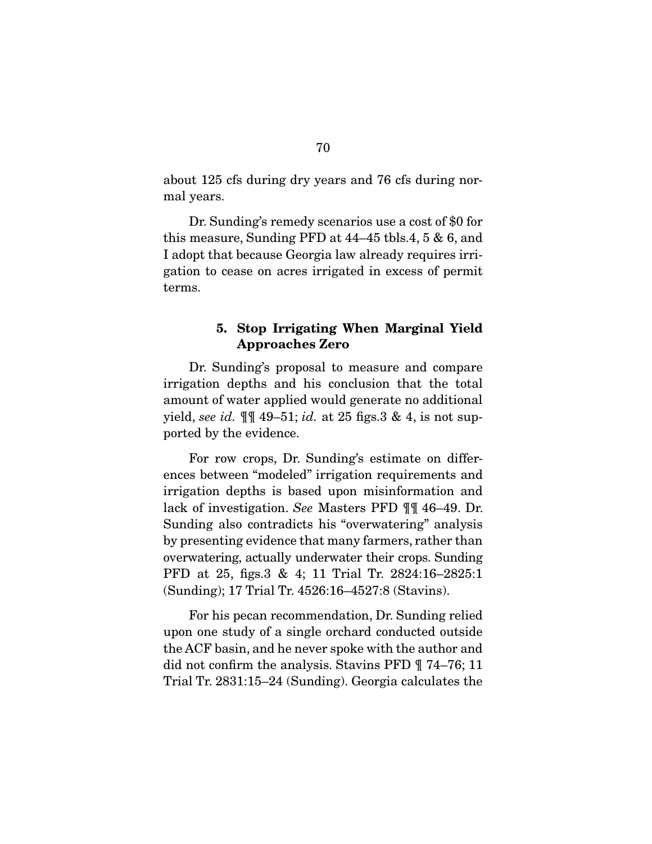about 125 cfs during dry years and 76 cfs during normal years.

 Dr. Sunding's remedy scenarios use a cost of \$0 for this measure, Sunding PFD at 44–45 tbls.4, 5 & 6, and I adopt that because Georgia law already requires irrigation to cease on acres irrigated in excess of permit terms.

# 5. Stop Irrigating When Marginal Yield Approaches Zero

 Dr. Sunding's proposal to measure and compare irrigation depths and his conclusion that the total amount of water applied would generate no additional yield, *see id.* ¶¶ 49–51; *id.* at 25 figs.3 & 4, is not supported by the evidence.

 For row crops, Dr. Sunding's estimate on differences between "modeled" irrigation requirements and irrigation depths is based upon misinformation and lack of investigation. *See* Masters PFD ¶¶ 46–49. Dr. Sunding also contradicts his "overwatering" analysis by presenting evidence that many farmers, rather than overwatering, actually underwater their crops. Sunding PFD at 25, figs.3 & 4; 11 Trial Tr. 2824:16–2825:1 (Sunding); 17 Trial Tr. 4526:16–4527:8 (Stavins).

 For his pecan recommendation, Dr. Sunding relied upon one study of a single orchard conducted outside the ACF basin, and he never spoke with the author and did not confirm the analysis. Stavins PFD ¶ 74–76; 11 Trial Tr. 2831:15–24 (Sunding). Georgia calculates the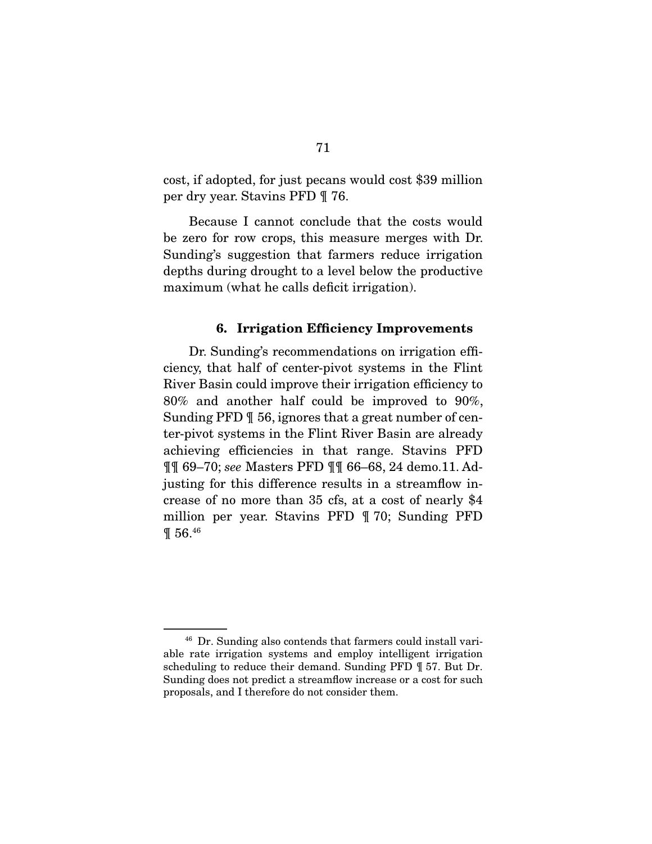cost, if adopted, for just pecans would cost \$39 million per dry year. Stavins PFD ¶ 76.

 Because I cannot conclude that the costs would be zero for row crops, this measure merges with Dr. Sunding's suggestion that farmers reduce irrigation depths during drought to a level below the productive maximum (what he calls deficit irrigation).

#### 6. Irrigation Efficiency Improvements

 Dr. Sunding's recommendations on irrigation efficiency, that half of center-pivot systems in the Flint River Basin could improve their irrigation efficiency to 80% and another half could be improved to 90%, Sunding PFD ¶ 56, ignores that a great number of center-pivot systems in the Flint River Basin are already achieving efficiencies in that range. Stavins PFD ¶¶ 69–70; *see* Masters PFD ¶¶ 66–68, 24 demo.11. Adjusting for this difference results in a streamflow increase of no more than 35 cfs, at a cost of nearly \$4 million per year. Stavins PFD ¶ 70; Sunding PFD ¶ 56.46

<sup>46</sup> Dr. Sunding also contends that farmers could install variable rate irrigation systems and employ intelligent irrigation scheduling to reduce their demand. Sunding PFD ¶ 57. But Dr. Sunding does not predict a streamflow increase or a cost for such proposals, and I therefore do not consider them.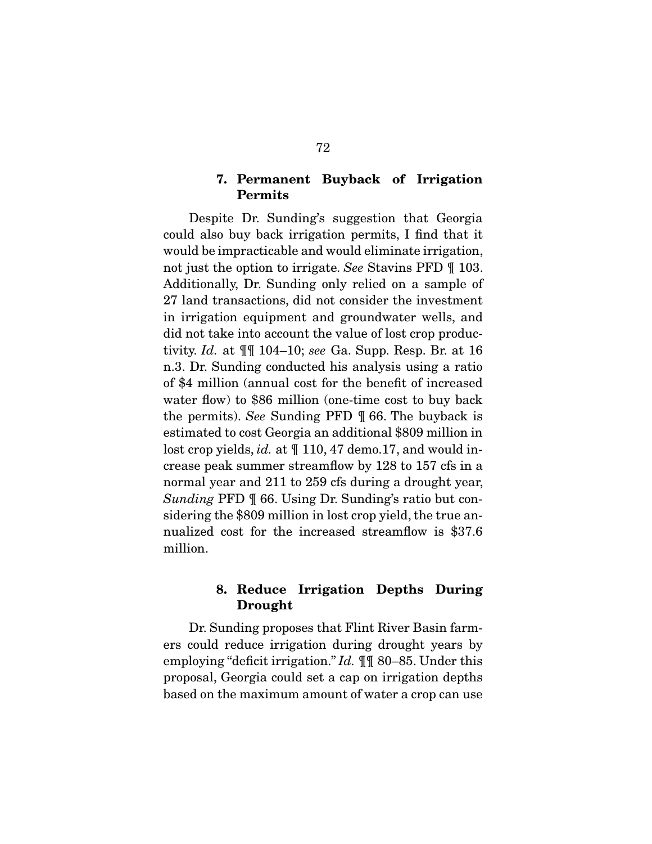# 7. Permanent Buyback of Irrigation Permits

 Despite Dr. Sunding's suggestion that Georgia could also buy back irrigation permits, I find that it would be impracticable and would eliminate irrigation, not just the option to irrigate. *See* Stavins PFD ¶ 103. Additionally, Dr. Sunding only relied on a sample of 27 land transactions, did not consider the investment in irrigation equipment and groundwater wells, and did not take into account the value of lost crop productivity. *Id.* at ¶¶ 104–10; *see* Ga. Supp. Resp. Br. at 16 n.3. Dr. Sunding conducted his analysis using a ratio of \$4 million (annual cost for the benefit of increased water flow) to \$86 million (one-time cost to buy back the permits). *See* Sunding PFD ¶ 66. The buyback is estimated to cost Georgia an additional \$809 million in lost crop yields, *id.* at  $\mathbb{I}$  110, 47 demo.17, and would increase peak summer streamflow by 128 to 157 cfs in a normal year and 211 to 259 cfs during a drought year, *Sunding* PFD ¶ 66. Using Dr. Sunding's ratio but considering the \$809 million in lost crop yield, the true annualized cost for the increased streamflow is \$37.6 million.

# 8. Reduce Irrigation Depths During Drought

 Dr. Sunding proposes that Flint River Basin farmers could reduce irrigation during drought years by employing "deficit irrigation." *Id.* ¶¶ 80–85. Under this proposal, Georgia could set a cap on irrigation depths based on the maximum amount of water a crop can use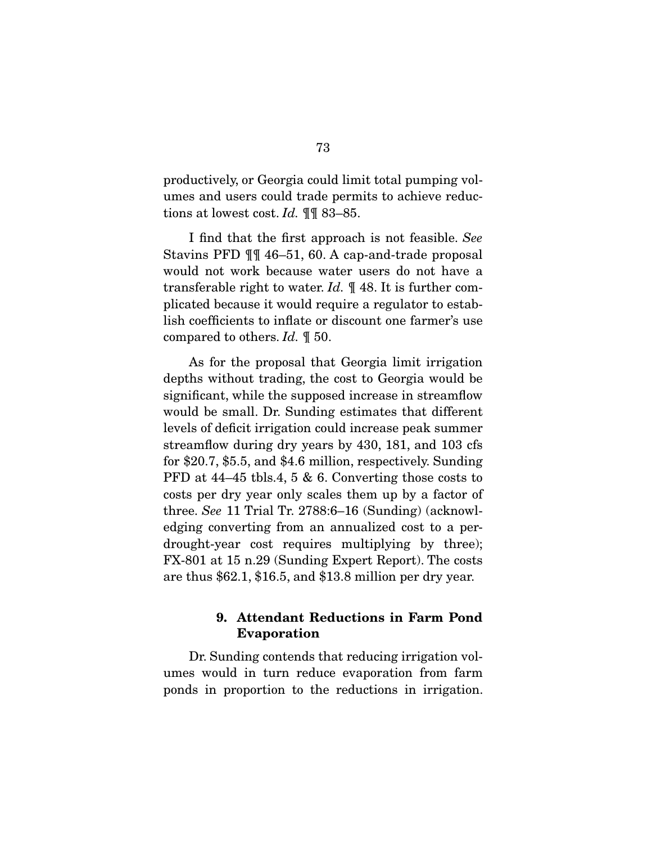productively, or Georgia could limit total pumping volumes and users could trade permits to achieve reductions at lowest cost. *Id.* ¶¶ 83–85.

 I find that the first approach is not feasible. *See* Stavins PFD ¶¶ 46–51, 60. A cap-and-trade proposal would not work because water users do not have a transferable right to water. *Id.* ¶ 48. It is further complicated because it would require a regulator to establish coefficients to inflate or discount one farmer's use compared to others. *Id.* ¶ 50.

 As for the proposal that Georgia limit irrigation depths without trading, the cost to Georgia would be significant, while the supposed increase in streamflow would be small. Dr. Sunding estimates that different levels of deficit irrigation could increase peak summer streamflow during dry years by 430, 181, and 103 cfs for \$20.7, \$5.5, and \$4.6 million, respectively. Sunding PFD at 44–45 tbls.4, 5 & 6. Converting those costs to costs per dry year only scales them up by a factor of three. *See* 11 Trial Tr. 2788:6–16 (Sunding) (acknowledging converting from an annualized cost to a perdrought-year cost requires multiplying by three); FX-801 at 15 n.29 (Sunding Expert Report). The costs are thus \$62.1, \$16.5, and \$13.8 million per dry year.

# 9. Attendant Reductions in Farm Pond Evaporation

 Dr. Sunding contends that reducing irrigation volumes would in turn reduce evaporation from farm ponds in proportion to the reductions in irrigation.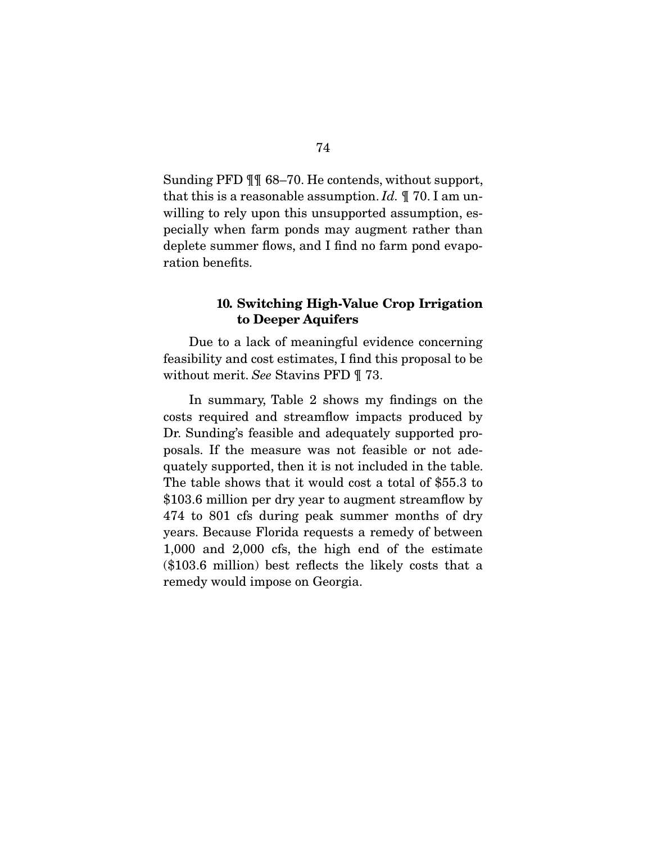Sunding PFD ¶¶ 68–70. He contends, without support, that this is a reasonable assumption. *Id.* ¶ 70. I am unwilling to rely upon this unsupported assumption, especially when farm ponds may augment rather than deplete summer flows, and I find no farm pond evaporation benefits.

# 10. Switching High-Value Crop Irrigation to Deeper Aquifers

 Due to a lack of meaningful evidence concerning feasibility and cost estimates, I find this proposal to be without merit. *See* Stavins PFD ¶ 73.

 In summary, Table 2 shows my findings on the costs required and streamflow impacts produced by Dr. Sunding's feasible and adequately supported proposals. If the measure was not feasible or not adequately supported, then it is not included in the table. The table shows that it would cost a total of \$55.3 to \$103.6 million per dry year to augment streamflow by 474 to 801 cfs during peak summer months of dry years. Because Florida requests a remedy of between 1,000 and 2,000 cfs, the high end of the estimate (\$103.6 million) best reflects the likely costs that a remedy would impose on Georgia.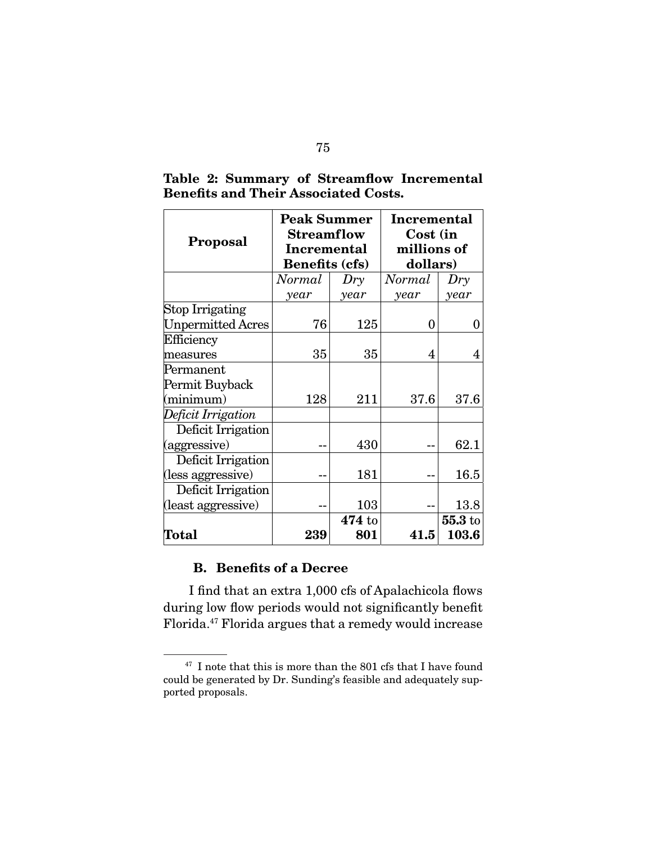| <b>Proposal</b>          | <b>Peak Summer</b><br><b>Streamflow</b><br><b>Incremental</b><br><b>Benefits (cfs)</b> |      | Incremental<br>Cost (in<br>millions of<br>dollars) |           |
|--------------------------|----------------------------------------------------------------------------------------|------|----------------------------------------------------|-----------|
|                          | Normal<br>Dry                                                                          |      | Normal                                             | Dry       |
|                          | year                                                                                   | year | year                                               | year      |
| Stop Irrigating          |                                                                                        |      |                                                    |           |
| <b>Unpermitted Acres</b> | 76                                                                                     | 125  | 0                                                  | 0         |
| Efficiency               |                                                                                        |      |                                                    |           |
| measures                 | 35                                                                                     | 35   | 4                                                  | 4         |
| Permanent                |                                                                                        |      |                                                    |           |
| Permit Buyback           |                                                                                        |      |                                                    |           |
| (minimum)                | 128                                                                                    | 211  | 37.6                                               | 37.6      |
| Deficit Irrigation       |                                                                                        |      |                                                    |           |
| Deficit Irrigation       |                                                                                        |      |                                                    |           |
| (aggressive)             |                                                                                        | 430  |                                                    | 62.1      |
| Deficit Irrigation       |                                                                                        |      |                                                    |           |
| (less aggressive)        |                                                                                        | 181  |                                                    | 16.5      |
| Deficit Irrigation       |                                                                                        |      |                                                    |           |
| (least aggressive)       |                                                                                        | 103  |                                                    | 13.8      |
|                          | 474 to                                                                                 |      |                                                    | $55.3$ to |
| Total                    | 239                                                                                    | 801  | 41.5                                               | 103.6     |

Table 2: Summary of Streamflow Incremental Benefits and Their Associated Costs.

# B. Benefits of a Decree

I find that an extra 1,000 cfs of Apalachicola flows during low flow periods would not significantly benefit Florida.47 Florida argues that a remedy would increase

 $^{47}$  I note that this is more than the 801 cfs that I have found could be generated by Dr. Sunding's feasible and adequately supported proposals.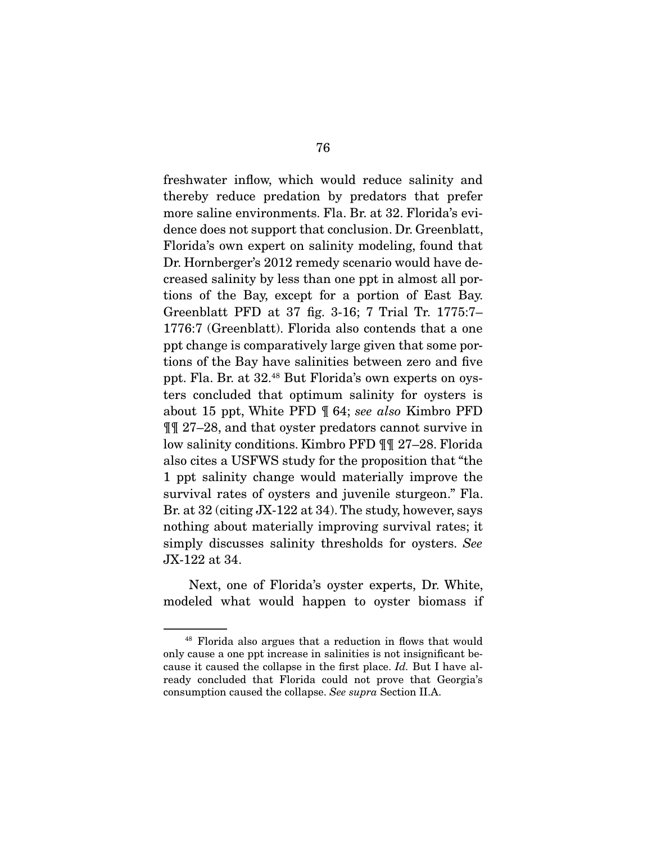freshwater inflow, which would reduce salinity and thereby reduce predation by predators that prefer more saline environments. Fla. Br. at 32. Florida's evidence does not support that conclusion. Dr. Greenblatt, Florida's own expert on salinity modeling, found that Dr. Hornberger's 2012 remedy scenario would have decreased salinity by less than one ppt in almost all portions of the Bay, except for a portion of East Bay. Greenblatt PFD at 37 fig. 3-16; 7 Trial Tr. 1775:7– 1776:7 (Greenblatt). Florida also contends that a one ppt change is comparatively large given that some portions of the Bay have salinities between zero and five ppt. Fla. Br. at 32.48 But Florida's own experts on oysters concluded that optimum salinity for oysters is about 15 ppt, White PFD ¶ 64; *see also* Kimbro PFD ¶¶ 27–28, and that oyster predators cannot survive in low salinity conditions. Kimbro PFD ¶¶ 27–28. Florida also cites a USFWS study for the proposition that "the 1 ppt salinity change would materially improve the survival rates of oysters and juvenile sturgeon." Fla. Br. at 32 (citing JX-122 at 34). The study, however, says nothing about materially improving survival rates; it simply discusses salinity thresholds for oysters. *See* JX-122 at 34.

 Next, one of Florida's oyster experts, Dr. White, modeled what would happen to oyster biomass if

<sup>48</sup> Florida also argues that a reduction in flows that would only cause a one ppt increase in salinities is not insignificant because it caused the collapse in the first place. *Id.* But I have already concluded that Florida could not prove that Georgia's consumption caused the collapse. *See supra* Section II.A.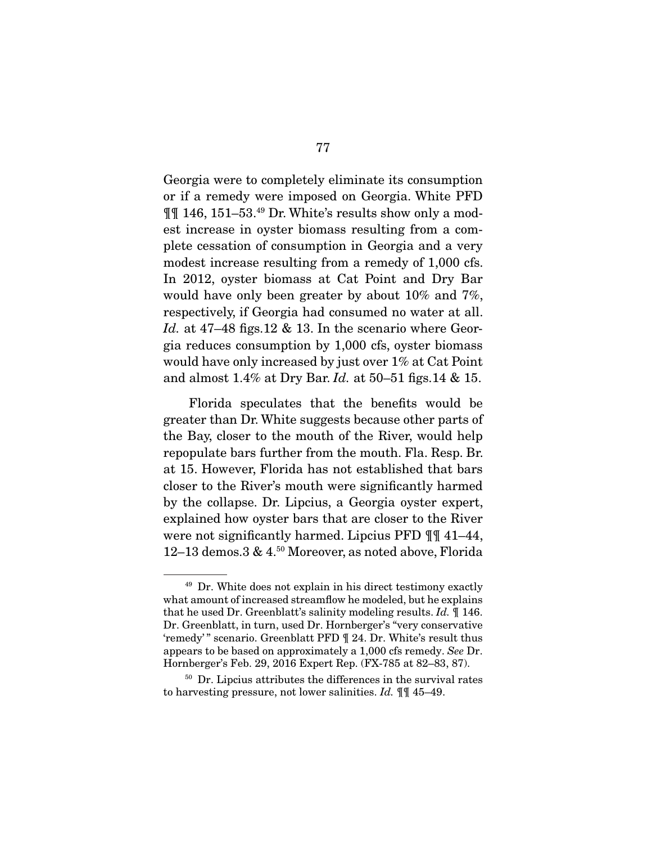Georgia were to completely eliminate its consumption or if a remedy were imposed on Georgia. White PFD ¶¶ 146, 151–53.49 Dr. White's results show only a modest increase in oyster biomass resulting from a complete cessation of consumption in Georgia and a very modest increase resulting from a remedy of 1,000 cfs. In 2012, oyster biomass at Cat Point and Dry Bar would have only been greater by about 10% and 7%, respectively, if Georgia had consumed no water at all. *Id.* at 47–48 figs.12 & 13. In the scenario where Georgia reduces consumption by 1,000 cfs, oyster biomass would have only increased by just over 1% at Cat Point and almost 1.4% at Dry Bar. *Id.* at 50–51 figs.14 & 15.

 Florida speculates that the benefits would be greater than Dr. White suggests because other parts of the Bay, closer to the mouth of the River, would help repopulate bars further from the mouth. Fla. Resp. Br. at 15. However, Florida has not established that bars closer to the River's mouth were significantly harmed by the collapse. Dr. Lipcius, a Georgia oyster expert, explained how oyster bars that are closer to the River were not significantly harmed. Lipcius PFD ¶¶ 41–44, 12–13 demos.3 & 4.50 Moreover, as noted above, Florida

<sup>49</sup> Dr. White does not explain in his direct testimony exactly what amount of increased streamflow he modeled, but he explains that he used Dr. Greenblatt's salinity modeling results. *Id.* ¶ 146. Dr. Greenblatt, in turn, used Dr. Hornberger's "very conservative 'remedy' " scenario. Greenblatt PFD ¶ 24. Dr. White's result thus appears to be based on approximately a 1,000 cfs remedy. *See* Dr. Hornberger's Feb. 29, 2016 Expert Rep. (FX-785 at 82–83, 87).

<sup>50</sup> Dr. Lipcius attributes the differences in the survival rates to harvesting pressure, not lower salinities. *Id.* ¶¶ 45–49.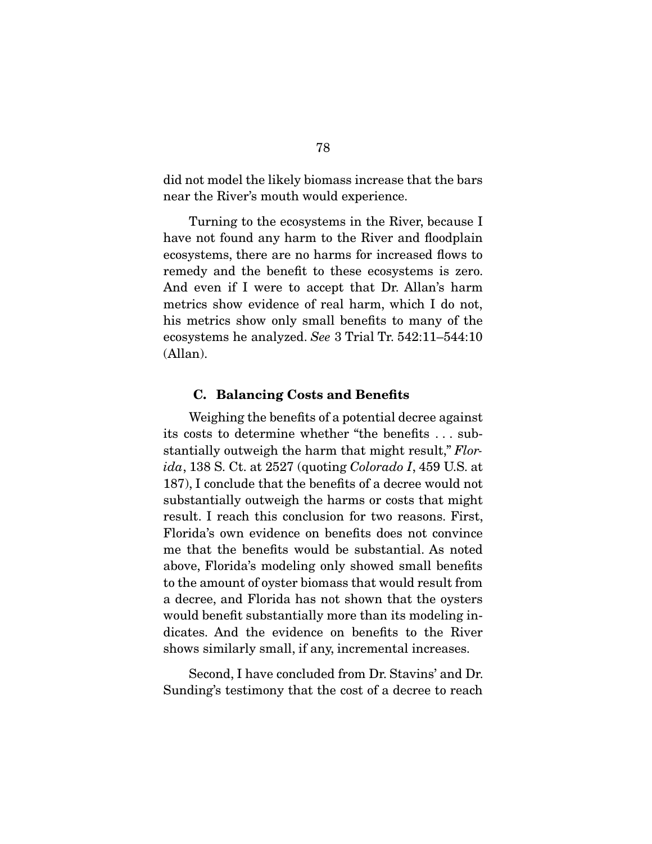did not model the likely biomass increase that the bars near the River's mouth would experience.

 Turning to the ecosystems in the River, because I have not found any harm to the River and floodplain ecosystems, there are no harms for increased flows to remedy and the benefit to these ecosystems is zero. And even if I were to accept that Dr. Allan's harm metrics show evidence of real harm, which I do not, his metrics show only small benefits to many of the ecosystems he analyzed. *See* 3 Trial Tr. 542:11–544:10 (Allan).

#### C. Balancing Costs and Benefits

 Weighing the benefits of a potential decree against its costs to determine whether "the benefits . . . substantially outweigh the harm that might result," *Florida*, 138 S. Ct. at 2527 (quoting *Colorado I*, 459 U.S. at 187), I conclude that the benefits of a decree would not substantially outweigh the harms or costs that might result. I reach this conclusion for two reasons. First, Florida's own evidence on benefits does not convince me that the benefits would be substantial. As noted above, Florida's modeling only showed small benefits to the amount of oyster biomass that would result from a decree, and Florida has not shown that the oysters would benefit substantially more than its modeling indicates. And the evidence on benefits to the River shows similarly small, if any, incremental increases.

 Second, I have concluded from Dr. Stavins' and Dr. Sunding's testimony that the cost of a decree to reach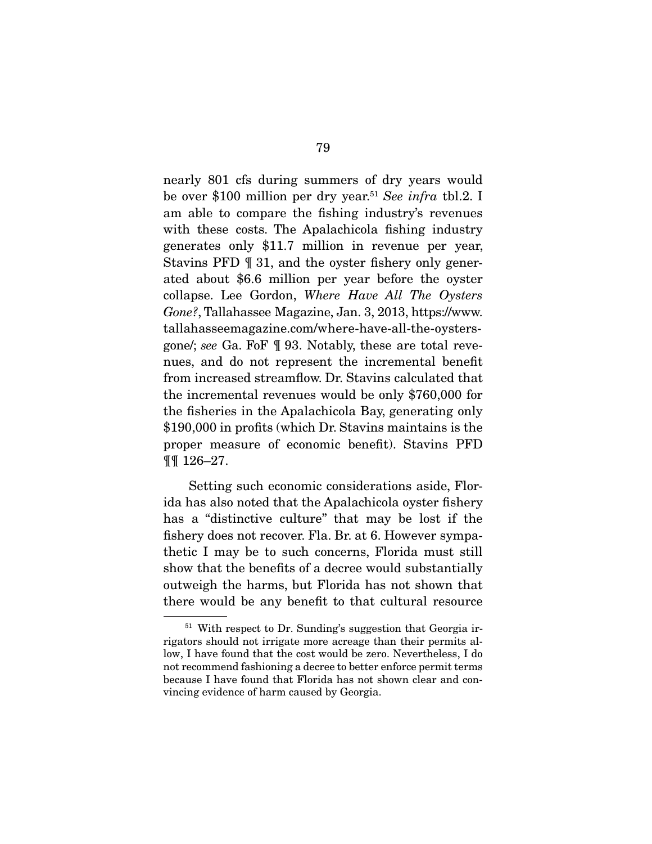nearly 801 cfs during summers of dry years would be over \$100 million per dry year.51 *See infra* tbl.2. I am able to compare the fishing industry's revenues with these costs. The Apalachicola fishing industry generates only \$11.7 million in revenue per year, Stavins PFD ¶ 31, and the oyster fishery only generated about \$6.6 million per year before the oyster collapse. Lee Gordon, *Where Have All The Oysters Gone?*, Tallahassee Magazine, Jan. 3, 2013, https://www. tallahasseemagazine.com/where-have-all-the-oystersgone/; *see* Ga. FoF ¶ 93. Notably, these are total revenues, and do not represent the incremental benefit from increased streamflow. Dr. Stavins calculated that the incremental revenues would be only \$760,000 for the fisheries in the Apalachicola Bay, generating only \$190,000 in profits (which Dr. Stavins maintains is the proper measure of economic benefit). Stavins PFD ¶¶ 126–27.

 Setting such economic considerations aside, Florida has also noted that the Apalachicola oyster fishery has a "distinctive culture" that may be lost if the fishery does not recover. Fla. Br. at 6. However sympathetic I may be to such concerns, Florida must still show that the benefits of a decree would substantially outweigh the harms, but Florida has not shown that there would be any benefit to that cultural resource

<sup>&</sup>lt;sup>51</sup> With respect to Dr. Sunding's suggestion that Georgia irrigators should not irrigate more acreage than their permits allow, I have found that the cost would be zero. Nevertheless, I do not recommend fashioning a decree to better enforce permit terms because I have found that Florida has not shown clear and convincing evidence of harm caused by Georgia.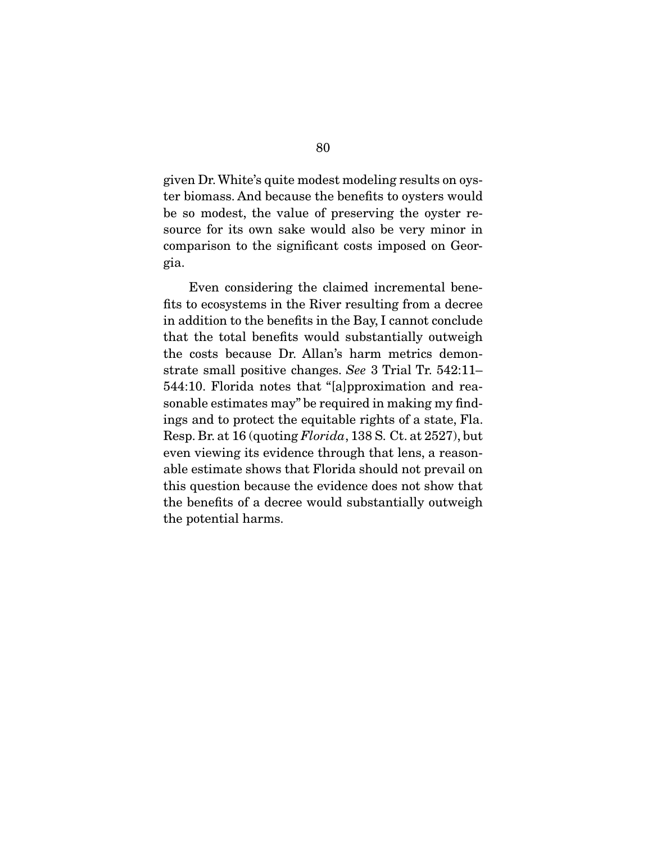given Dr. White's quite modest modeling results on oyster biomass. And because the benefits to oysters would be so modest, the value of preserving the oyster resource for its own sake would also be very minor in comparison to the significant costs imposed on Georgia.

 Even considering the claimed incremental benefits to ecosystems in the River resulting from a decree in addition to the benefits in the Bay, I cannot conclude that the total benefits would substantially outweigh the costs because Dr. Allan's harm metrics demonstrate small positive changes. *See* 3 Trial Tr. 542:11– 544:10. Florida notes that "[a]pproximation and reasonable estimates may" be required in making my findings and to protect the equitable rights of a state, Fla. Resp. Br. at 16 (quoting *Florida*, 138 S. Ct. at 2527), but even viewing its evidence through that lens, a reasonable estimate shows that Florida should not prevail on this question because the evidence does not show that the benefits of a decree would substantially outweigh the potential harms.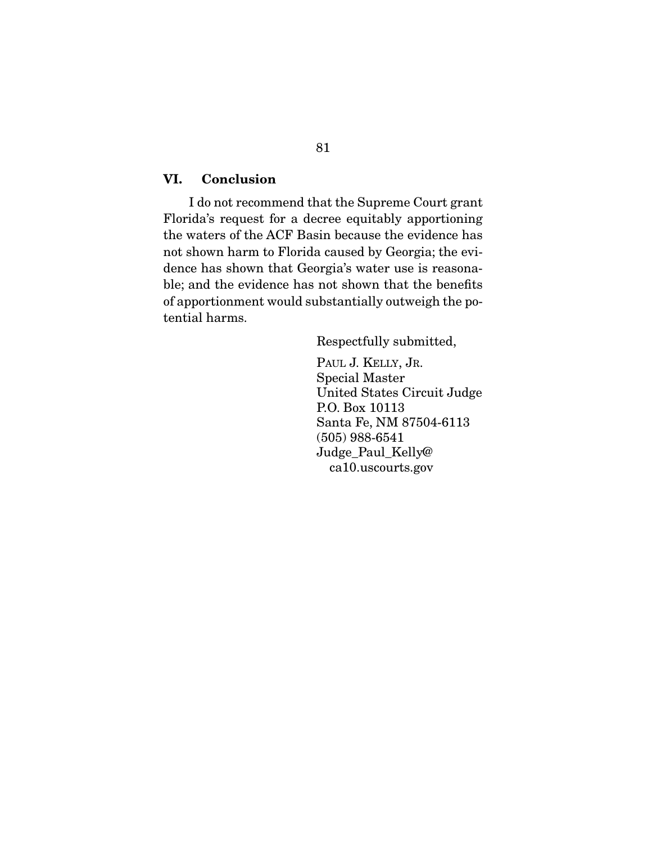## VI. Conclusion

 I do not recommend that the Supreme Court grant Florida's request for a decree equitably apportioning the waters of the ACF Basin because the evidence has not shown harm to Florida caused by Georgia; the evidence has shown that Georgia's water use is reasonable; and the evidence has not shown that the benefits of apportionment would substantially outweigh the potential harms.

Respectfully submitted,

PAUL J. KELLY, JR. Special Master United States Circuit Judge P.O. Box 10113 Santa Fe, NM 87504-6113 (505) 988-6541 Judge\_Paul\_Kelly@ ca10.uscourts.gov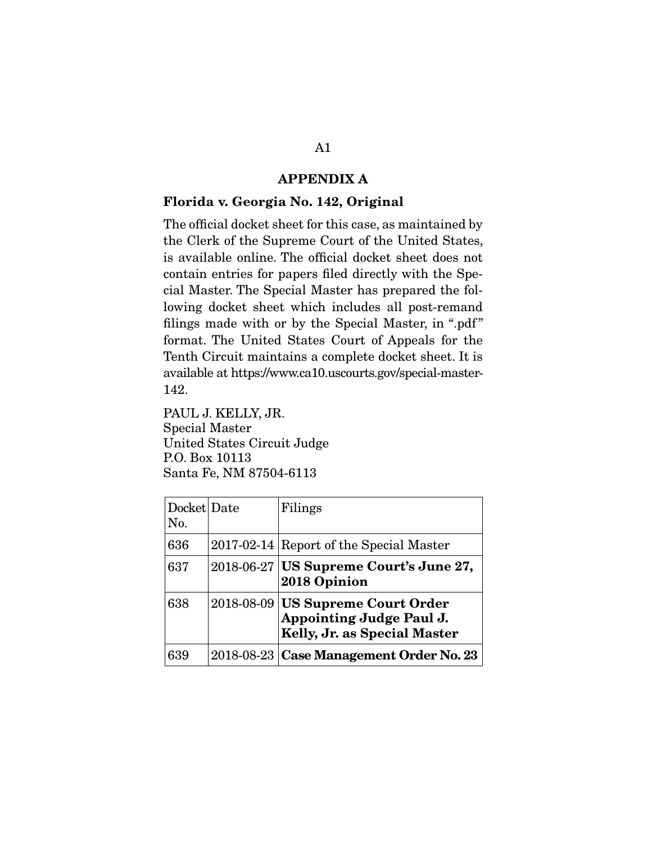## APPENDIX A

## Florida v. Georgia No. 142, Original

The official docket sheet for this case, as maintained by the Clerk of the Supreme Court of the United States, is available online. The official docket sheet does not contain entries for papers filed directly with the Special Master. The Special Master has prepared the following docket sheet which includes all post-remand filings made with or by the Special Master, in ".pdf" format. The United States Court of Appeals for the Tenth Circuit maintains a complete docket sheet. It is available at https://www.ca10.uscourts.gov/special-master-142.

PAUL J. KELLY, JR. Special Master United States Circuit Judge P.O. Box 10113 Santa Fe, NM 87504-6113

| Docket Date<br>No. | Filings                                                                                       |
|--------------------|-----------------------------------------------------------------------------------------------|
| 636                | 2017-02-14 Report of the Special Master                                                       |
| 637                | 2018-06-27 US Supreme Court's June 27,<br>2018 Opinion                                        |
| 638                | 2018-08-09 US Supreme Court Order<br>Appointing Judge Paul J.<br>Kelly, Jr. as Special Master |
| 639                | 2018-08-23   Case Management Order No. 23                                                     |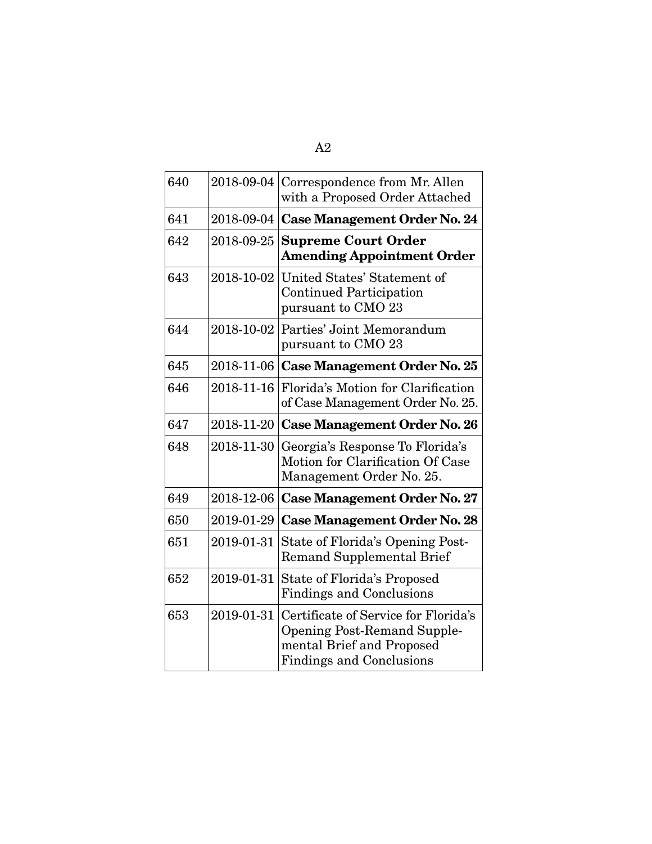| 640 | 2018-09-04 | Correspondence from Mr. Allen<br>with a Proposed Order Attached                                                                            |
|-----|------------|--------------------------------------------------------------------------------------------------------------------------------------------|
| 641 |            | 2018-09-04 Case Management Order No. 24                                                                                                    |
| 642 | 2018-09-25 | <b>Supreme Court Order</b><br><b>Amending Appointment Order</b>                                                                            |
| 643 | 2018-10-02 | United States' Statement of<br><b>Continued Participation</b><br>pursuant to CMO 23                                                        |
| 644 | 2018-10-02 | Parties' Joint Memorandum<br>pursuant to CMO 23                                                                                            |
| 645 | 2018-11-06 | <b>Case Management Order No. 25</b>                                                                                                        |
| 646 | 2018-11-16 | Florida's Motion for Clarification<br>of Case Management Order No. 25.                                                                     |
| 647 |            | 2018-11-20   Case Management Order No. 26                                                                                                  |
| 648 | 2018-11-30 | Georgia's Response To Florida's<br>Motion for Clarification Of Case<br>Management Order No. 25.                                            |
| 649 | 2018-12-06 | <b>Case Management Order No. 27</b>                                                                                                        |
| 650 | 2019-01-29 | <b>Case Management Order No. 28</b>                                                                                                        |
| 651 | 2019-01-31 | State of Florida's Opening Post-<br><b>Remand Supplemental Brief</b>                                                                       |
| 652 | 2019-01-31 | State of Florida's Proposed<br><b>Findings and Conclusions</b>                                                                             |
| 653 | 2019-01-31 | Certificate of Service for Florida's<br><b>Opening Post-Remand Supple-</b><br>mental Brief and Proposed<br><b>Findings and Conclusions</b> |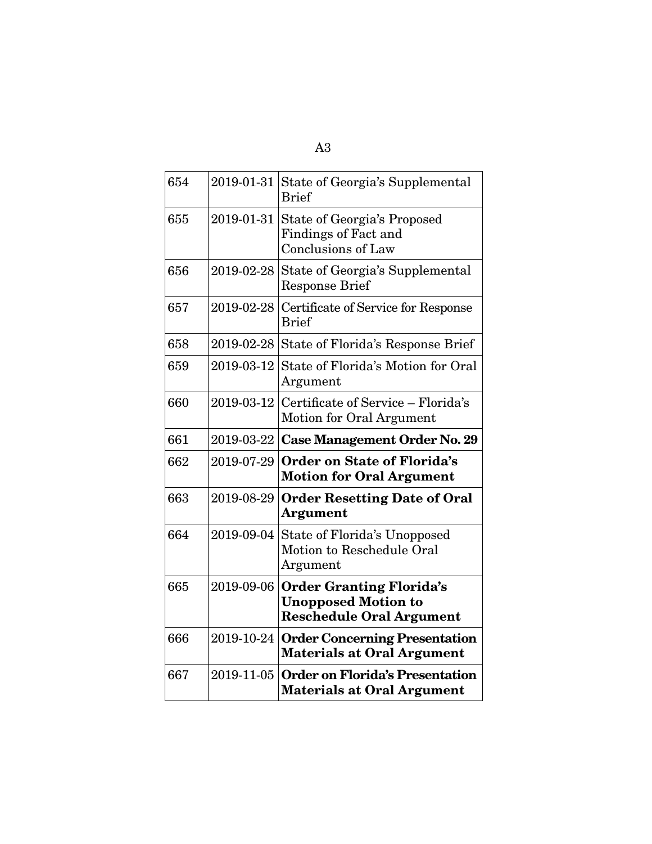| 654 | 2019-01-31 | State of Georgia's Supplemental<br><b>Brief</b>                                                  |
|-----|------------|--------------------------------------------------------------------------------------------------|
| 655 | 2019-01-31 | State of Georgia's Proposed<br>Findings of Fact and<br>Conclusions of Law                        |
| 656 | 2019-02-28 | State of Georgia's Supplemental<br><b>Response Brief</b>                                         |
| 657 | 2019-02-28 | Certificate of Service for Response<br><b>Brief</b>                                              |
| 658 |            | 2019-02-28 State of Florida's Response Brief                                                     |
| 659 | 2019-03-12 | State of Florida's Motion for Oral<br>Argument                                                   |
| 660 | 2019-03-12 | Certificate of Service – Florida's<br>Motion for Oral Argument                                   |
| 661 | 2019-03-22 | Case Management Order No. 29                                                                     |
| 662 | 2019-07-29 | <b>Order on State of Florida's</b><br><b>Motion for Oral Argument</b>                            |
| 663 | 2019-08-29 | <b>Order Resetting Date of Oral</b>                                                              |
|     |            | <b>Argument</b>                                                                                  |
| 664 |            | 2019-09-04 State of Florida's Unopposed<br>Motion to Reschedule Oral<br>Argument                 |
| 665 | 2019-09-06 | <b>Order Granting Florida's</b><br><b>Unopposed Motion to</b><br><b>Reschedule Oral Argument</b> |
| 666 |            | 2019-10-24 Order Concerning Presentation<br><b>Materials at Oral Argument</b>                    |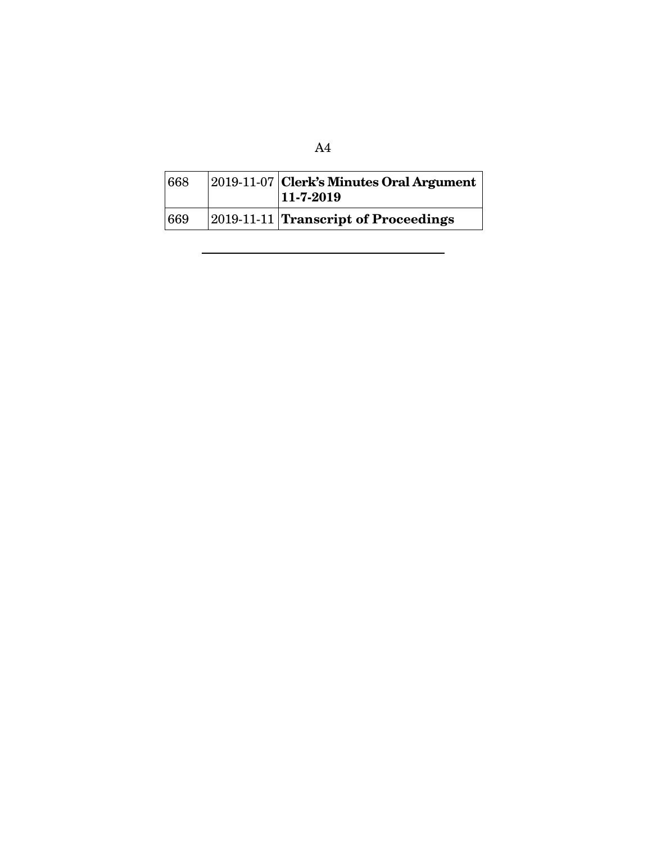| 668 | $ 2019-11-07 $ Clerk's Minutes Oral Argument<br>$11 - 7 - 2019$ |
|-----|-----------------------------------------------------------------|
| 669 | $ 2019-11-11 $ Transcript of Proceedings                        |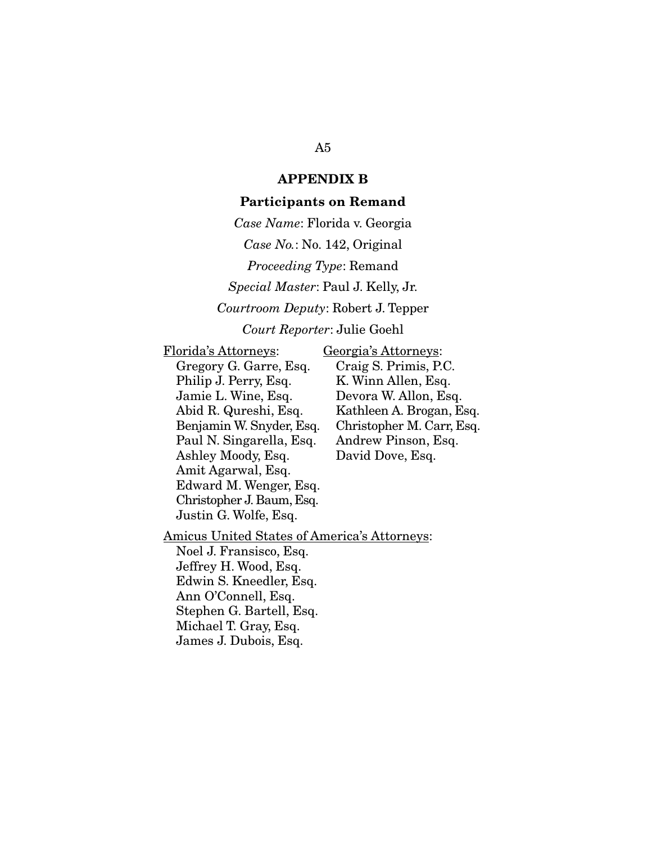### APPENDIX B

#### Participants on Remand

*Case Name*: Florida v. Georgia *Case No.*: No. 142, Original *Proceeding Type*: Remand *Special Master*: Paul J. Kelly, Jr. *Courtroom Deputy*: Robert J. Tepper *Court Reporter*: Julie Goehl

Florida's Attorneys: Gregory G. Garre, Esq. Philip J. Perry, Esq. Jamie L. Wine, Esq. Abid R. Qureshi, Esq. Benjamin W. Snyder, Esq. Paul N. Singarella, Esq. Ashley Moody, Esq. Amit Agarwal, Esq. Edward M. Wenger, Esq. Christopher J. Baum, Esq. Justin G. Wolfe, Esq.

Georgia's Attorneys: Craig S. Primis, P.C. K. Winn Allen, Esq. Devora W. Allon, Esq. Kathleen A. Brogan, Esq. Christopher M. Carr, Esq. Andrew Pinson, Esq. David Dove, Esq.

Amicus United States of America's Attorneys:

Noel J. Fransisco, Esq. Jeffrey H. Wood, Esq. Edwin S. Kneedler, Esq. Ann O'Connell, Esq. Stephen G. Bartell, Esq. Michael T. Gray, Esq. James J. Dubois, Esq.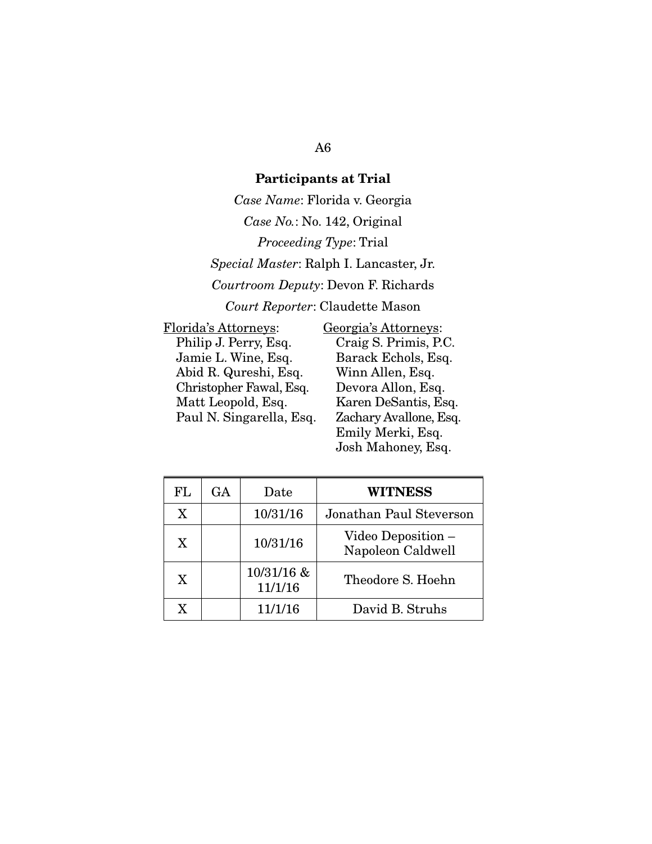## Participants at Trial

*Case Name*: Florida v. Georgia *Case No.*: No. 142, Original *Proceeding Type*: Trial *Special Master*: Ralph I. Lancaster, Jr. *Courtroom Deputy*: Devon F. Richards *Court Reporter*: Claudette Mason

Florida's Attorneys: Philip J. Perry, Esq. Jamie L. Wine, Esq. Abid R. Qureshi, Esq. Christopher Fawal, Esq. Matt Leopold, Esq. Paul N. Singarella, Esq.

Georgia's Attorneys: Craig S. Primis, P.C. Barack Echols, Esq. Winn Allen, Esq. Devora Allon, Esq. Karen DeSantis, Esq. Zachary Avallone, Esq. Emily Merki, Esq. Josh Mahoney, Esq.

| FL           | GA | Date                  | <b>WITNESS</b>                          |
|--------------|----|-----------------------|-----------------------------------------|
| X            |    | 10/31/16              | Jonathan Paul Steverson                 |
| X            |    | 10/31/16              | Video Deposition –<br>Napoleon Caldwell |
| $\mathbf{X}$ |    | 10/31/16 &<br>11/1/16 | Theodore S. Hoehn                       |
| X.           |    | 11/1/16               | David B. Struhs                         |

## A6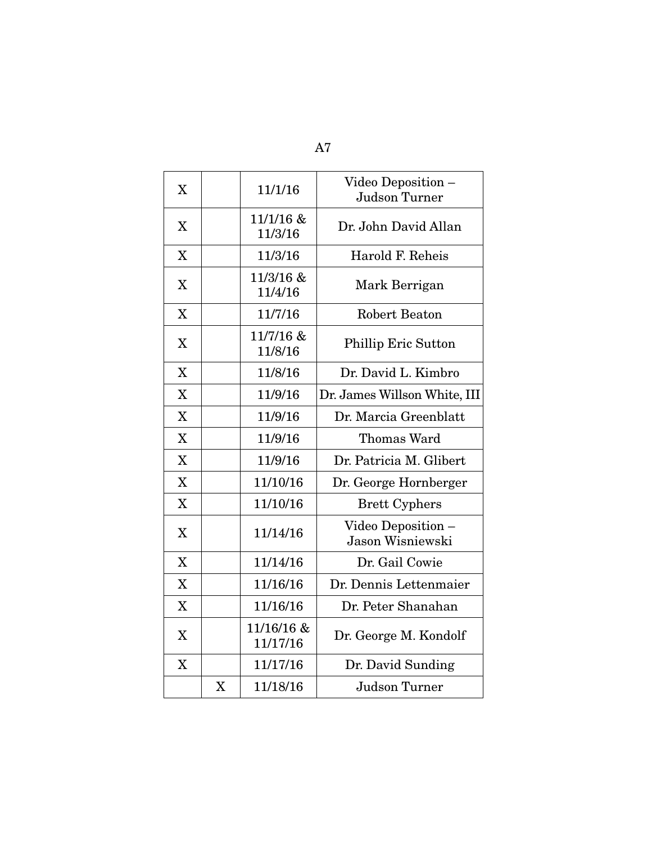| X                         |                           | 11/1/16                | Video Deposition -<br>Judson Turner    |
|---------------------------|---------------------------|------------------------|----------------------------------------|
| X                         |                           | $11/1/16$ &<br>11/3/16 | Dr. John David Allan                   |
| X                         |                           | 11/3/16                | Harold F. Reheis                       |
| $\boldsymbol{\mathrm{X}}$ |                           | 11/3/16 &<br>11/4/16   | Mark Berrigan                          |
| $\boldsymbol{\mathrm{X}}$ |                           | 11/7/16                | <b>Robert Beaton</b>                   |
| X                         |                           | 11/7/16 &<br>11/8/16   | Phillip Eric Sutton                    |
| X                         |                           | 11/8/16                | Dr. David L. Kimbro                    |
| X                         |                           | 11/9/16                | Dr. James Willson White, III           |
| X                         |                           | 11/9/16                | Dr. Marcia Greenblatt                  |
| X                         |                           | 11/9/16                | Thomas Ward                            |
| X                         |                           | 11/9/16                | Dr. Patricia M. Glibert                |
| X                         |                           | 11/10/16               | Dr. George Hornberger                  |
| X                         |                           | 11/10/16               | <b>Brett Cyphers</b>                   |
| X                         |                           | 11/14/16               | Video Deposition -<br>Jason Wisniewski |
| X                         |                           | 11/14/16               | Dr. Gail Cowie                         |
| X                         |                           | 11/16/16               | Dr. Dennis Lettenmaier                 |
| X                         |                           | 11/16/16               | Dr. Peter Shanahan                     |
| $\boldsymbol{\mathrm{X}}$ |                           | 11/16/16 &<br>11/17/16 | Dr. George M. Kondolf                  |
| X                         |                           | 11/17/16               | Dr. David Sunding                      |
|                           | $\boldsymbol{\mathrm{X}}$ | 11/18/16               | Judson Turner                          |